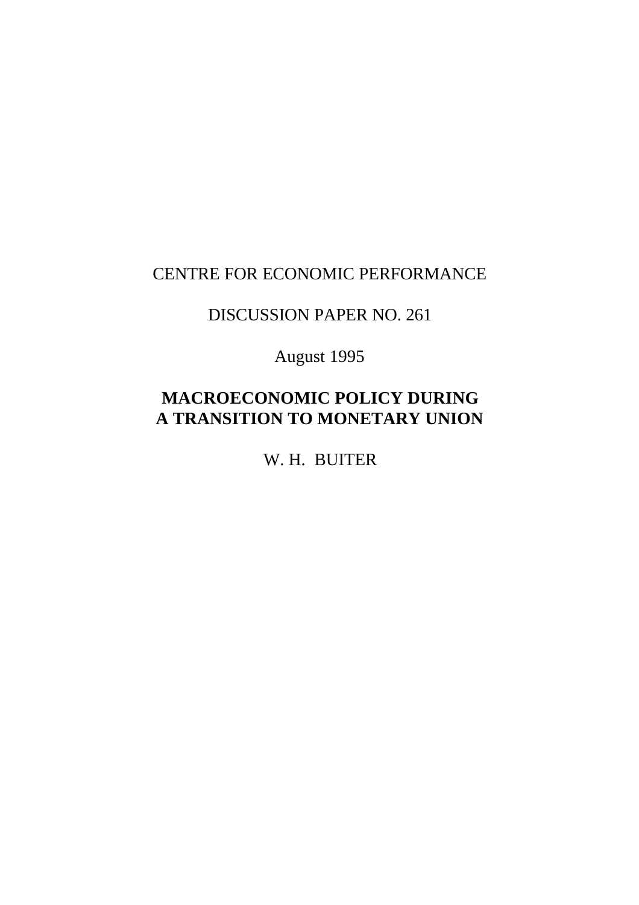### CENTRE FOR ECONOMIC PERFORMANCE

### DISCUSSION PAPER NO. 261

August 1995

## **MACROECONOMIC POLICY DURING A TRANSITION TO MONETARY UNION**

W. H. BUITER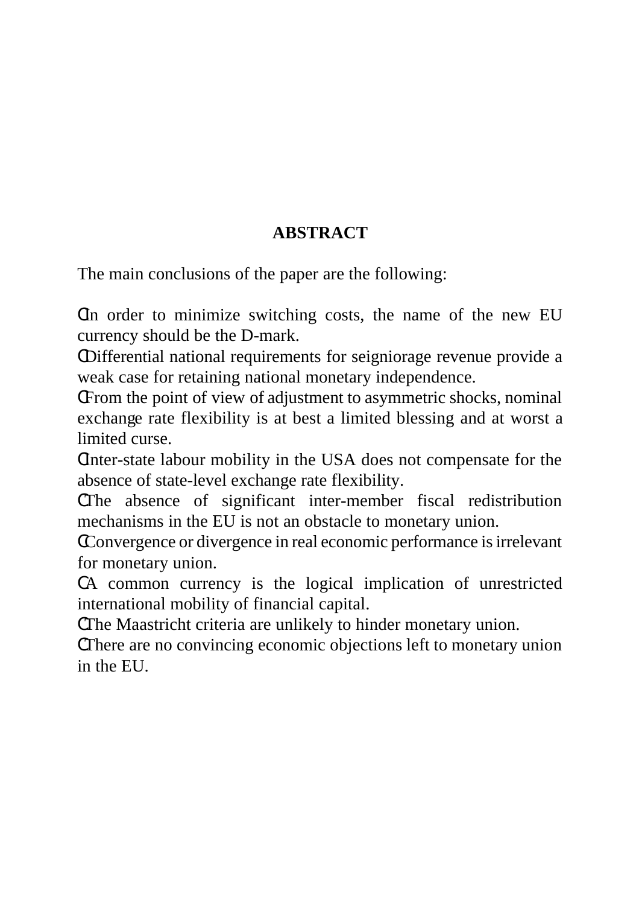# **ABSTRACT**

The main conclusions of the paper are the following:

CIn order to minimize switching costs, the name of the new EU currency should be the D-mark.

CDifferential national requirements for seigniorage revenue provide a weak case for retaining national monetary independence.

CFrom the point of view of adjustment to asymmetric shocks, nominal exchange rate flexibility is at best a limited blessing and at worst a limited curse.

CInter-state labour mobility in the USA does not compensate for the absence of state-level exchange rate flexibility.

CThe absence of significant inter-member fiscal redistribution mechanisms in the EU is not an obstacle to monetary union.

CConvergence or divergence in real economic performance is irrelevant for monetary union.

CA common currency is the logical implication of unrestricted international mobility of financial capital.

CThe Maastricht criteria are unlikely to hinder monetary union.

CThere are no convincing economic objections left to monetary union in the EU.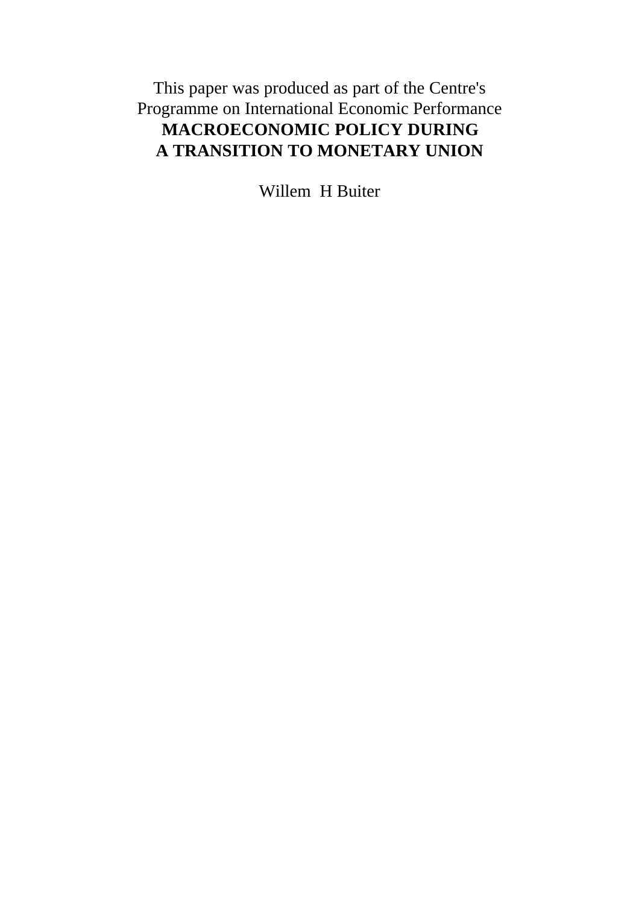This paper was produced as part of the Centre's Programme on International Economic Performance **MACROECONOMIC POLICY DURING A TRANSITION TO MONETARY UNION**

Willem H Buiter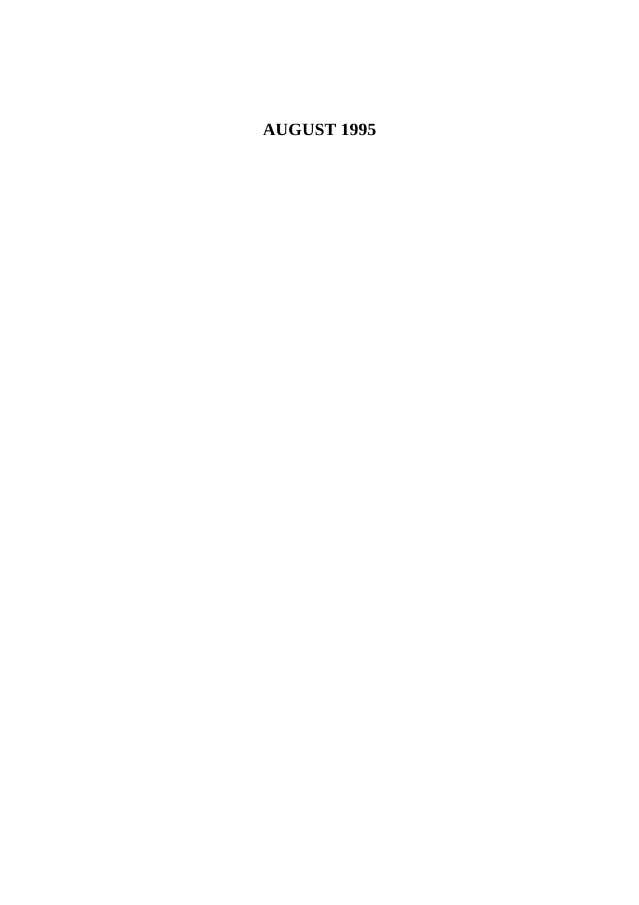# **AUGUST 1995**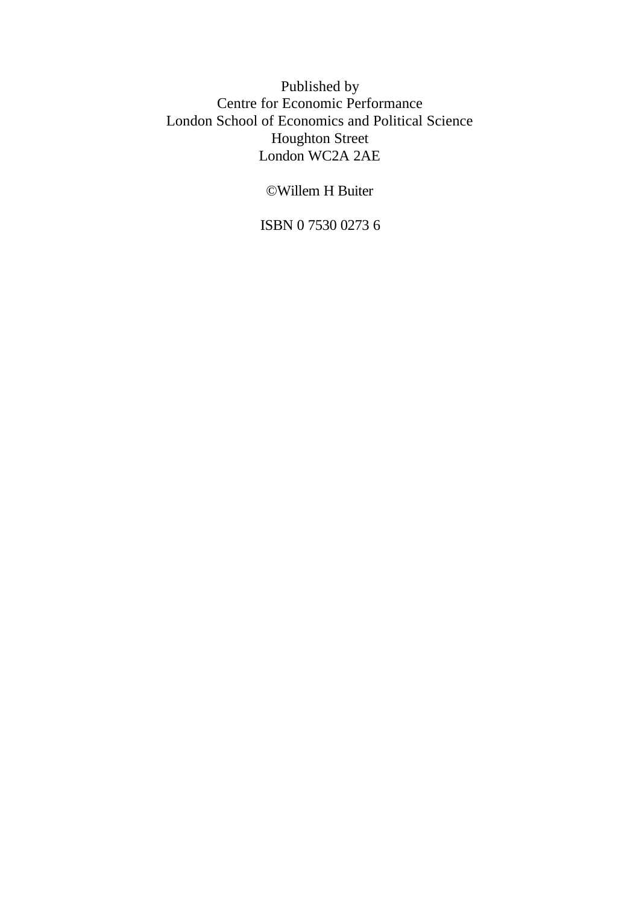Published by Centre for Economic Performance London School of Economics and Political Science Houghton Street London WC2A 2AE

©Willem H Buiter

ISBN 0 7530 0273 6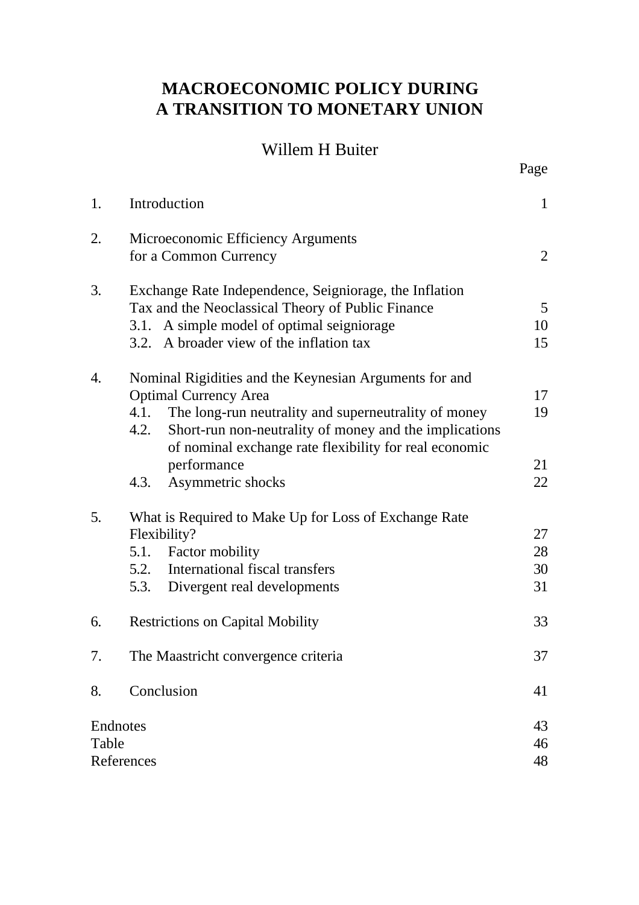## **MACROECONOMIC POLICY DURING A TRANSITION TO MONETARY UNION**

### Willem H Buiter

Page

| 1.                              | Introduction                                                                                                                                                                                                                                                                       | $\mathbf{1}$                |  |  |
|---------------------------------|------------------------------------------------------------------------------------------------------------------------------------------------------------------------------------------------------------------------------------------------------------------------------------|-----------------------------|--|--|
| 2.                              | Microeconomic Efficiency Arguments<br>for a Common Currency                                                                                                                                                                                                                        | $\overline{2}$              |  |  |
| 3.                              | Exchange Rate Independence, Seigniorage, the Inflation<br>Tax and the Neoclassical Theory of Public Finance<br>3.1. A simple model of optimal seigniorage<br>3.2. A broader view of the inflation tax                                                                              | $5\overline{)}$<br>10<br>15 |  |  |
| 4.                              | Nominal Rigidities and the Keynesian Arguments for and<br><b>Optimal Currency Area</b><br>4.1.<br>The long-run neutrality and superneutrality of money<br>Short-run non-neutrality of money and the implications<br>4.2.<br>of nominal exchange rate flexibility for real economic | 17<br>19                    |  |  |
|                                 | performance<br>Asymmetric shocks<br>4.3.                                                                                                                                                                                                                                           | 21<br>22                    |  |  |
| 5.                              | What is Required to Make Up for Loss of Exchange Rate<br>Flexibility?<br>5.1. Factor mobility<br>5.2. International fiscal transfers<br>5.3. Divergent real developments                                                                                                           | 27<br>28<br>30<br>31        |  |  |
| 6.                              | <b>Restrictions on Capital Mobility</b>                                                                                                                                                                                                                                            |                             |  |  |
| 7.                              | The Maastricht convergence criteria                                                                                                                                                                                                                                                | 37                          |  |  |
| 8.                              | Conclusion                                                                                                                                                                                                                                                                         | 41                          |  |  |
| Endnotes<br>Table<br>References |                                                                                                                                                                                                                                                                                    | 43<br>46<br>48              |  |  |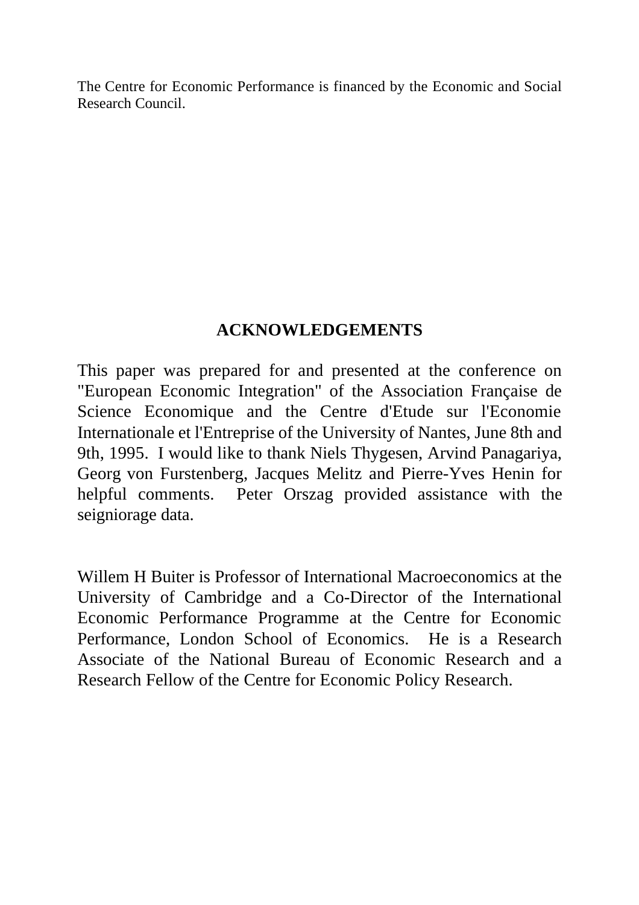The Centre for Economic Performance is financed by the Economic and Social Research Council.

## **ACKNOWLEDGEMENTS**

This paper was prepared for and presented at the conference on "European Economic Integration" of the Association Française de Science Economique and the Centre d'Etude sur l'Economie Internationale et l'Entreprise of the University of Nantes, June 8th and 9th, 1995. I would like to thank Niels Thygesen, Arvind Panagariya, Georg von Furstenberg, Jacques Melitz and Pierre-Yves Henin for helpful comments. Peter Orszag provided assistance with the seigniorage data.

Willem H Buiter is Professor of International Macroeconomics at the University of Cambridge and a Co-Director of the International Economic Performance Programme at the Centre for Economic Performance, London School of Economics. He is a Research Associate of the National Bureau of Economic Research and a Research Fellow of the Centre for Economic Policy Research.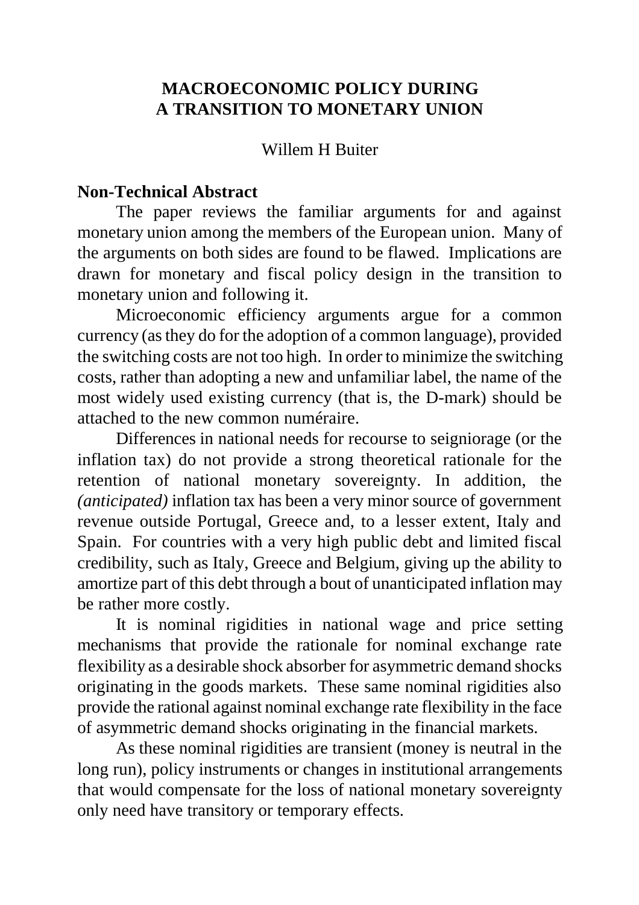## **MACROECONOMIC POLICY DURING A TRANSITION TO MONETARY UNION**

### Willem H Buiter

### **Non-Technical Abstract**

The paper reviews the familiar arguments for and against monetary union among the members of the European union. Many of the arguments on both sides are found to be flawed. Implications are drawn for monetary and fiscal policy design in the transition to monetary union and following it.

Microeconomic efficiency arguments argue for a common currency (as they do for the adoption of a common language), provided the switching costs are not too high. In order to minimize the switching costs, rather than adopting a new and unfamiliar label, the name of the most widely used existing currency (that is, the D-mark) should be attached to the new common numéraire.

Differences in national needs for recourse to seigniorage (or the inflation tax) do not provide a strong theoretical rationale for the retention of national monetary sovereignty. In addition, the *(anticipated)* inflation tax has been a very minor source of government revenue outside Portugal, Greece and, to a lesser extent, Italy and Spain. For countries with a very high public debt and limited fiscal credibility, such as Italy, Greece and Belgium, giving up the ability to amortize part of this debt through a bout of unanticipated inflation may be rather more costly.

It is nominal rigidities in national wage and price setting mechanisms that provide the rationale for nominal exchange rate flexibility as a desirable shock absorber for asymmetric demand shocks originating in the goods markets. These same nominal rigidities also provide the rational against nominal exchange rate flexibility in the face of asymmetric demand shocks originating in the financial markets.

As these nominal rigidities are transient (money is neutral in the long run), policy instruments or changes in institutional arrangements that would compensate for the loss of national monetary sovereignty only need have transitory or temporary effects.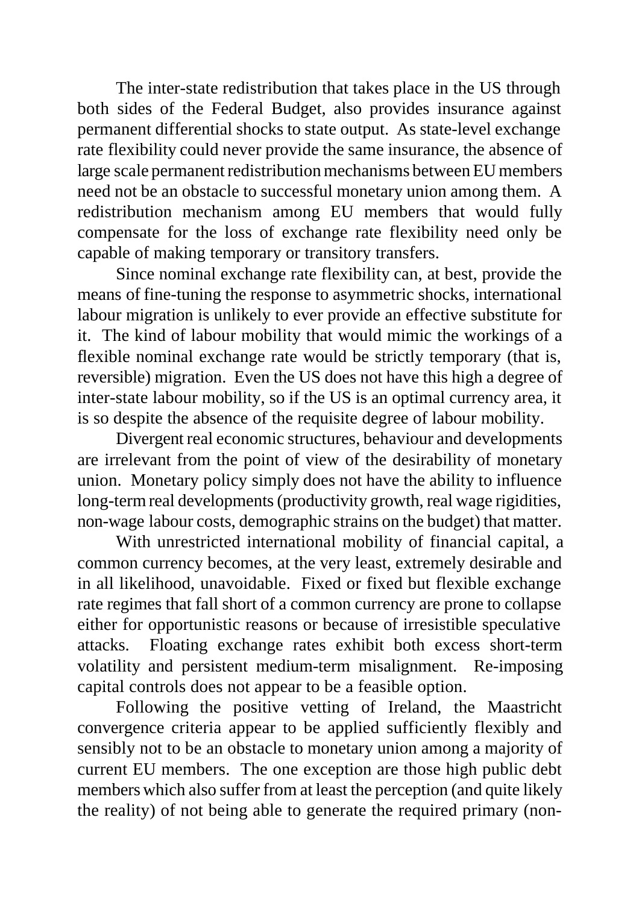The inter-state redistribution that takes place in the US through both sides of the Federal Budget, also provides insurance against permanent differential shocks to state output. As state-level exchange rate flexibility could never provide the same insurance, the absence of large scale permanent redistribution mechanisms between EU members need not be an obstacle to successful monetary union among them. A redistribution mechanism among EU members that would fully compensate for the loss of exchange rate flexibility need only be capable of making temporary or transitory transfers.

Since nominal exchange rate flexibility can, at best, provide the means of fine-tuning the response to asymmetric shocks, international labour migration is unlikely to ever provide an effective substitute for it. The kind of labour mobility that would mimic the workings of a flexible nominal exchange rate would be strictly temporary (that is, reversible) migration. Even the US does not have this high a degree of inter-state labour mobility, so if the US is an optimal currency area, it is so despite the absence of the requisite degree of labour mobility.

Divergent real economic structures, behaviour and developments are irrelevant from the point of view of the desirability of monetary union. Monetary policy simply does not have the ability to influence long-term real developments (productivity growth, real wage rigidities, non-wage labour costs, demographic strains on the budget) that matter.

With unrestricted international mobility of financial capital, a common currency becomes, at the very least, extremely desirable and in all likelihood, unavoidable. Fixed or fixed but flexible exchange rate regimes that fall short of a common currency are prone to collapse either for opportunistic reasons or because of irresistible speculative attacks. Floating exchange rates exhibit both excess short-term volatility and persistent medium-term misalignment. Re-imposing capital controls does not appear to be a feasible option.

Following the positive vetting of Ireland, the Maastricht convergence criteria appear to be applied sufficiently flexibly and sensibly not to be an obstacle to monetary union among a majority of current EU members. The one exception are those high public debt members which also suffer from at least the perception (and quite likely the reality) of not being able to generate the required primary (non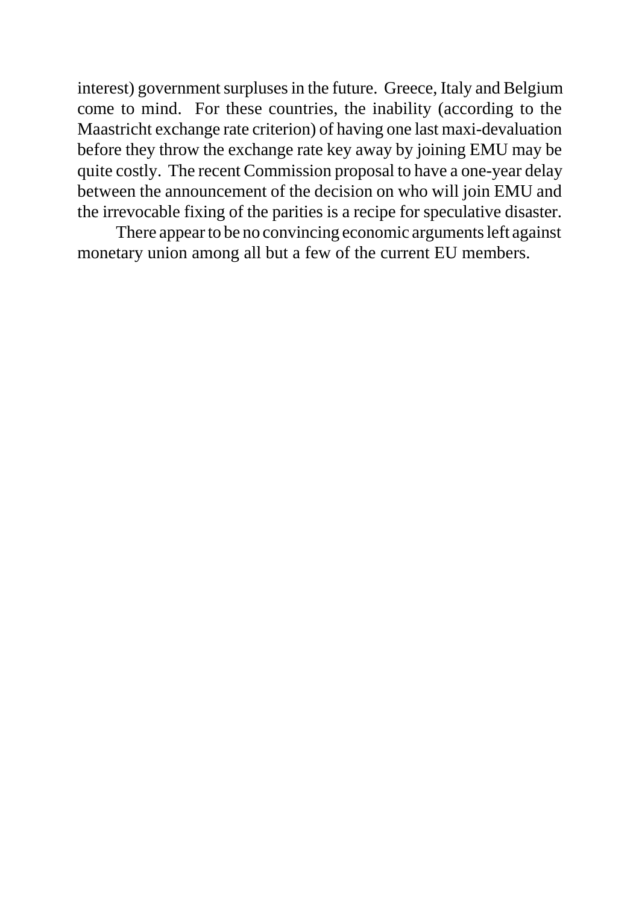interest) government surpluses in the future. Greece, Italy and Belgium come to mind. For these countries, the inability (according to the Maastricht exchange rate criterion) of having one last maxi-devaluation before they throw the exchange rate key away by joining EMU may be quite costly. The recent Commission proposal to have a one-year delay between the announcement of the decision on who will join EMU and the irrevocable fixing of the parities is a recipe for speculative disaster.

There appear to be no convincing economic arguments left against monetary union among all but a few of the current EU members.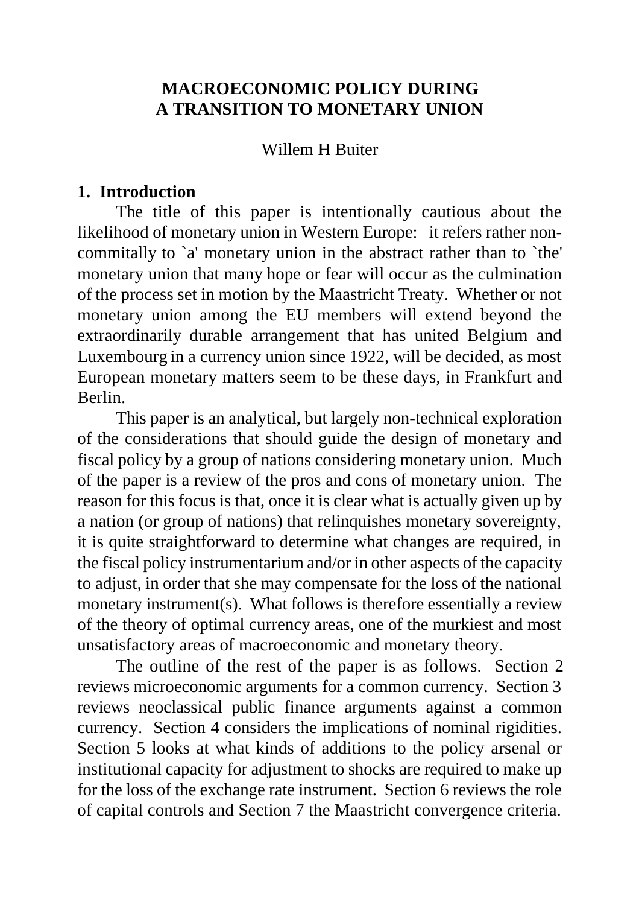### **MACROECONOMIC POLICY DURING A TRANSITION TO MONETARY UNION**

### Willem H Buiter

### **1. Introduction**

The title of this paper is intentionally cautious about the likelihood of monetary union in Western Europe: it refers rather noncommitally to `a' monetary union in the abstract rather than to `the' monetary union that many hope or fear will occur as the culmination of the process set in motion by the Maastricht Treaty. Whether or not monetary union among the EU members will extend beyond the extraordinarily durable arrangement that has united Belgium and Luxembourg in a currency union since 1922, will be decided, as most European monetary matters seem to be these days, in Frankfurt and Berlin.

This paper is an analytical, but largely non-technical exploration of the considerations that should guide the design of monetary and fiscal policy by a group of nations considering monetary union. Much of the paper is a review of the pros and cons of monetary union. The reason for this focus is that, once it is clear what is actually given up by a nation (or group of nations) that relinquishes monetary sovereignty, it is quite straightforward to determine what changes are required, in the fiscal policy instrumentarium and/or in other aspects of the capacity to adjust, in order that she may compensate for the loss of the national monetary instrument(s). What follows is therefore essentially a review of the theory of optimal currency areas, one of the murkiest and most unsatisfactory areas of macroeconomic and monetary theory.

The outline of the rest of the paper is as follows. Section 2 reviews microeconomic arguments for a common currency. Section 3 reviews neoclassical public finance arguments against a common currency. Section 4 considers the implications of nominal rigidities. Section 5 looks at what kinds of additions to the policy arsenal or institutional capacity for adjustment to shocks are required to make up for the loss of the exchange rate instrument. Section 6 reviews the role of capital controls and Section 7 the Maastricht convergence criteria.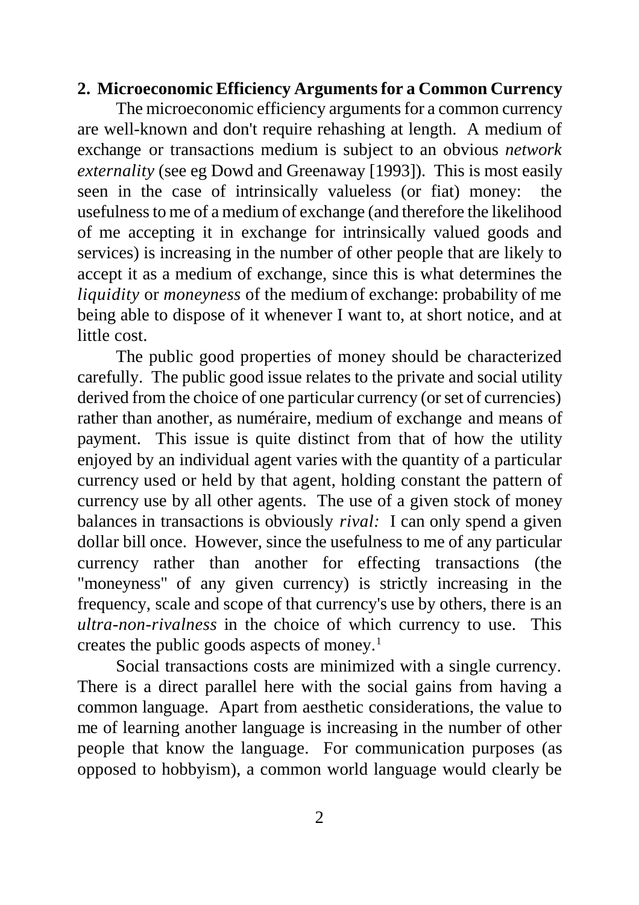#### **2. Microeconomic Efficiency Arguments for a Common Currency**

The microeconomic efficiency arguments for a common currency are well-known and don't require rehashing at length. A medium of exchange or transactions medium is subject to an obvious *network externality* (see eg Dowd and Greenaway [1993]). This is most easily seen in the case of intrinsically valueless (or fiat) money: the usefulness to me of a medium of exchange (and therefore the likelihood of me accepting it in exchange for intrinsically valued goods and services) is increasing in the number of other people that are likely to accept it as a medium of exchange, since this is what determines the *liquidity* or *moneyness* of the medium of exchange: probability of me being able to dispose of it whenever I want to, at short notice, and at little cost.

The public good properties of money should be characterized carefully. The public good issue relates to the private and social utility derived from the choice of one particular currency (or set of currencies) rather than another, as numéraire, medium of exchange and means of payment. This issue is quite distinct from that of how the utility enjoyed by an individual agent varies with the quantity of a particular currency used or held by that agent, holding constant the pattern of currency use by all other agents. The use of a given stock of money balances in transactions is obviously *rival:* I can only spend a given dollar bill once. However, since the usefulness to me of any particular currency rather than another for effecting transactions (the "moneyness" of any given currency) is strictly increasing in the frequency, scale and scope of that currency's use by others, there is an *ultra-non-rivalness* in the choice of which currency to use. This creates the public goods aspects of money.<sup>1</sup>

Social transactions costs are minimized with a single currency. There is a direct parallel here with the social gains from having a common language. Apart from aesthetic considerations, the value to me of learning another language is increasing in the number of other people that know the language. For communication purposes (as opposed to hobbyism), a common world language would clearly be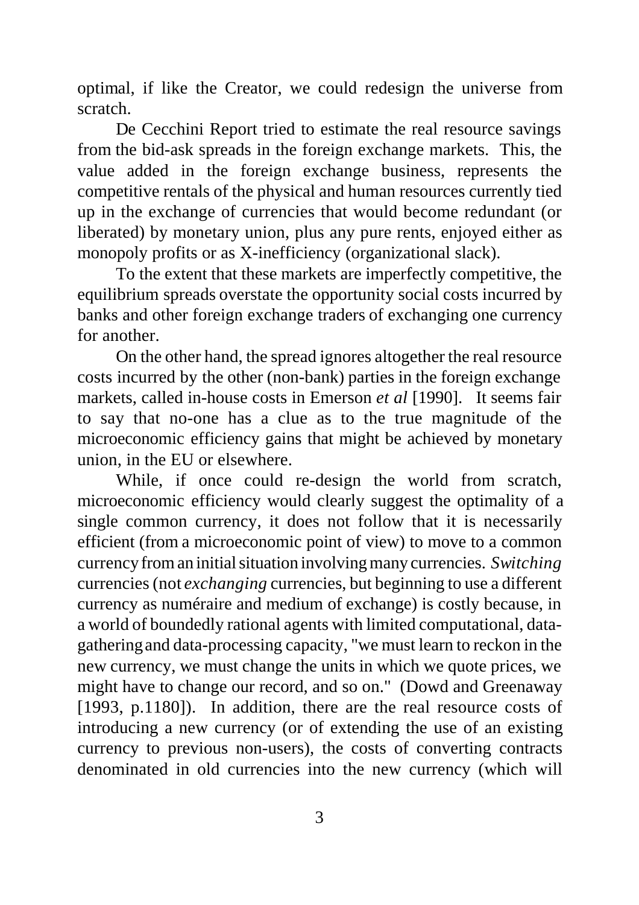optimal, if like the Creator, we could redesign the universe from scratch.

De Cecchini Report tried to estimate the real resource savings from the bid-ask spreads in the foreign exchange markets. This, the value added in the foreign exchange business, represents the competitive rentals of the physical and human resources currently tied up in the exchange of currencies that would become redundant (or liberated) by monetary union, plus any pure rents, enjoyed either as monopoly profits or as X-inefficiency (organizational slack).

To the extent that these markets are imperfectly competitive, the equilibrium spreads overstate the opportunity social costs incurred by banks and other foreign exchange traders of exchanging one currency for another.

On the other hand, the spread ignores altogether the real resource costs incurred by the other (non-bank) parties in the foreign exchange markets, called in-house costs in Emerson *et al* [1990]. It seems fair to say that no-one has a clue as to the true magnitude of the microeconomic efficiency gains that might be achieved by monetary union, in the EU or elsewhere.

While, if once could re-design the world from scratch, microeconomic efficiency would clearly suggest the optimality of a single common currency, it does not follow that it is necessarily efficient (from a microeconomic point of view) to move to a common currency from an initial situation involving many currencies. *Switching* currencies (not *exchanging* currencies, but beginning to use a different currency as numéraire and medium of exchange) is costly because, in a world of boundedly rational agents with limited computational, datagathering and data-processing capacity, "we must learn to reckon in the new currency, we must change the units in which we quote prices, we might have to change our record, and so on." (Dowd and Greenaway [1993, p.1180]). In addition, there are the real resource costs of introducing a new currency (or of extending the use of an existing currency to previous non-users), the costs of converting contracts denominated in old currencies into the new currency (which will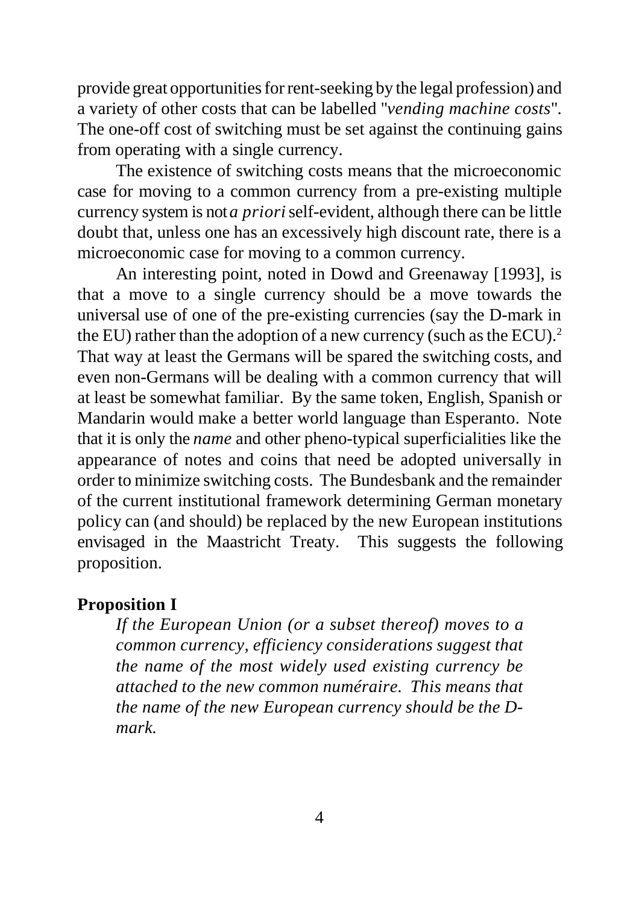provide great opportunities for rent-seeking by the legal profession) and a variety of other costs that can be labelled "*vending machine costs*". The one-off cost of switching must be set against the continuing gains from operating with a single currency.

The existence of switching costs means that the microeconomic case for moving to a common currency from a pre-existing multiple currency system is not *a priori* self-evident, although there can be little doubt that, unless one has an excessively high discount rate, there is a microeconomic case for moving to a common currency.

An interesting point, noted in Dowd and Greenaway [1993], is that a move to a single currency should be a move towards the universal use of one of the pre-existing currencies (say the D-mark in the EU) rather than the adoption of a new currency (such as the ECU).<sup>2</sup> That way at least the Germans will be spared the switching costs, and even non-Germans will be dealing with a common currency that will at least be somewhat familiar. By the same token, English, Spanish or Mandarin would make a better world language than Esperanto. Note that it is only the *name* and other pheno-typical superficialities like the appearance of notes and coins that need be adopted universally in order to minimize switching costs. The Bundesbank and the remainder of the current institutional framework determining German monetary policy can (and should) be replaced by the new European institutions envisaged in the Maastricht Treaty. This suggests the following proposition.

#### **Proposition I**

*If the European Union (or a subset thereof) moves to a common currency, efficiency considerations suggest that the name of the most widely used existing currency be attached to the new common numéraire. This means that the name of the new European currency should be the Dmark.*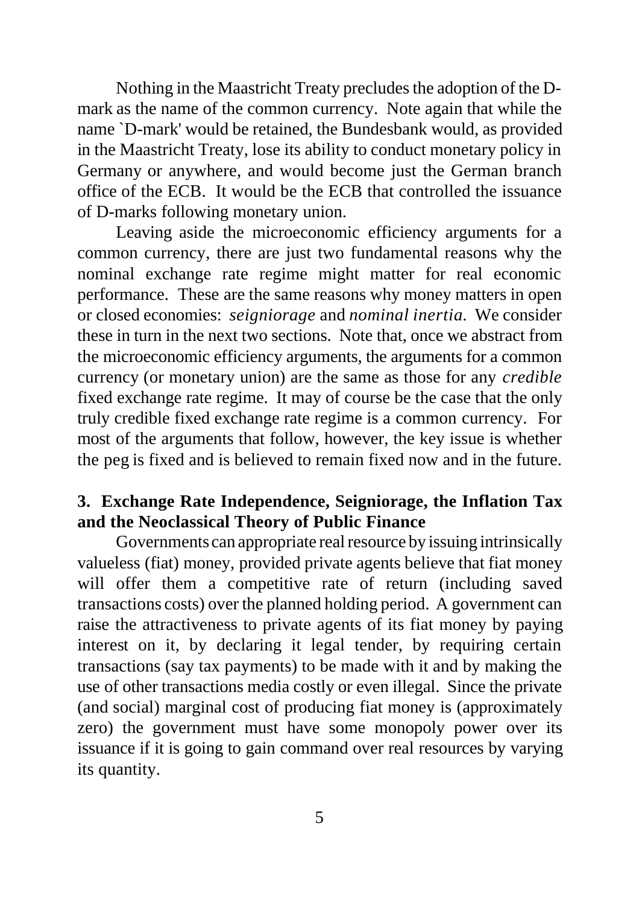Nothing in the Maastricht Treaty precludes the adoption of the Dmark as the name of the common currency. Note again that while the name `D-mark' would be retained, the Bundesbank would, as provided in the Maastricht Treaty, lose its ability to conduct monetary policy in Germany or anywhere, and would become just the German branch office of the ECB. It would be the ECB that controlled the issuance of D-marks following monetary union.

Leaving aside the microeconomic efficiency arguments for a common currency, there are just two fundamental reasons why the nominal exchange rate regime might matter for real economic performance. These are the same reasons why money matters in open or closed economies: *seigniorage* and *nominal inertia*. We consider these in turn in the next two sections. Note that, once we abstract from the microeconomic efficiency arguments, the arguments for a common currency (or monetary union) are the same as those for any *credible* fixed exchange rate regime. It may of course be the case that the only truly credible fixed exchange rate regime is a common currency. For most of the arguments that follow, however, the key issue is whether the peg is fixed and is believed to remain fixed now and in the future.

### **3. Exchange Rate Independence, Seigniorage, the Inflation Tax and the Neoclassical Theory of Public Finance**

Governments can appropriate real resource by issuing intrinsically valueless (fiat) money, provided private agents believe that fiat money will offer them a competitive rate of return (including saved transactions costs) over the planned holding period. A government can raise the attractiveness to private agents of its fiat money by paying interest on it, by declaring it legal tender, by requiring certain transactions (say tax payments) to be made with it and by making the use of other transactions media costly or even illegal. Since the private (and social) marginal cost of producing fiat money is (approximately zero) the government must have some monopoly power over its issuance if it is going to gain command over real resources by varying its quantity.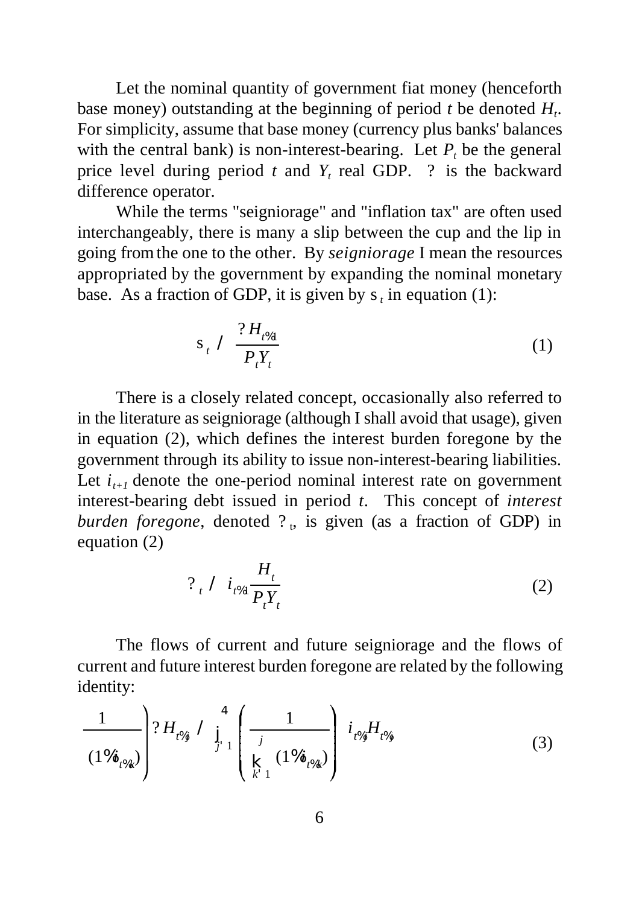Let the nominal quantity of government fiat money (henceforth base money) outstanding at the beginning of period *t* be denoted *H<sup>t</sup>* . For simplicity, assume that base money (currency plus banks' balances with the central bank) is non-interest-bearing. Let  $P_t$  be the general price level during period  $t$  and  $Y_t$  real GDP. ? is the backward difference operator.

While the terms "seigniorage" and "inflation tax" are often used interchangeably, there is many a slip between the cup and the lip in going from the one to the other. By *seigniorage* I mean the resources appropriated by the government by expanding the nominal monetary base. As a fraction of GDP, it is given by  $s_t$  in equation (1):

$$
s_t \nearrow \frac{?H_{t\%1}}{P_t Y_t} \tag{1}
$$

There is a closely related concept, occasionally also referred to in the literature as seigniorage (although I shall avoid that usage), given in equation (2), which defines the interest burden foregone by the government through its ability to issue non-interest-bearing liabilities. Let  $i_{t+1}$  denote the one-period nominal interest rate on government interest-bearing debt issued in period *t*. This concept of *interest* burden foregone, denoted ?, is given (as a fraction of GDP) in equation (2)

 $\rightarrow$ 

$$
? \t_i \tI_{t\%1} \frac{H_t}{P_t Y_t} \t(2)
$$

The flows of current and future seigniorage and the flows of current and future interest burden foregone are related by the following identity:

$$
\frac{1}{(1\%i_{t\%k})}\left(?H_{t\%j} \right) \prod_{j=1}^{4} \left(\frac{1}{\underset{k=1}{\sum_{j=1}^{j} (1\%i_{t\%k})}}\right) i_{t\%j}H_{t\%j} \tag{3}
$$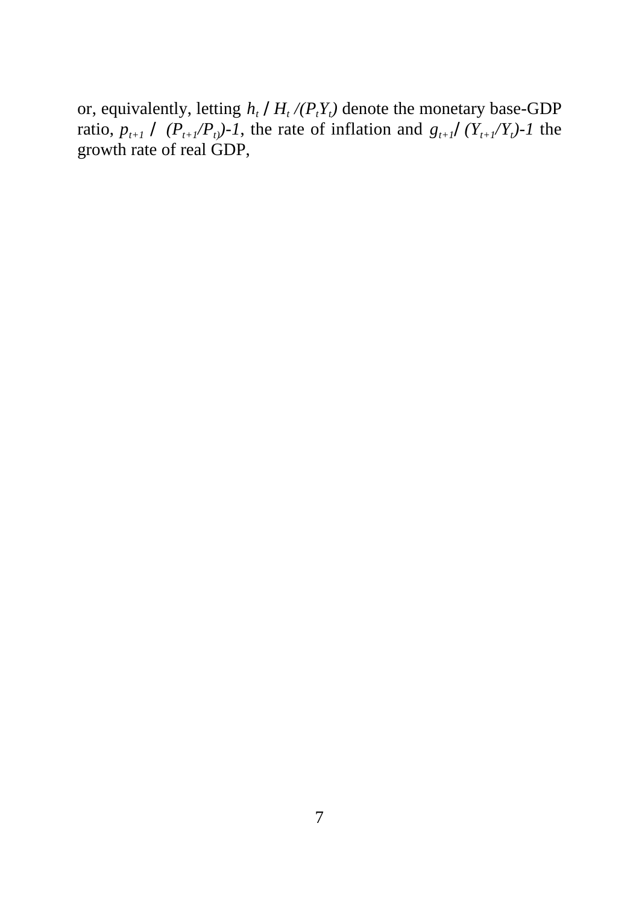or, equivalently, letting *h<sup>t</sup> /H<sup>t</sup> /(PtY<sup>t</sup> )* denote the monetary base-GDP ratio,  $p_{t+1} \, \angle \left(P_{t+1}/P_{t}\right)$ -1, the rate of inflation and  $g_{t+1}/\left(Y_{t+1}/Y_{t}\right)$ -1 the growth rate of real GDP,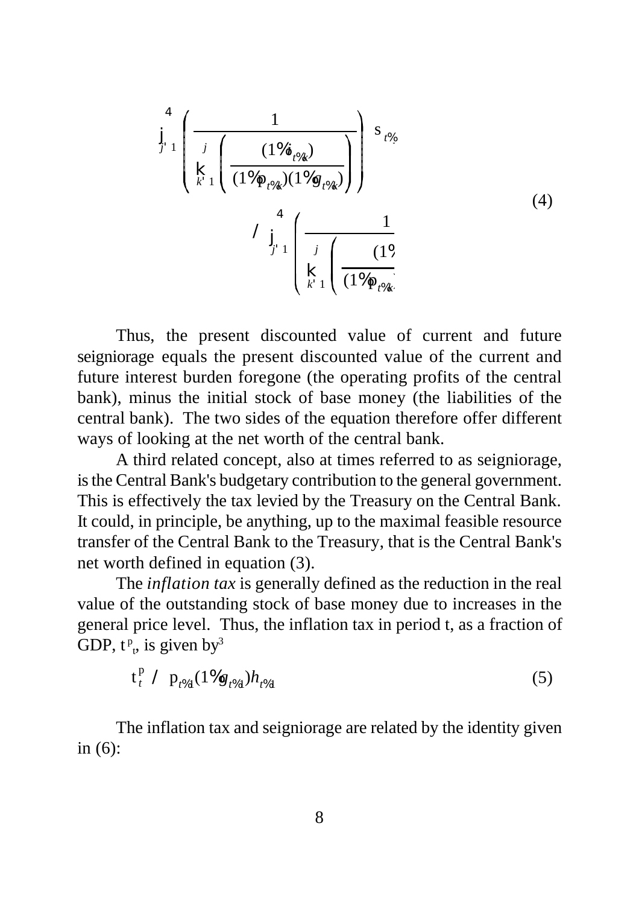$$
\int_{j=1}^{4} \left( \frac{1}{\sum_{k=1}^{j} \left( \frac{(1\%i_{t\%k})}{(1\%p_{t\%k})(1\%g_{t\%k})} \right)} \right) s_{t\%}} \tag{4}
$$
\n
$$
\int_{j=1}^{4} \left( \frac{1}{\sum_{k=1}^{j} \left( \frac{1\%j}{(1\%p_{t\%k})(1\%g_{t\%k})} \right)} \right) ds_{t\%k} \tag{4}
$$

Thus, the present discounted value of current and future seigniorage equals the present discounted value of the current and future interest burden foregone (the operating profits of the central bank), minus the initial stock of base money (the liabilities of the central bank). The two sides of the equation therefore offer different ways of looking at the net worth of the central bank.

A third related concept, also at times referred to as seigniorage, is the Central Bank's budgetary contribution to the general government. This is effectively the tax levied by the Treasury on the Central Bank. It could, in principle, be anything, up to the maximal feasible resource transfer of the Central Bank to the Treasury, that is the Central Bank's net worth defined in equation (3).

The *inflation tax* is generally defined as the reduction in the real value of the outstanding stock of base money due to increases in the general price level. Thus, the inflation tax in period t, as a fraction of GDP,  $t^p$  $_{t}$ , is given by<sup>3</sup>

$$
t_t^p / p_{t\%1} (1\%g_{t\%1}) h_{t\%1} \tag{5}
$$

The inflation tax and seigniorage are related by the identity given in (6):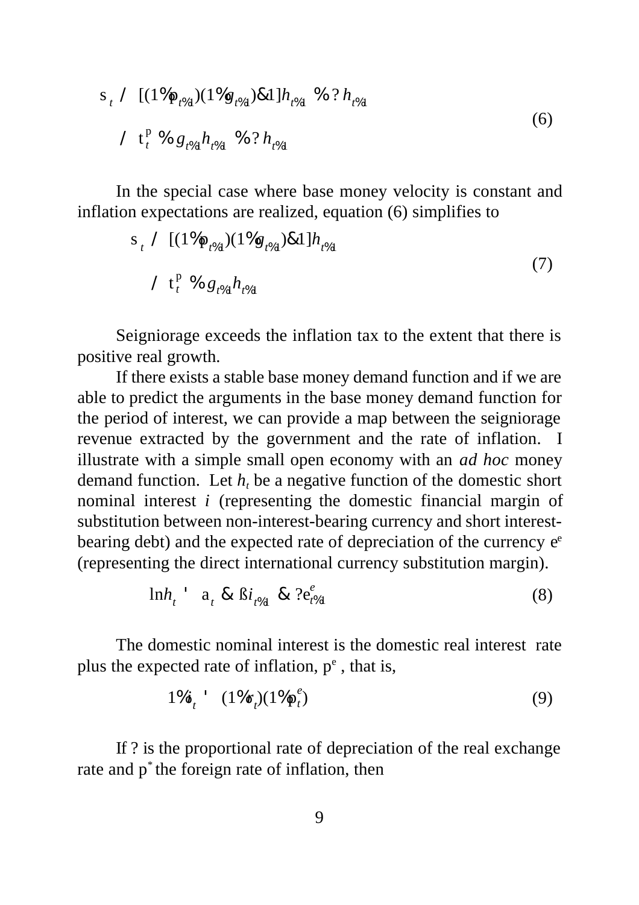$$
s_{t} \nearrow [(1\%p_{t\%1})(1\%g_{t\%1})\&1]h_{t\%1} \text{ % } ?h_{t\%1}
$$
  

$$
\nearrow t_{t}^{p} \text{ % } g_{t\%1}h_{t\%1} \text{ % } ?h_{t\%1} \tag{6}
$$

In the special case where base money velocity is constant and inflation expectations are realized, equation (6) simplifies to

$$
s_{t} \ / \ [(1\%p_{t\%1})(1\%g_{t\%1})\&1]h_{t\%1}
$$
\n
$$
\sqrt{t_{t}^{p}} \% g_{t\%1}h_{t\%1}
$$
\n
$$
(7)
$$

Seigniorage exceeds the inflation tax to the extent that there is positive real growth.

If there exists a stable base money demand function and if we are able to predict the arguments in the base money demand function for the period of interest, we can provide a map between the seigniorage revenue extracted by the government and the rate of inflation. I illustrate with a simple small open economy with an *ad hoc* money demand function. Let  $h_t$  be a negative function of the domestic short nominal interest *i* (representing the domestic financial margin of substitution between non-interest-bearing currency and short interestbearing debt) and the expected rate of depreciation of the currency e<sup>e</sup> (representing the direct international currency substitution margin).

$$
lnh_{t} = a_{t} & \delta i_{t\%1} & \delta i_{t\%1} \tag{8}
$$

The domestic nominal interest is the domestic real interest rate plus the expected rate of inflation,  $p<sup>e</sup>$ , that is,

$$
1\%i_t \quad (1\%r_t)(1\%p_t^e) \tag{9}
$$

If ? is the proportional rate of depreciation of the real exchange rate and p<sup>\*</sup> the foreign rate of inflation, then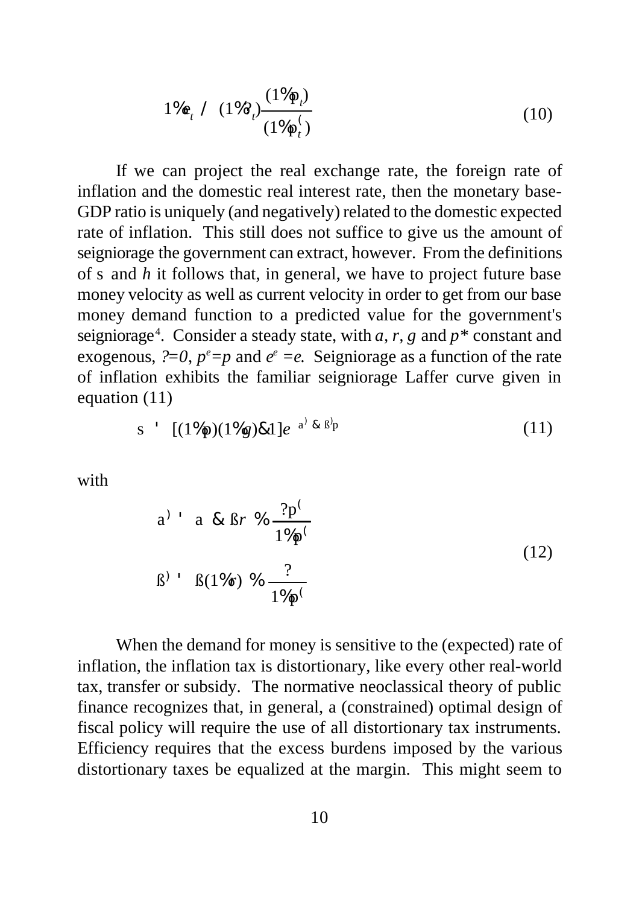$$
1\%e_t \t (1\%) \frac{(1\%p_t)}{(1\%p_t)} \t (10)
$$

If we can project the real exchange rate, the foreign rate of inflation and the domestic real interest rate, then the monetary base-GDP ratio is uniquely (and negatively) related to the domestic expected rate of inflation. This still does not suffice to give us the amount of seigniorage the government can extract, however. From the definitions of s and *h* it follows that, in general, we have to project future base money velocity as well as current velocity in order to get from our base money demand function to a predicted value for the government's seigniorage<sup>4</sup>. Consider a steady state, with  $a, r, g$  and  $p^*$  constant and exogenous,  $?=0$ ,  $p^e=p$  and  $e^e=e$ . Seigniorage as a function of the rate of inflation exhibits the familiar seigniorage Laffer curve given in equation (11)

$$
s \quad [(1\%p)(1\%g)\&1]e^{a^j\&B^jp} \tag{11}
$$

with

a) a & Br % 
$$
\frac{?p^{\leftarrow}}{1\%p^{\leftarrow}}
$$
  
\nB) b B(1%r) %  $\frac{?}{1\%p^{\leftarrow}}$  (12)

When the demand for money is sensitive to the (expected) rate of inflation, the inflation tax is distortionary, like every other real-world tax, transfer or subsidy. The normative neoclassical theory of public finance recognizes that, in general, a (constrained) optimal design of fiscal policy will require the use of all distortionary tax instruments. Efficiency requires that the excess burdens imposed by the various distortionary taxes be equalized at the margin. This might seem to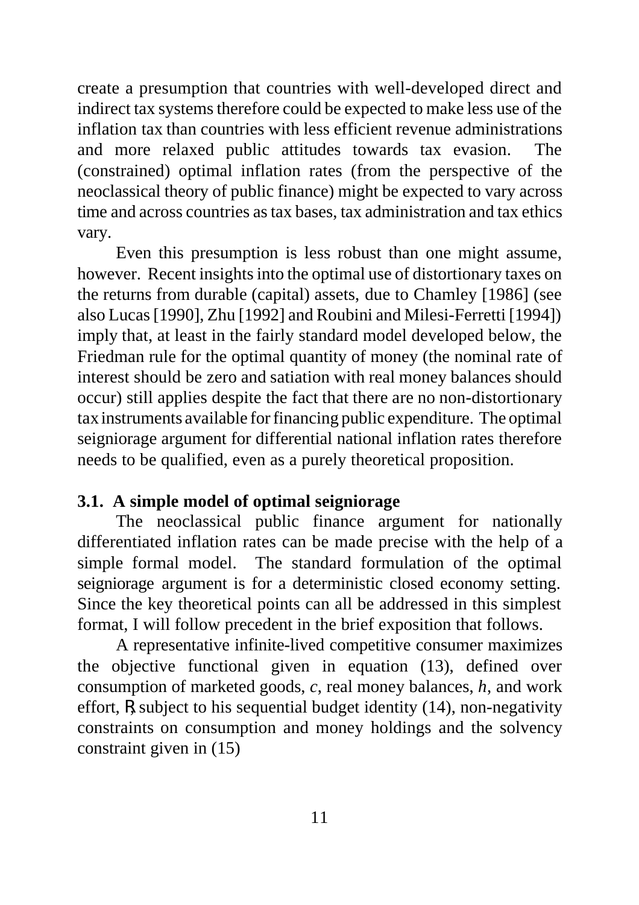create a presumption that countries with well-developed direct and indirect tax systems therefore could be expected to make less use of the inflation tax than countries with less efficient revenue administrations and more relaxed public attitudes towards tax evasion. The (constrained) optimal inflation rates (from the perspective of the neoclassical theory of public finance) might be expected to vary across time and across countries as tax bases, tax administration and tax ethics vary.

Even this presumption is less robust than one might assume, however. Recent insights into the optimal use of distortionary taxes on the returns from durable (capital) assets, due to Chamley [1986] (see also Lucas [1990], Zhu [1992] and Roubini and Milesi-Ferretti [1994]) imply that, at least in the fairly standard model developed below, the Friedman rule for the optimal quantity of money (the nominal rate of interest should be zero and satiation with real money balances should occur) still applies despite the fact that there are no non-distortionary tax instruments available for financing public expenditure. The optimal seigniorage argument for differential national inflation rates therefore needs to be qualified, even as a purely theoretical proposition.

### **3.1. A simple model of optimal seigniorage**

The neoclassical public finance argument for nationally differentiated inflation rates can be made precise with the help of a simple formal model. The standard formulation of the optimal seigniorage argument is for a deterministic closed economy setting. Since the key theoretical points can all be addressed in this simplest format, I will follow precedent in the brief exposition that follows.

A representative infinite-lived competitive consumer maximizes the objective functional given in equation (13), defined over consumption of marketed goods, *c*, real money balances, *h*, and work effort, R, subject to his sequential budget identity (14), non-negativity constraints on consumption and money holdings and the solvency constraint given in (15)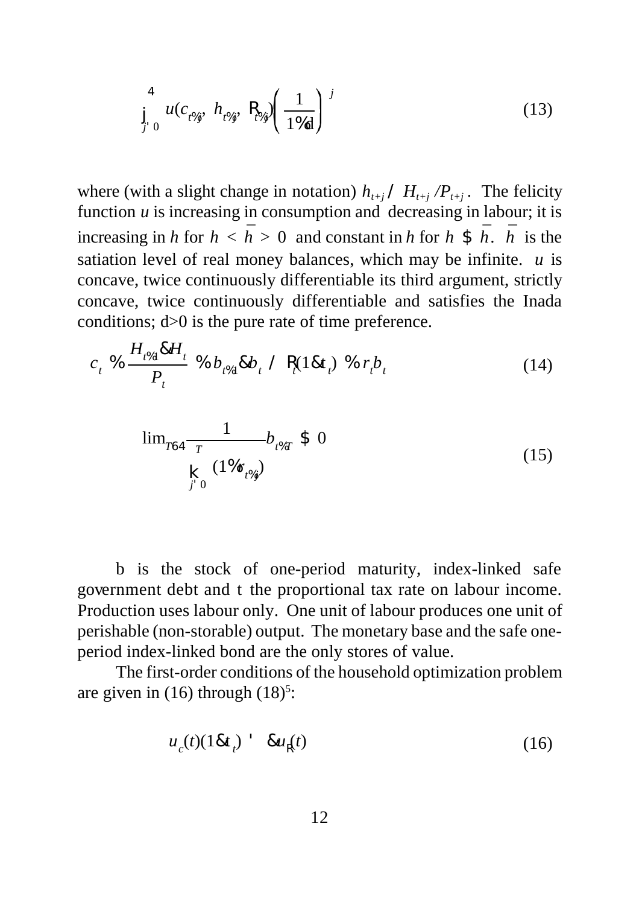$$
\int_{J=0}^{4} u(c_{t\%j}, h_{t\%j}, \mathbf{R}_{t\%j}) \left(\frac{1}{1\%d}\right)^j
$$
 (13)

where (with a slight change in notation)  $h_{t+i} / H_{t+i} / P_{t+i}$ . The felicity function  $u$  is increasing in consumption and decreasing in labour; it is increasing in *h* for  $h < \bar{h} > 0$  and constant in *h* for *h* \$  $\bar{h}$ .  $\bar{h}$  is the satiation level of real money balances, which may be infinite. *u* is concave, twice continuously differentiable its third argument, strictly concave, twice continuously differentiable and satisfies the Inada conditions; d>0 is the pure rate of time preference.

$$
c_{t} \text{ % } \frac{H_{t\%1} \& H_{t}}{P_{t}} \text{ % } b_{t\%1} \& b_{t} \text{ } / \text{ R}_{t} (1 \& t_{t}) \text{ % } r_{t} b_{t}
$$
 (14)

$$
\lim_{T\to 4} \frac{1}{T} b_{t\%T} \$ 0
$$
\n
$$
\underset{j' \ 0}{\mathbf{K}} \frac{(1\%r_{t\%j})}{(15)}
$$

b is the stock of one-period maturity, index-linked safe government debt and t the proportional tax rate on labour income. Production uses labour only. One unit of labour produces one unit of perishable (non-storable) output. The monetary base and the safe oneperiod index-linked bond are the only stores of value.

The first-order conditions of the household optimization problem are given in  $(16)$  through  $(18)<sup>5</sup>$ :

$$
u_c(t)(18t_t) - 8uR(t)
$$
\n(16)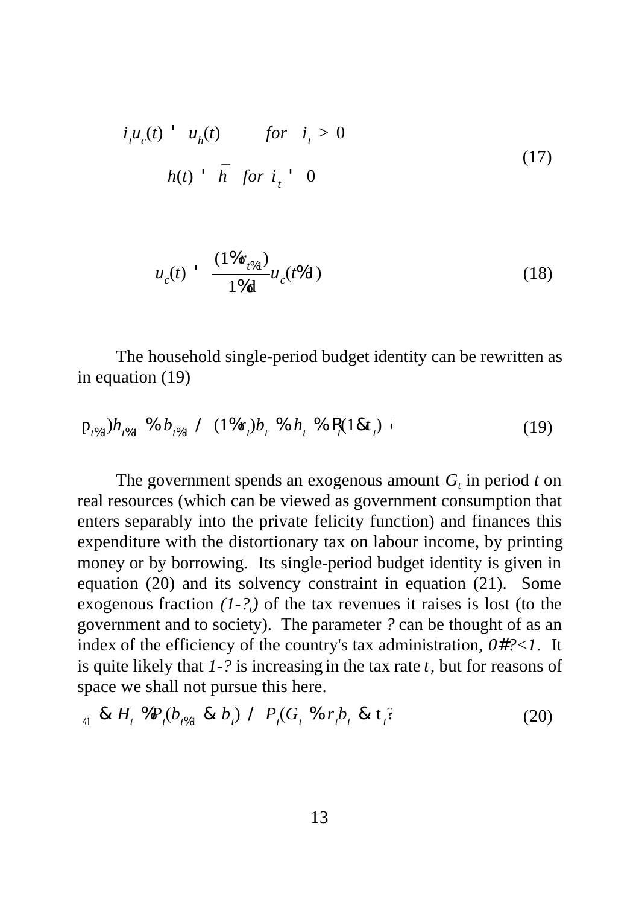$$
ituc(t) uh(t) for it > 0
$$
  
 
$$
h(t) ht \bar{h} for it 0
$$
 (17)

$$
u_c(t) = \frac{(1\%r_{t\%1})}{1\%d}u_c(t\%1)
$$
 (18)

The household single-period budget identity can be rewritten as in equation (19)

$$
p_{t\%1}^{\prime}/h_{t\%1}^{\prime} \text{ % } b_{t\%1}^{\prime} \text{ / } (1\%r_t)b_t^{\prime} \text{ % } h_t^{\prime} \text{ % } R_t(1\& t_t) \text{ } \tag{19}
$$

The government spends an exogenous amount  $G_t$  in period  $t$  on real resources (which can be viewed as government consumption that enters separably into the private felicity function) and finances this expenditure with the distortionary tax on labour income, by printing money or by borrowing. Its single-period budget identity is given in equation (20) and its solvency constraint in equation (21). Some exogenous fraction  $(1-2<sub>t</sub>)$  of the tax revenues it raises is lost (to the government and to society). The parameter *?* can be thought of as an index of the efficiency of the country's tax administration, *0#?<1*. It is quite likely that *1-?* is increasing in the tax rate *t*, but for reasons of space we shall not pursue this here.

$$
{}_{51} \& H_t \mathcal{D}_t(b_{t\%1} \& b_t) \mathcal{D}_t(G_t \mathcal{D}_t r_t b_t \& t_t \text{?}) \tag{20}
$$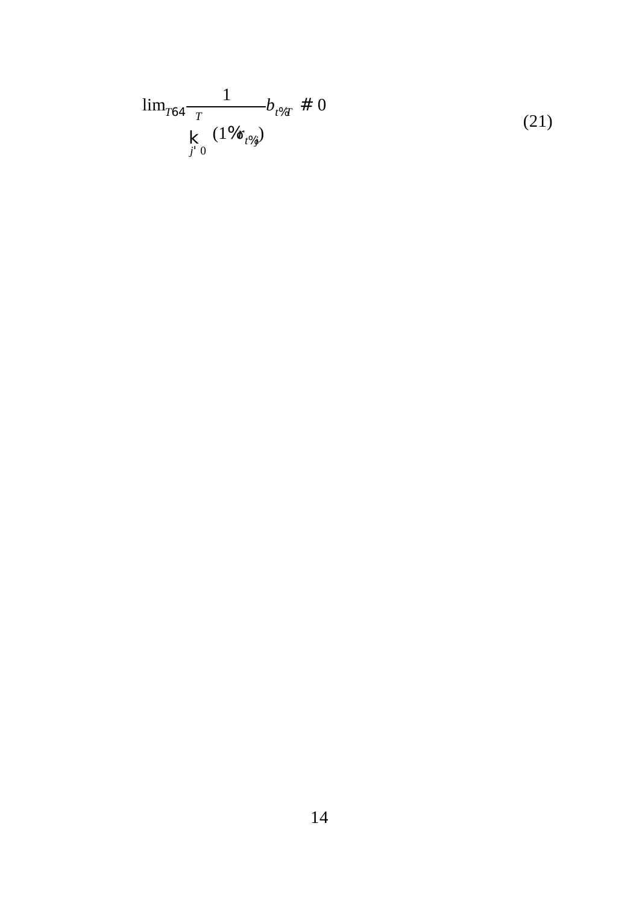$$
\lim_{T\to 4} \frac{1}{T} b_{t\%T} \neq 0
$$
\n
$$
\underset{j' \neq 0}{\mathbf{K}} (\frac{1\%r_{t\%j}}{T}) \tag{21}
$$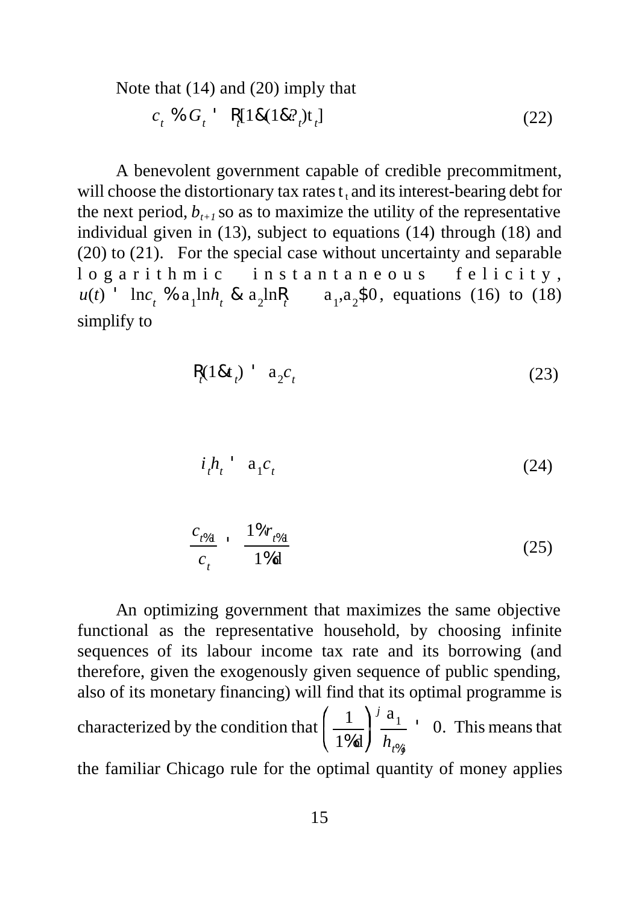Note that (14) and (20) imply that

 $c_t$  %  $G_t$  ' R<sub>t</sub>[1&(1&?<sub>t</sub>)t<sub>t</sub>  $(22)$ 

A benevolent government capable of credible precommitment, will choose the distortionary tax rates  $t_t$  and its interest-bearing debt for the next period,  $b_{t+1}$  so as to maximize the utility of the representative individual given in (13), subject to equations (14) through (18) and (20) to (21). For the special case without uncertainty and separable logarithmic instantaneous felicity,  $u(t)$  ' lnc<sub>t</sub> % a<sub>1</sub>lnh<sub>t</sub> & a<sub>2</sub>lnR<sub>t</sub> a<sub>1</sub>,a<sub>2</sub>\$0, equations (16) to (18) simplify to

$$
R_t(18t_t) \quad a_2c_t \tag{23}
$$

$$
i_t h_t \qquad \mathbf{a}_1 c_t \tag{24}
$$

$$
\frac{c_{t\%1}}{c_t} \cdot \frac{1\%r_{t\%1}}{1\%d} \tag{25}
$$

An optimizing government that maximizes the same objective functional as the representative household, by choosing infinite sequences of its labour income tax rate and its borrowing (and therefore, given the exogenously given sequence of public spending, also of its monetary financing) will find that its optimal programme is characterized by the condition that  $\left(\frac{1}{\sqrt{2}}\right)^{7} \frac{a_1}{a_2}$  ' 0. This means that 1%d  $\boldsymbol{j}$  a<sub>1</sub> *ht*%*<sup>j</sup>* ' 0. the familiar Chicago rule for the optimal quantity of money applies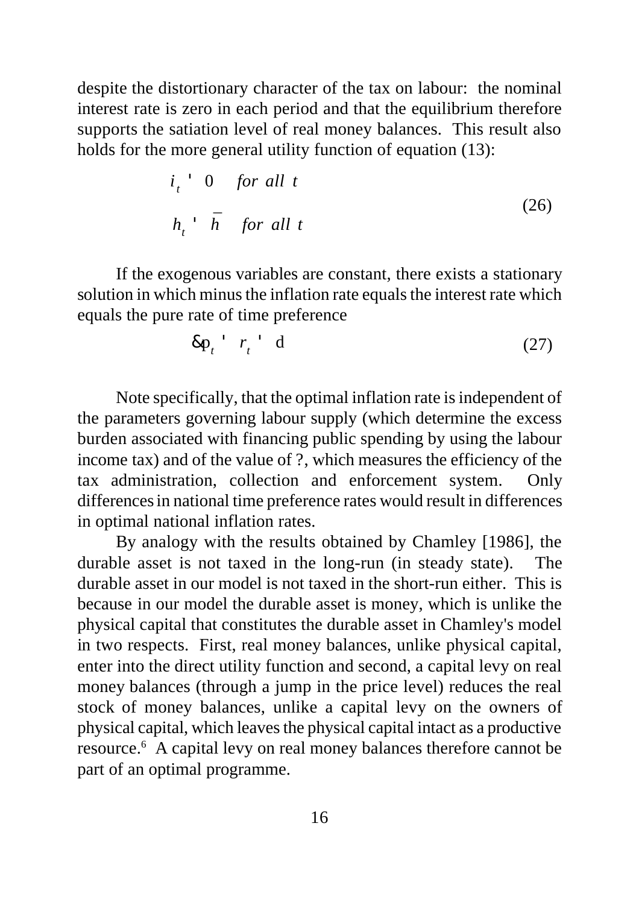despite the distortionary character of the tax on labour: the nominal interest rate is zero in each period and that the equilibrium therefore supports the satiation level of real money balances. This result also holds for the more general utility function of equation (13):

$$
i_t \cdot 0 \quad \text{for all } t
$$
  
\n
$$
h_t \cdot \bar{h} \quad \text{for all } t
$$
 (26)

If the exogenous variables are constant, there exists a stationary solution in which minus the inflation rate equals the interest rate which equals the pure rate of time preference

$$
\&p_t \quad r_t \quad d \tag{27}
$$

Note specifically, that the optimal inflation rate is independent of the parameters governing labour supply (which determine the excess burden associated with financing public spending by using the labour income tax) and of the value of ?, which measures the efficiency of the tax administration, collection and enforcement system. Only differences in national time preference rates would result in differences in optimal national inflation rates.

By analogy with the results obtained by Chamley [1986], the durable asset is not taxed in the long-run (in steady state). The durable asset in our model is not taxed in the short-run either. This is because in our model the durable asset is money, which is unlike the physical capital that constitutes the durable asset in Chamley's model in two respects. First, real money balances, unlike physical capital, enter into the direct utility function and second, a capital levy on real money balances (through a jump in the price level) reduces the real stock of money balances, unlike a capital levy on the owners of physical capital, which leaves the physical capital intact as a productive resource.<sup>6</sup> A capital levy on real money balances therefore cannot be part of an optimal programme.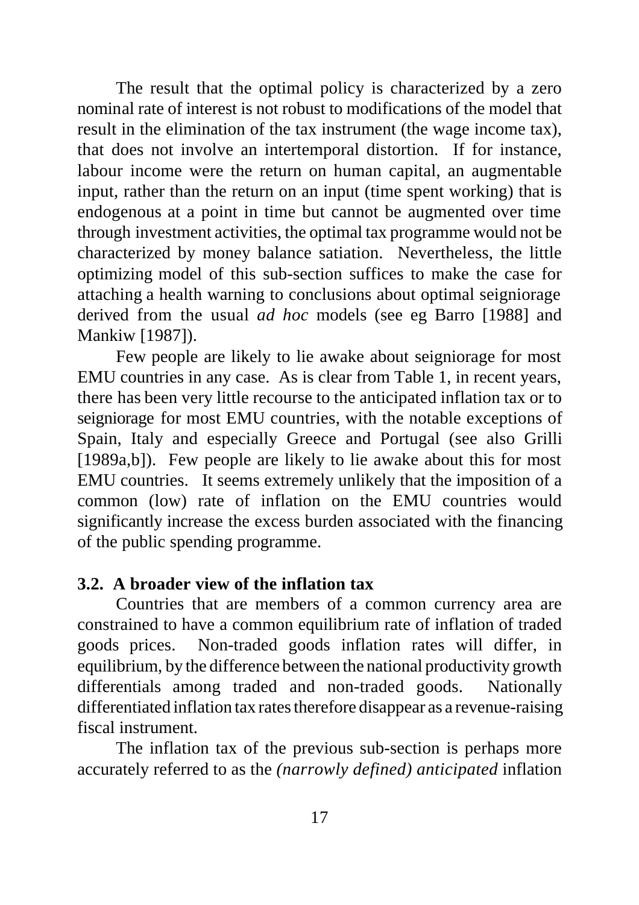The result that the optimal policy is characterized by a zero nominal rate of interest is not robust to modifications of the model that result in the elimination of the tax instrument (the wage income tax), that does not involve an intertemporal distortion. If for instance, labour income were the return on human capital, an augmentable input, rather than the return on an input (time spent working) that is endogenous at a point in time but cannot be augmented over time through investment activities, the optimal tax programme would not be characterized by money balance satiation. Nevertheless, the little optimizing model of this sub-section suffices to make the case for attaching a health warning to conclusions about optimal seigniorage derived from the usual *ad hoc* models (see eg Barro [1988] and Mankiw [1987]).

Few people are likely to lie awake about seigniorage for most EMU countries in any case. As is clear from Table 1, in recent years, there has been very little recourse to the anticipated inflation tax or to seigniorage for most EMU countries, with the notable exceptions of Spain, Italy and especially Greece and Portugal (see also Grilli [1989a,b]). Few people are likely to lie awake about this for most EMU countries. It seems extremely unlikely that the imposition of a common (low) rate of inflation on the EMU countries would significantly increase the excess burden associated with the financing of the public spending programme.

### **3.2. A broader view of the inflation tax**

Countries that are members of a common currency area are constrained to have a common equilibrium rate of inflation of traded goods prices. Non-traded goods inflation rates will differ, in equilibrium, by the difference between the national productivity growth differentials among traded and non-traded goods. Nationally differentiated inflation tax rates therefore disappear as a revenue-raising fiscal instrument.

The inflation tax of the previous sub-section is perhaps more accurately referred to as the *(narrowly defined) anticipated* inflation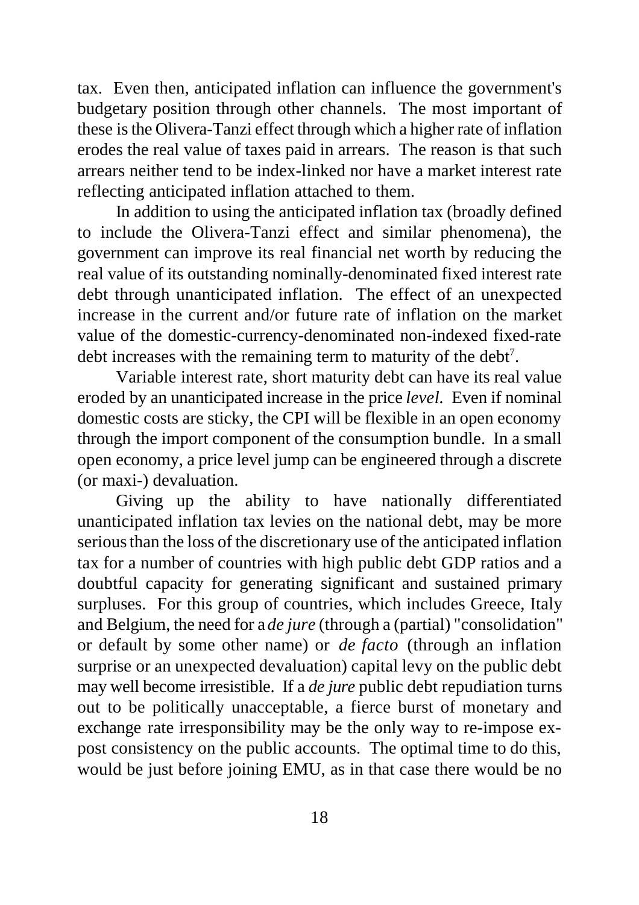tax. Even then, anticipated inflation can influence the government's budgetary position through other channels. The most important of these is the Olivera-Tanzi effect through which a higher rate of inflation erodes the real value of taxes paid in arrears. The reason is that such arrears neither tend to be index-linked nor have a market interest rate reflecting anticipated inflation attached to them.

In addition to using the anticipated inflation tax (broadly defined to include the Olivera-Tanzi effect and similar phenomena), the government can improve its real financial net worth by reducing the real value of its outstanding nominally-denominated fixed interest rate debt through unanticipated inflation. The effect of an unexpected increase in the current and/or future rate of inflation on the market value of the domestic-currency-denominated non-indexed fixed-rate debt increases with the remaining term to maturity of the debt<sup>7</sup>.

Variable interest rate, short maturity debt can have its real value eroded by an unanticipated increase in the price *level.* Even if nominal domestic costs are sticky, the CPI will be flexible in an open economy through the import component of the consumption bundle. In a small open economy, a price level jump can be engineered through a discrete (or maxi-) devaluation.

Giving up the ability to have nationally differentiated unanticipated inflation tax levies on the national debt, may be more serious than the loss of the discretionary use of the anticipated inflation tax for a number of countries with high public debt GDP ratios and a doubtful capacity for generating significant and sustained primary surpluses. For this group of countries, which includes Greece, Italy and Belgium, the need for a *de jure* (through a (partial) "consolidation" or default by some other name) or *de facto* (through an inflation surprise or an unexpected devaluation) capital levy on the public debt may well become irresistible. If a *de jure* public debt repudiation turns out to be politically unacceptable, a fierce burst of monetary and exchange rate irresponsibility may be the only way to re-impose expost consistency on the public accounts. The optimal time to do this, would be just before joining EMU, as in that case there would be no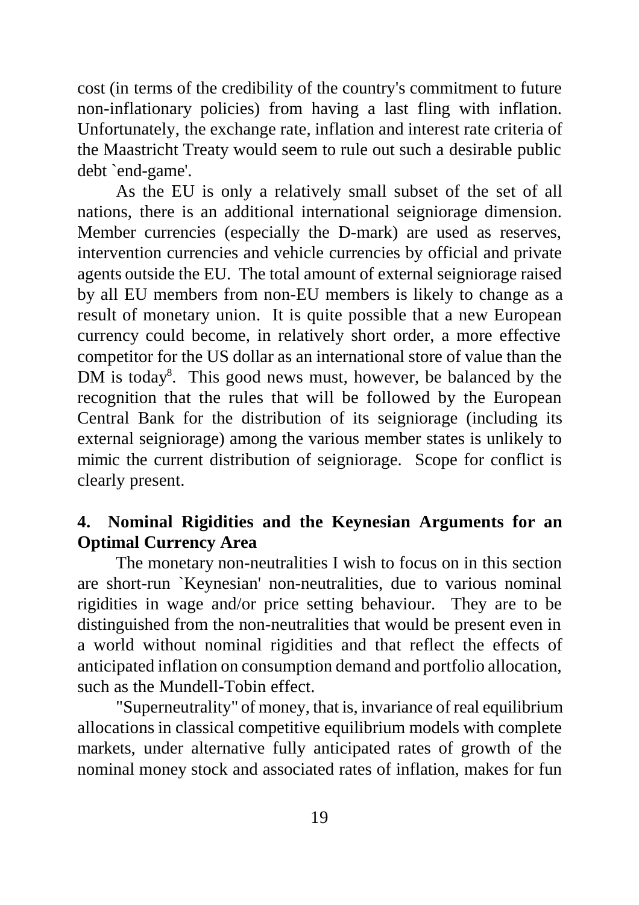cost (in terms of the credibility of the country's commitment to future non-inflationary policies) from having a last fling with inflation. Unfortunately, the exchange rate, inflation and interest rate criteria of the Maastricht Treaty would seem to rule out such a desirable public debt `end-game'.

As the EU is only a relatively small subset of the set of all nations, there is an additional international seigniorage dimension. Member currencies (especially the D-mark) are used as reserves, intervention currencies and vehicle currencies by official and private agents outside the EU. The total amount of external seigniorage raised by all EU members from non-EU members is likely to change as a result of monetary union. It is quite possible that a new European currency could become, in relatively short order, a more effective competitor for the US dollar as an international store of value than the DM is today<sup>8</sup>. This good news must, however, be balanced by the recognition that the rules that will be followed by the European Central Bank for the distribution of its seigniorage (including its external seigniorage) among the various member states is unlikely to mimic the current distribution of seigniorage. Scope for conflict is clearly present.

## **4. Nominal Rigidities and the Keynesian Arguments for an Optimal Currency Area**

The monetary non-neutralities I wish to focus on in this section are short-run `Keynesian' non-neutralities, due to various nominal rigidities in wage and/or price setting behaviour. They are to be distinguished from the non-neutralities that would be present even in a world without nominal rigidities and that reflect the effects of anticipated inflation on consumption demand and portfolio allocation, such as the Mundell-Tobin effect.

"Superneutrality" of money, that is, invariance of real equilibrium allocations in classical competitive equilibrium models with complete markets, under alternative fully anticipated rates of growth of the nominal money stock and associated rates of inflation, makes for fun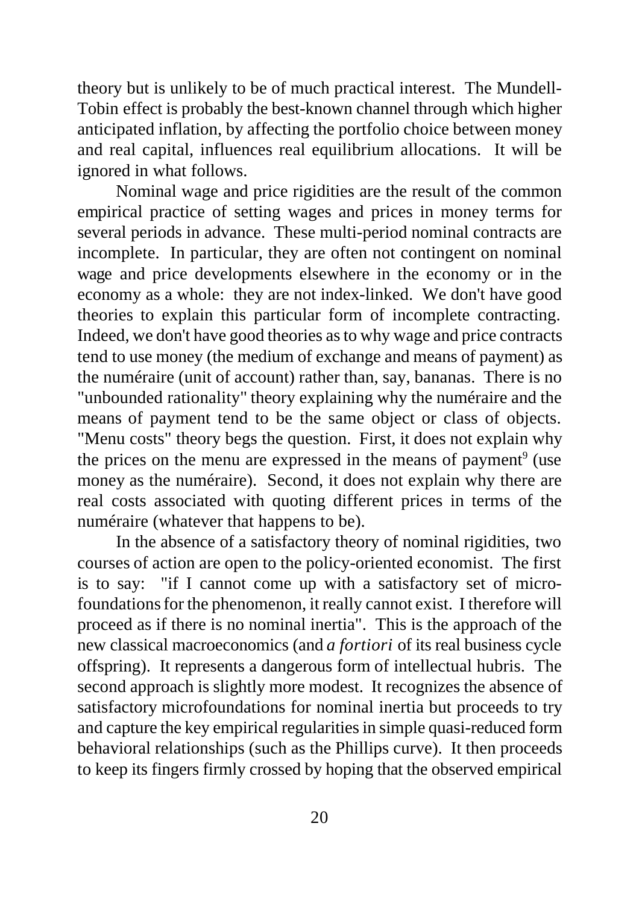theory but is unlikely to be of much practical interest. The Mundell-Tobin effect is probably the best-known channel through which higher anticipated inflation, by affecting the portfolio choice between money and real capital, influences real equilibrium allocations. It will be ignored in what follows.

Nominal wage and price rigidities are the result of the common empirical practice of setting wages and prices in money terms for several periods in advance. These multi-period nominal contracts are incomplete. In particular, they are often not contingent on nominal wage and price developments elsewhere in the economy or in the economy as a whole: they are not index-linked. We don't have good theories to explain this particular form of incomplete contracting. Indeed, we don't have good theories as to why wage and price contracts tend to use money (the medium of exchange and means of payment) as the numéraire (unit of account) rather than, say, bananas. There is no "unbounded rationality" theory explaining why the numéraire and the means of payment tend to be the same object or class of objects. "Menu costs" theory begs the question. First, it does not explain why the prices on the menu are expressed in the means of payment<sup>9</sup> (use money as the numéraire). Second, it does not explain why there are real costs associated with quoting different prices in terms of the numéraire (whatever that happens to be).

In the absence of a satisfactory theory of nominal rigidities, two courses of action are open to the policy-oriented economist. The first is to say: "if I cannot come up with a satisfactory set of microfoundations for the phenomenon, it really cannot exist. I therefore will proceed as if there is no nominal inertia". This is the approach of the new classical macroeconomics (and *a fortiori* of its real business cycle offspring). It represents a dangerous form of intellectual hubris. The second approach is slightly more modest. It recognizes the absence of satisfactory microfoundations for nominal inertia but proceeds to try and capture the key empirical regularities in simple quasi-reduced form behavioral relationships (such as the Phillips curve). It then proceeds to keep its fingers firmly crossed by hoping that the observed empirical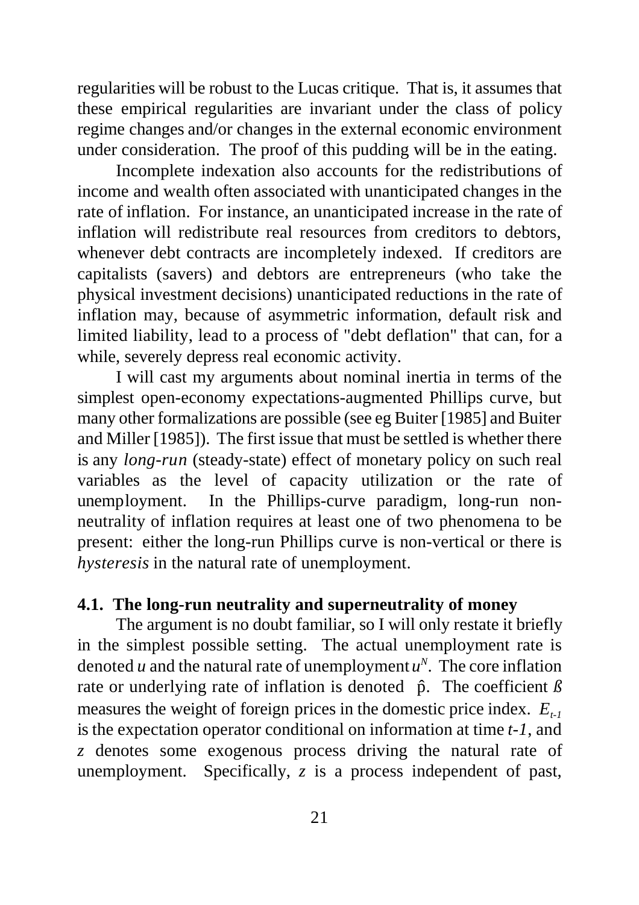regularities will be robust to the Lucas critique. That is, it assumes that these empirical regularities are invariant under the class of policy regime changes and/or changes in the external economic environment under consideration. The proof of this pudding will be in the eating.

Incomplete indexation also accounts for the redistributions of income and wealth often associated with unanticipated changes in the rate of inflation. For instance, an unanticipated increase in the rate of inflation will redistribute real resources from creditors to debtors, whenever debt contracts are incompletely indexed. If creditors are capitalists (savers) and debtors are entrepreneurs (who take the physical investment decisions) unanticipated reductions in the rate of inflation may, because of asymmetric information, default risk and limited liability, lead to a process of "debt deflation" that can, for a while, severely depress real economic activity.

I will cast my arguments about nominal inertia in terms of the simplest open-economy expectations-augmented Phillips curve, but many other formalizations are possible (see eg Buiter [1985] and Buiter and Miller [1985]). The first issue that must be settled is whether there is any *long-run* (steady-state) effect of monetary policy on such real variables as the level of capacity utilization or the rate of unemployment. In the Phillips-curve paradigm, long-run nonneutrality of inflation requires at least one of two phenomena to be present: either the long-run Phillips curve is non-vertical or there is *hysteresis* in the natural rate of unemployment.

#### **4.1. The long-run neutrality and superneutrality of money**

The argument is no doubt familiar, so I will only restate it briefly in the simplest possible setting. The actual unemployment rate is denoted *u* and the natural rate of unemployment  $u^N$ . The core inflation rate or underlying rate of inflation is denoted  $\hat{p}$ . The coefficient  $\beta$ measures the weight of foreign prices in the domestic price index. *Et-1* is the expectation operator conditional on information at time *t-1*, and *z* denotes some exogenous process driving the natural rate of unemployment. Specifically, *z* is a process independent of past,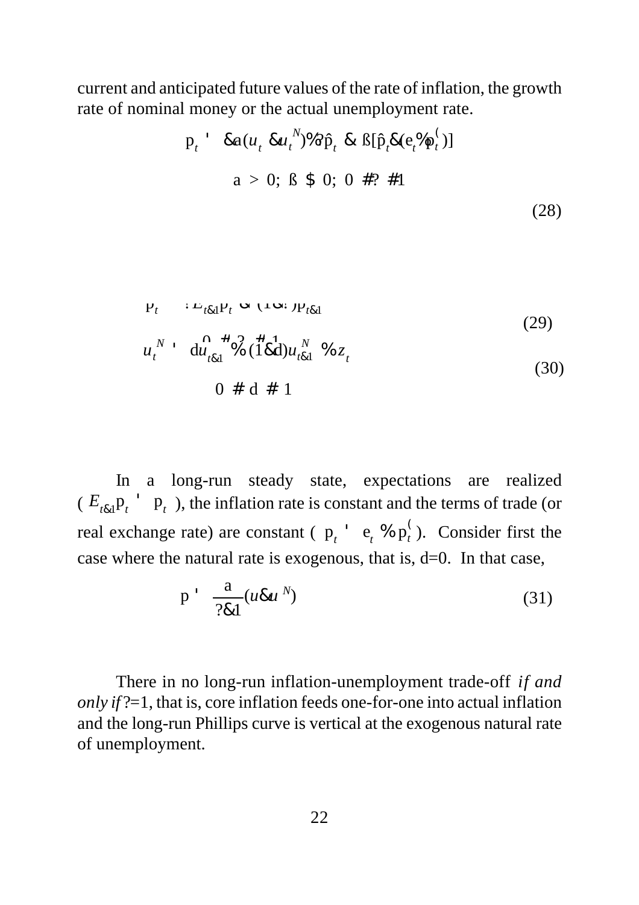current and anticipated future values of the rate of inflation, the growth rate of nominal money or the actual unemployment rate.

$$
p_{t} \quad \text{8a}(u_{t} \, \text{8u}_{t}^{N})\%\% \hat{p}_{t} \, \text{8} \, \text{B}[\hat{p}_{t}\text{8}(e_{t}^{N}p_{t}^{C})]
$$
\n
$$
a > 0; \, \text{B} \, \text{$} \, 0; \, 0 \, \text{$} \#? \, \#1
$$
\n
$$
(28)
$$

$$
P_t \qquad L_{t\&1}P_t \propto (\text{Im} \cdot p_{t\&1})
$$
\n(29)

$$
u_t^N + d\mathbf{u}_{t\&1}^N \mathbf{A}_{t\&1}^T \mathbf{A}_{t\&1}^T \mathbf{A}_{t\&1}^N \mathbf{A}_{t\&1}^T \mathbf{A}_{t\&1}
$$
\n
$$
0 \# d \# 1
$$
\n(30)

In a long-run steady state, expectations are realized  $(E_{t\&1}$  $p_t$ <sup> $\cdot$ </sup>  $p_t$ ), the inflation rate is constant and the terms of trade (or real exchange rate) are constant ( $p_t$ <sup>+</sup>  $e_t$  %  $p_t^{\prime}$ ). Consider first the *t* case where the natural rate is exogenous, that is, d=0. In that case,

$$
p' \frac{a}{?&1}(u\&u'') \tag{31}
$$

There in no long-run inflation-unemployment trade-off *if and only if* ?=1, that is, core inflation feeds one-for-one into actual inflation and the long-run Phillips curve is vertical at the exogenous natural rate of unemployment.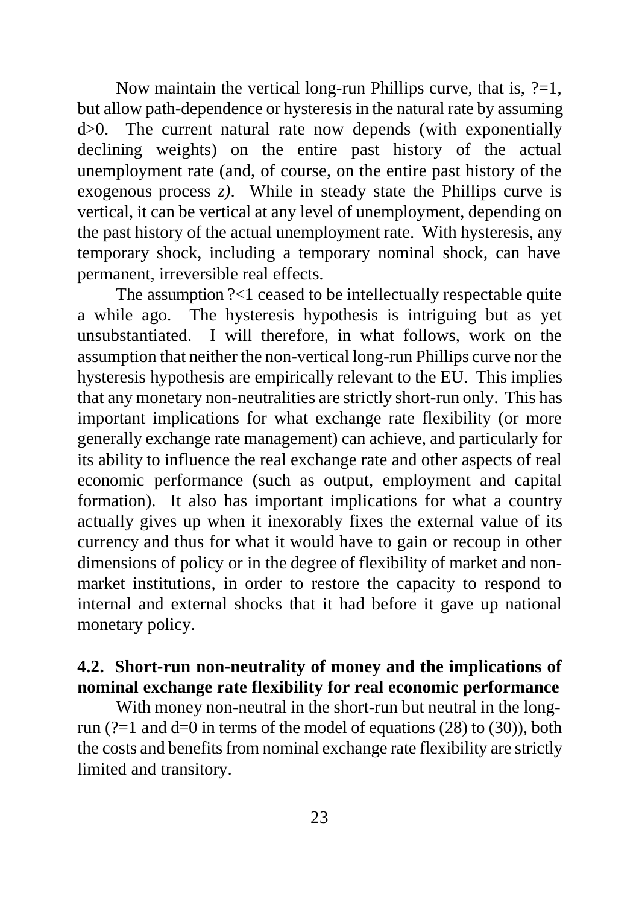Now maintain the vertical long-run Phillips curve, that is,  $?=1$ , but allow path-dependence or hysteresis in the natural rate by assuming d>0. The current natural rate now depends (with exponentially declining weights) on the entire past history of the actual unemployment rate (and, of course, on the entire past history of the exogenous process *z)*. While in steady state the Phillips curve is vertical, it can be vertical at any level of unemployment, depending on the past history of the actual unemployment rate. With hysteresis, any temporary shock, including a temporary nominal shock, can have permanent, irreversible real effects.

The assumption ?<1 ceased to be intellectually respectable quite a while ago. The hysteresis hypothesis is intriguing but as yet unsubstantiated. I will therefore, in what follows, work on the assumption that neither the non-vertical long-run Phillips curve nor the hysteresis hypothesis are empirically relevant to the EU. This implies that any monetary non-neutralities are strictly short-run only. This has important implications for what exchange rate flexibility (or more generally exchange rate management) can achieve, and particularly for its ability to influence the real exchange rate and other aspects of real economic performance (such as output, employment and capital formation). It also has important implications for what a country actually gives up when it inexorably fixes the external value of its currency and thus for what it would have to gain or recoup in other dimensions of policy or in the degree of flexibility of market and nonmarket institutions, in order to restore the capacity to respond to internal and external shocks that it had before it gave up national monetary policy.

## **4.2. Short-run non-neutrality of money and the implications of nominal exchange rate flexibility for real economic performance**

With money non-neutral in the short-run but neutral in the longrun (?=1 and  $d=0$  in terms of the model of equations (28) to (30)), both the costs and benefits from nominal exchange rate flexibility are strictly limited and transitory.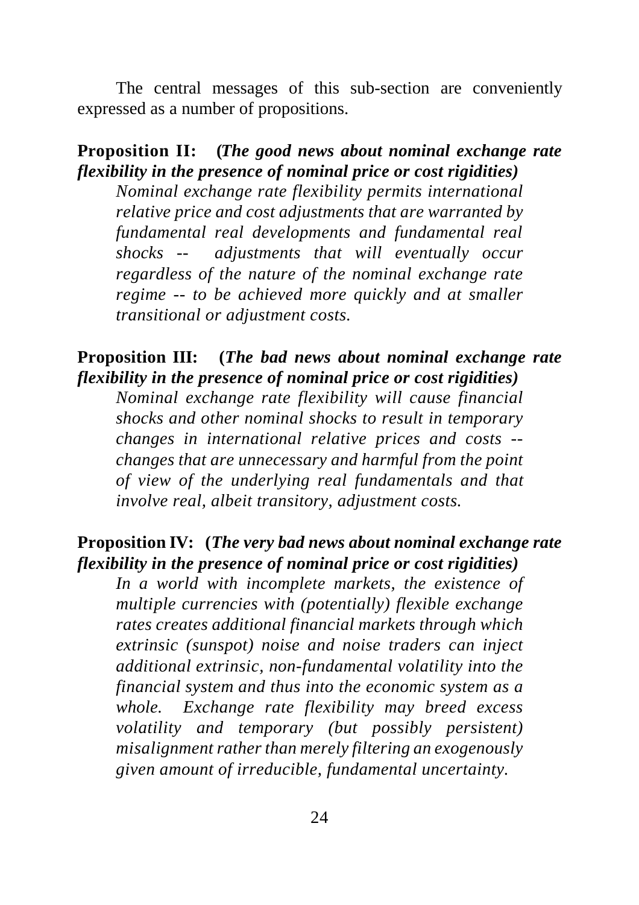The central messages of this sub-section are conveniently expressed as a number of propositions.

### **Proposition II: (***The good news about nominal exchange rate flexibility in the presence of nominal price or cost rigidities)*

*Nominal exchange rate flexibility permits international relative price and cost adjustments that are warranted by fundamental real developments and fundamental real shocks -- adjustments that will eventually occur regardless of the nature of the nominal exchange rate regime -- to be achieved more quickly and at smaller transitional or adjustment costs.*

### **Proposition III: (***The bad news about nominal exchange rate flexibility in the presence of nominal price or cost rigidities)*

*Nominal exchange rate flexibility will cause financial shocks and other nominal shocks to result in temporary changes in international relative prices and costs - changes that are unnecessary and harmful from the point of view of the underlying real fundamentals and that involve real, albeit transitory, adjustment costs.*

### **Proposition IV: (***The very bad news about nominal exchange rate flexibility in the presence of nominal price or cost rigidities)*

*In a world with incomplete markets, the existence of multiple currencies with (potentially) flexible exchange rates creates additional financial markets through which extrinsic (sunspot) noise and noise traders can inject additional extrinsic, non-fundamental volatility into the financial system and thus into the economic system as a whole. Exchange rate flexibility may breed excess volatility and temporary (but possibly persistent) misalignment rather than merely filtering an exogenously given amount of irreducible, fundamental uncertainty.*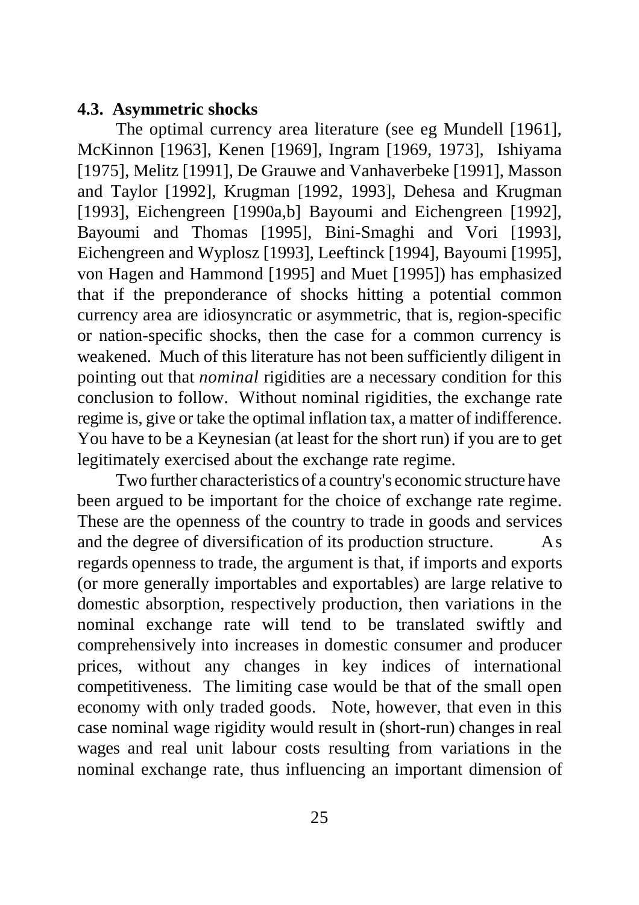#### **4.3. Asymmetric shocks**

The optimal currency area literature (see eg Mundell [1961], McKinnon [1963], Kenen [1969], Ingram [1969, 1973], Ishiyama [1975], Melitz [1991], De Grauwe and Vanhaverbeke [1991], Masson and Taylor [1992], Krugman [1992, 1993], Dehesa and Krugman [1993], Eichengreen [1990a,b] Bayoumi and Eichengreen [1992], Bayoumi and Thomas [1995], Bini-Smaghi and Vori [1993], Eichengreen and Wyplosz [1993], Leeftinck [1994], Bayoumi [1995], von Hagen and Hammond [1995] and Muet [1995]) has emphasized that if the preponderance of shocks hitting a potential common currency area are idiosyncratic or asymmetric, that is, region-specific or nation-specific shocks, then the case for a common currency is weakened. Much of this literature has not been sufficiently diligent in pointing out that *nominal* rigidities are a necessary condition for this conclusion to follow. Without nominal rigidities, the exchange rate regime is, give or take the optimal inflation tax, a matter of indifference. You have to be a Keynesian (at least for the short run) if you are to get legitimately exercised about the exchange rate regime.

Two further characteristics of a country's economic structure have been argued to be important for the choice of exchange rate regime. These are the openness of the country to trade in goods and services and the degree of diversification of its production structure. As regards openness to trade, the argument is that, if imports and exports (or more generally importables and exportables) are large relative to domestic absorption, respectively production, then variations in the nominal exchange rate will tend to be translated swiftly and comprehensively into increases in domestic consumer and producer prices, without any changes in key indices of international competitiveness. The limiting case would be that of the small open economy with only traded goods. Note, however, that even in this case nominal wage rigidity would result in (short-run) changes in real wages and real unit labour costs resulting from variations in the nominal exchange rate, thus influencing an important dimension of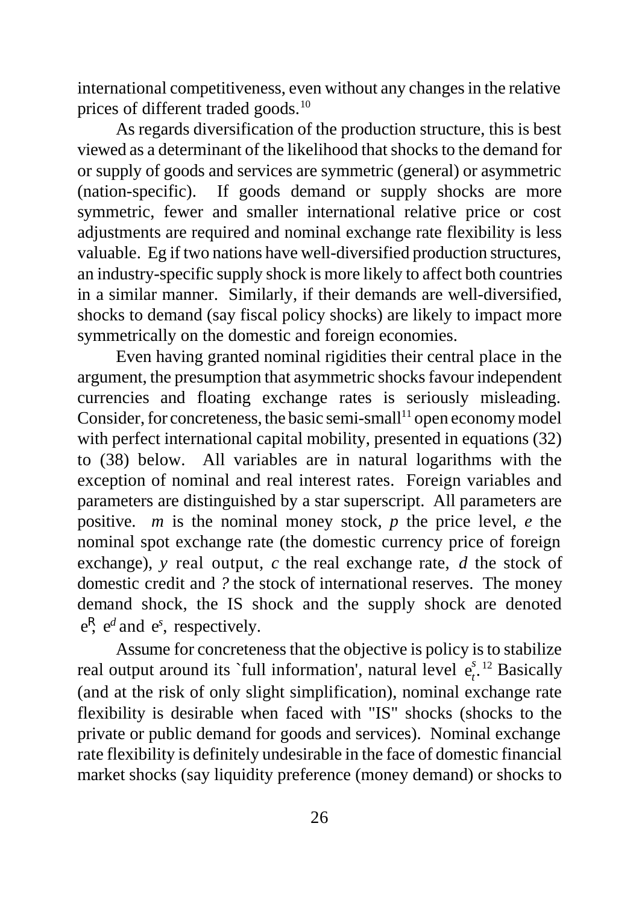international competitiveness, even without any changes in the relative prices of different traded goods.<sup>10</sup>

As regards diversification of the production structure, this is best viewed as a determinant of the likelihood that shocks to the demand for or supply of goods and services are symmetric (general) or asymmetric (nation-specific). If goods demand or supply shocks are more symmetric, fewer and smaller international relative price or cost adjustments are required and nominal exchange rate flexibility is less valuable. Eg if two nations have well-diversified production structures, an industry-specific supply shock is more likely to affect both countries in a similar manner. Similarly, if their demands are well-diversified, shocks to demand (say fiscal policy shocks) are likely to impact more symmetrically on the domestic and foreign economies.

Even having granted nominal rigidities their central place in the argument, the presumption that asymmetric shocks favour independent currencies and floating exchange rates is seriously misleading. Consider, for concreteness, the basic semi-small<sup>11</sup> open economy model with perfect international capital mobility, presented in equations (32) to (38) below. All variables are in natural logarithms with the exception of nominal and real interest rates. Foreign variables and parameters are distinguished by a star superscript. All parameters are positive. *m* is the nominal money stock, *p* the price level, *e* the nominal spot exchange rate (the domestic currency price of foreign exchange), *y* real output, *c* the real exchange rate, *d* the stock of domestic credit and *?* the stock of international reserves. The money demand shock, the IS shock and the supply shock are denoted  $e^{R}$ ,  $e^{d}$  and  $e^{s}$ , respectively.

Assume for concreteness that the objective is policy is to stabilize real output around its `full information', natural level  $e_t^s$ .<sup>12</sup> Basically (and at the risk of only slight simplification), nominal exchange rate flexibility is desirable when faced with "IS" shocks (shocks to the private or public demand for goods and services). Nominal exchange rate flexibility is definitely undesirable in the face of domestic financial market shocks (say liquidity preference (money demand) or shocks to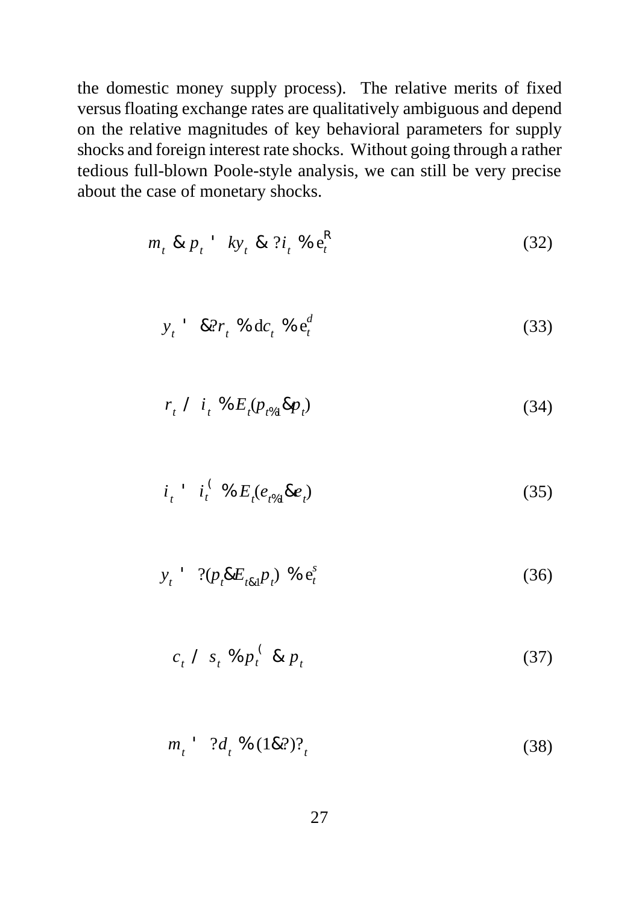the domestic money supply process). The relative merits of fixed versus floating exchange rates are qualitatively ambiguous and depend on the relative magnitudes of key behavioral parameters for supply shocks and foreign interest rate shocks. Without going through a rather tedious full-blown Poole-style analysis, we can still be very precise about the case of monetary shocks.

$$
m_t \& p_t \quad k y_t \& ?i_t \& e_t^R \tag{32}
$$

$$
y_t = 8.2r_t % \text{d}t_t % \text{d}t = 0.33
$$

$$
r_{t} \ / \ i_{t} \ \% \ E_{t}(p_{t\%1} \& p_{t}) \tag{34}
$$

$$
i_t \quad i_t^{\; (8)} \mathcal{E}_t(e_{t\%1}\&e_t) \tag{35}
$$

$$
y_t = ?(p_t \& E_{t \& 1} p_t) \mathbin{0} \in \mathbf{e}_t^s
$$
 (36)

$$
c_t \nearrow s_t \n\% p_t \n\in \mathcal{B} \quad p_t \tag{37}
$$

$$
m_t = ?d_t % (1\& ?)?_t \tag{38}
$$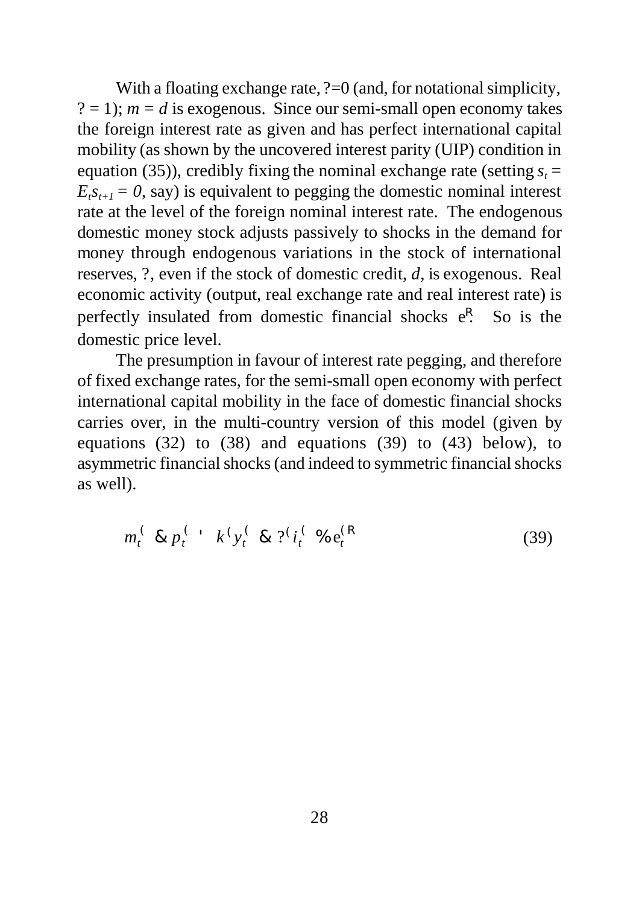With a floating exchange rate,  $? = 0$  (and, for notational simplicity,  $? = 1$ ;  $m = d$  is exogenous. Since our semi-small open economy takes the foreign interest rate as given and has perfect international capital mobility (as shown by the uncovered interest parity (UIP) condition in equation (35)), credibly fixing the nominal exchange rate (setting  $s<sub>t</sub>$  =  $E_t s_{t+1} = 0$ , say) is equivalent to pegging the domestic nominal interest rate at the level of the foreign nominal interest rate. The endogenous domestic money stock adjusts passively to shocks in the demand for money through endogenous variations in the stock of international reserves, ?, even if the stock of domestic credit, *d,* is exogenous. Real economic activity (output, real exchange rate and real interest rate) is perfectly insulated from domestic financial shocks  $e^{R}$ . So is the domestic price level.

The presumption in favour of interest rate pegging, and therefore of fixed exchange rates, for the semi-small open economy with perfect international capital mobility in the face of domestic financial shocks carries over, in the multi-country version of this model (given by equations  $(32)$  to  $(38)$  and equations  $(39)$  to  $(43)$  below), to asymmetric financial shocks (and indeed to symmetric financial shocks as well).

$$
m_t^{\prime} \& p_t^{\prime} \quad k^{\prime} y_t^{\prime} \& \mathcal{P}_{t}^{\prime} \left( \mathcal{V}_{t} \& \mathcal{P}_{t}^{\prime} \right) \qquad (39)
$$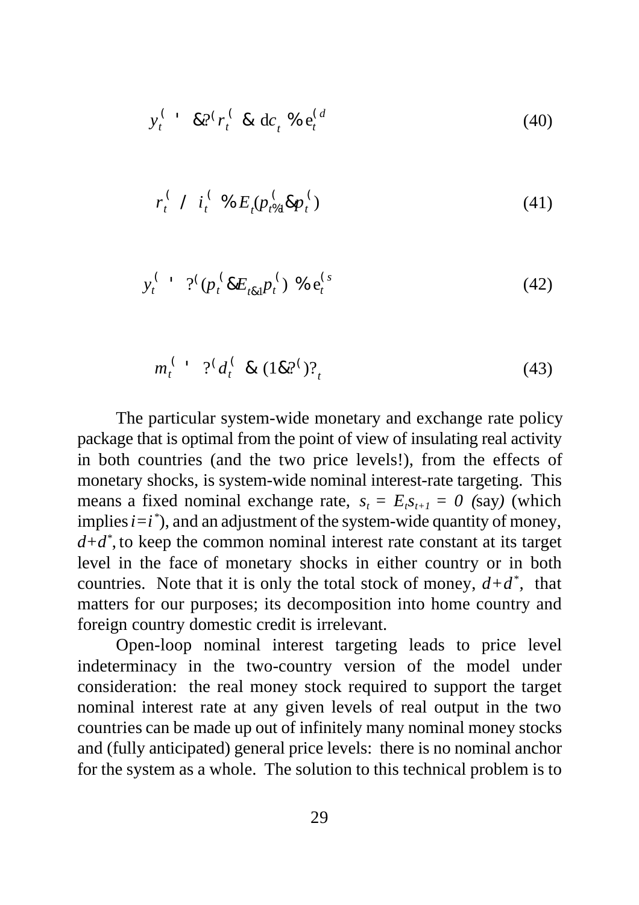$$
y_t^{\tbinom{4}{0}} \approx 2^t r_t^{\tbinom{4}{0}} \text{d} c_t^{\tbinom{4}{0}} \text{e}_t^{\tbinom{4}{0}}
$$

$$
r_t^{\,(\prime)}\,I_t^{\,(\prime)}\,\%\,E_t^{\,(\prime)}(p_{t\%1}^{\,(\prime)}\&p_t^{\,(\prime)}\tag{41}
$$

$$
y_t^{\; (1)} \; ?^{\{(\mu_t \& E_{t\&1} \mu_t^{\; (\}) \& e_t^{\; (s)} \tag{42})\}
$$

$$
m_t^{(1)} \t?^{(d_t^{(1)} \& (1 \& 2^i)^2)} \t(43)
$$

The particular system-wide monetary and exchange rate policy package that is optimal from the point of view of insulating real activity in both countries (and the two price levels!), from the effects of monetary shocks, is system-wide nominal interest-rate targeting. This means a fixed nominal exchange rate,  $s_t = E_t s_{t+1} = 0$  (say) (which implies  $i = i^*$ ), and an adjustment of the system-wide quantity of money, *d+d\** , to keep the common nominal interest rate constant at its target level in the face of monetary shocks in either country or in both countries. Note that it is only the total stock of money,  $d+d^*$ , that matters for our purposes; its decomposition into home country and foreign country domestic credit is irrelevant.

Open-loop nominal interest targeting leads to price level indeterminacy in the two-country version of the model under consideration: the real money stock required to support the target nominal interest rate at any given levels of real output in the two countries can be made up out of infinitely many nominal money stocks and (fully anticipated) general price levels: there is no nominal anchor for the system as a whole. The solution to this technical problem is to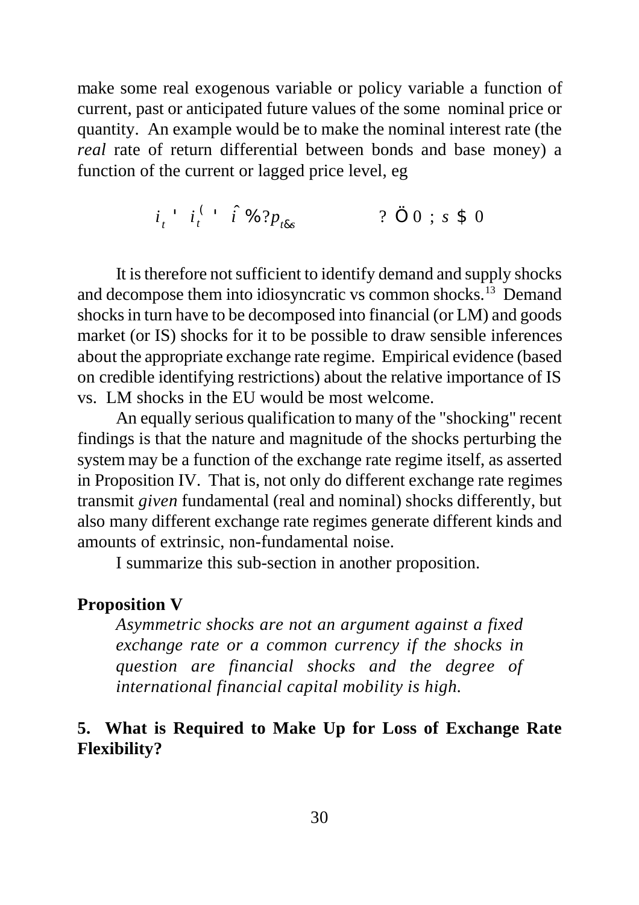make some real exogenous variable or policy variable a function of current, past or anticipated future values of the some nominal price or quantity. An example would be to make the nominal interest rate (the *real* rate of return differential between bonds and base money) a function of the current or lagged price level, eg

$$
i_{t}^{+} = i_{t}^{(-)} = \hat{i} \mathcal{L} \mathcal{L} \mathcal{L} \mathcal{L} \mathcal{L} \mathcal{L} \mathcal{L} \mathcal{L} \mathcal{L} \mathcal{L} \mathcal{L} \mathcal{L} \mathcal{L} \mathcal{L} \mathcal{L} \mathcal{L} \mathcal{L} \mathcal{L} \mathcal{L} \mathcal{L} \mathcal{L} \mathcal{L} \mathcal{L} \mathcal{L} \mathcal{L} \mathcal{L} \mathcal{L} \mathcal{L} \mathcal{L} \mathcal{L} \mathcal{L} \mathcal{L} \mathcal{L} \mathcal{L} \mathcal{L} \mathcal{L} \mathcal{L} \mathcal{L} \mathcal{L} \mathcal{L} \mathcal{L} \mathcal{L} \mathcal{L} \mathcal{L} \mathcal{L} \mathcal{L} \mathcal{L} \mathcal{L} \mathcal{L} \mathcal{L} \mathcal{L} \mathcal{L} \mathcal{L} \mathcal{L} \mathcal{L} \mathcal{L} \mathcal{L} \mathcal{L} \mathcal{L} \mathcal{L} \mathcal{L} \mathcal{L} \mathcal{L} \mathcal{L} \mathcal{L} \mathcal{L} \mathcal{L} \mathcal{L} \mathcal{L} \mathcal{L} \mathcal{L} \mathcal{L} \mathcal{L} \mathcal{L} \mathcal{L} \mathcal{L} \mathcal{L} \mathcal{L} \mathcal{L} \mathcal{L} \mathcal{L} \mathcal{L} \mathcal{L} \mathcal{L} \mathcal{L} \mathcal{L} \mathcal{L} \mathcal{L} \mathcal{L} \mathcal{L} \mathcal{L} \mathcal{L} \mathcal{L} \mathcal{L} \mathcal{L} \mathcal{L} \mathcal{L} \mathcal{L} \mathcal{L} \mathcal{L} \mathcal{L} \mathcal{L} \mathcal{L} \mathcal{L} \mathcal{L} \mathcal{L} \mathcal{L} \mathcal{L} \mathcal{L} \mathcal{L} \mathcal{L} \mathcal{L} \mathcal{L} \mathcal{L} \mathcal{L} \mathcal{L} \mathcal{L} \mathcal{L} \mathcal{L} \mathcal{L} \mathcal{L} \mathcal{L} \mathcal{L} \
$$

It is therefore not sufficient to identify demand and supply shocks and decompose them into idiosyncratic vs common shocks.<sup>13</sup> Demand shocks in turn have to be decomposed into financial (or LM) and goods market (or IS) shocks for it to be possible to draw sensible inferences about the appropriate exchange rate regime. Empirical evidence (based on credible identifying restrictions) about the relative importance of IS vs. LM shocks in the EU would be most welcome.

An equally serious qualification to many of the "shocking" recent findings is that the nature and magnitude of the shocks perturbing the system may be a function of the exchange rate regime itself, as asserted in Proposition IV. That is, not only do different exchange rate regimes transmit *given* fundamental (real and nominal) shocks differently, but also many different exchange rate regimes generate different kinds and amounts of extrinsic, non-fundamental noise.

I summarize this sub-section in another proposition.

#### **Proposition V**

*Asymmetric shocks are not an argument against a fixed exchange rate or a common currency if the shocks in question are financial shocks and the degree of international financial capital mobility is high.*

### **5. What is Required to Make Up for Loss of Exchange Rate Flexibility?**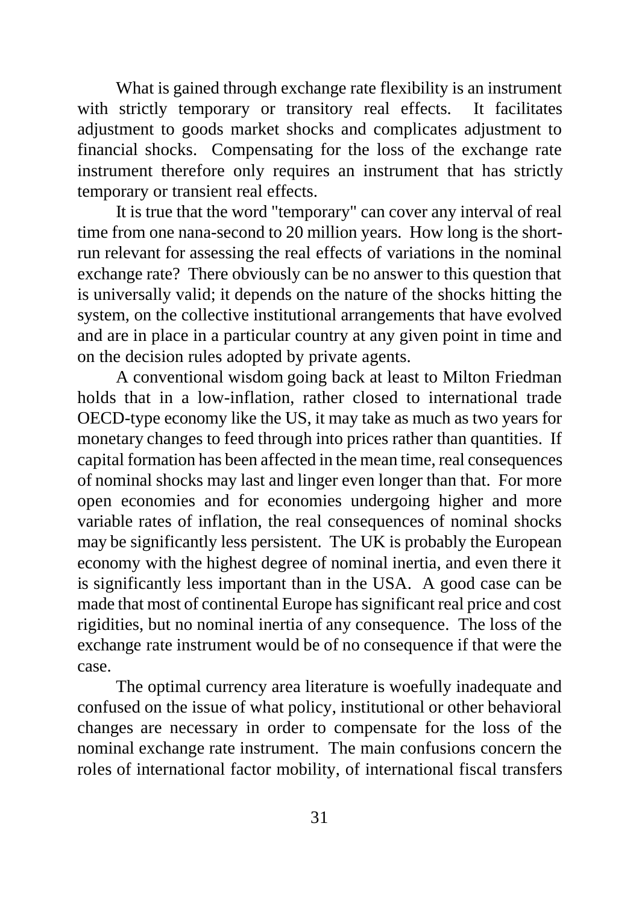What is gained through exchange rate flexibility is an instrument with strictly temporary or transitory real effects. It facilitates adjustment to goods market shocks and complicates adjustment to financial shocks. Compensating for the loss of the exchange rate instrument therefore only requires an instrument that has strictly temporary or transient real effects.

It is true that the word "temporary" can cover any interval of real time from one nana-second to 20 million years. How long is the shortrun relevant for assessing the real effects of variations in the nominal exchange rate? There obviously can be no answer to this question that is universally valid; it depends on the nature of the shocks hitting the system, on the collective institutional arrangements that have evolved and are in place in a particular country at any given point in time and on the decision rules adopted by private agents.

A conventional wisdom going back at least to Milton Friedman holds that in a low-inflation, rather closed to international trade OECD-type economy like the US, it may take as much as two years for monetary changes to feed through into prices rather than quantities. If capital formation has been affected in the mean time, real consequences of nominal shocks may last and linger even longer than that. For more open economies and for economies undergoing higher and more variable rates of inflation, the real consequences of nominal shocks may be significantly less persistent. The UK is probably the European economy with the highest degree of nominal inertia, and even there it is significantly less important than in the USA. A good case can be made that most of continental Europe has significant real price and cost rigidities, but no nominal inertia of any consequence. The loss of the exchange rate instrument would be of no consequence if that were the case.

The optimal currency area literature is woefully inadequate and confused on the issue of what policy, institutional or other behavioral changes are necessary in order to compensate for the loss of the nominal exchange rate instrument. The main confusions concern the roles of international factor mobility, of international fiscal transfers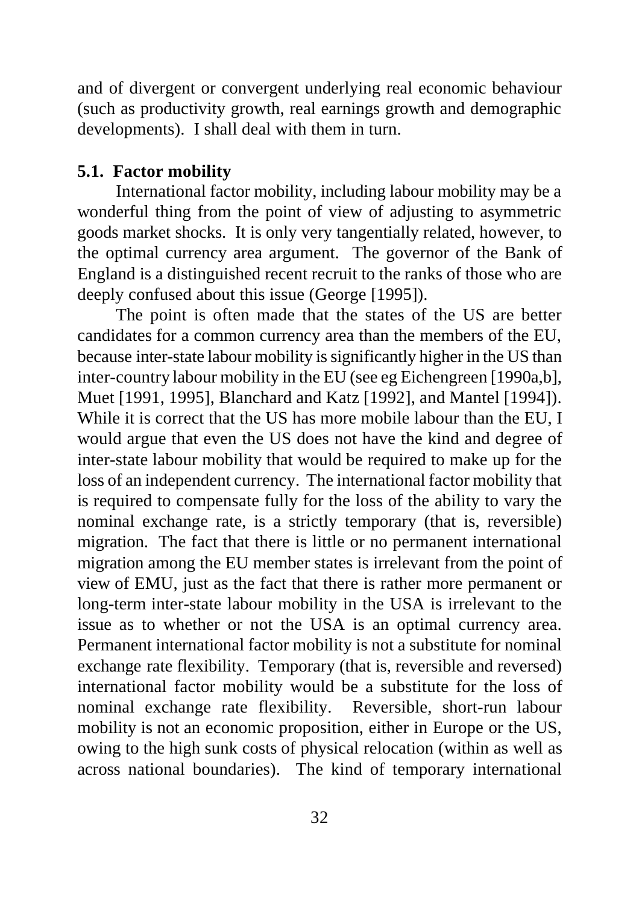and of divergent or convergent underlying real economic behaviour (such as productivity growth, real earnings growth and demographic developments). I shall deal with them in turn.

#### **5.1. Factor mobility**

International factor mobility, including labour mobility may be a wonderful thing from the point of view of adjusting to asymmetric goods market shocks. It is only very tangentially related, however, to the optimal currency area argument. The governor of the Bank of England is a distinguished recent recruit to the ranks of those who are deeply confused about this issue (George [1995]).

The point is often made that the states of the US are better candidates for a common currency area than the members of the EU, because inter-state labour mobility is significantly higher in the US than inter-country labour mobility in the EU (see eg Eichengreen [1990a,b], Muet [1991, 1995], Blanchard and Katz [1992], and Mantel [1994]). While it is correct that the US has more mobile labour than the EU, I would argue that even the US does not have the kind and degree of inter-state labour mobility that would be required to make up for the loss of an independent currency. The international factor mobility that is required to compensate fully for the loss of the ability to vary the nominal exchange rate, is a strictly temporary (that is, reversible) migration. The fact that there is little or no permanent international migration among the EU member states is irrelevant from the point of view of EMU, just as the fact that there is rather more permanent or long-term inter-state labour mobility in the USA is irrelevant to the issue as to whether or not the USA is an optimal currency area. Permanent international factor mobility is not a substitute for nominal exchange rate flexibility. Temporary (that is, reversible and reversed) international factor mobility would be a substitute for the loss of nominal exchange rate flexibility. Reversible, short-run labour mobility is not an economic proposition, either in Europe or the US, owing to the high sunk costs of physical relocation (within as well as across national boundaries). The kind of temporary international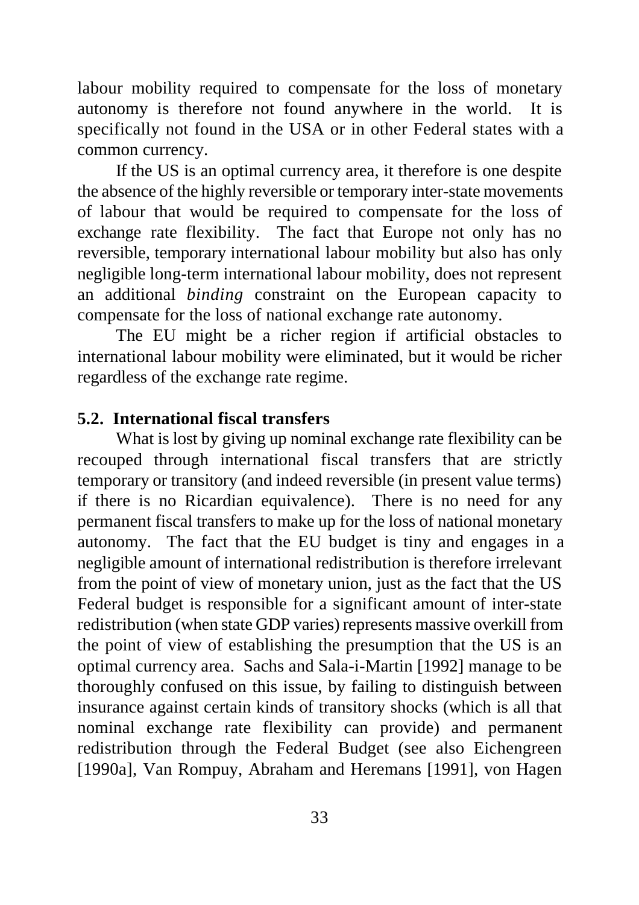labour mobility required to compensate for the loss of monetary autonomy is therefore not found anywhere in the world. It is specifically not found in the USA or in other Federal states with a common currency.

If the US is an optimal currency area, it therefore is one despite the absence of the highly reversible or temporary inter-state movements of labour that would be required to compensate for the loss of exchange rate flexibility. The fact that Europe not only has no reversible, temporary international labour mobility but also has only negligible long-term international labour mobility, does not represent an additional *binding* constraint on the European capacity to compensate for the loss of national exchange rate autonomy.

The EU might be a richer region if artificial obstacles to international labour mobility were eliminated, but it would be richer regardless of the exchange rate regime.

### **5.2. International fiscal transfers**

What is lost by giving up nominal exchange rate flexibility can be recouped through international fiscal transfers that are strictly temporary or transitory (and indeed reversible (in present value terms) if there is no Ricardian equivalence). There is no need for any permanent fiscal transfers to make up for the loss of national monetary autonomy. The fact that the EU budget is tiny and engages in a negligible amount of international redistribution is therefore irrelevant from the point of view of monetary union, just as the fact that the US Federal budget is responsible for a significant amount of inter-state redistribution (when state GDP varies) represents massive overkill from the point of view of establishing the presumption that the US is an optimal currency area. Sachs and Sala-i-Martin [1992] manage to be thoroughly confused on this issue, by failing to distinguish between insurance against certain kinds of transitory shocks (which is all that nominal exchange rate flexibility can provide) and permanent redistribution through the Federal Budget (see also Eichengreen [1990a], Van Rompuy, Abraham and Heremans [1991], von Hagen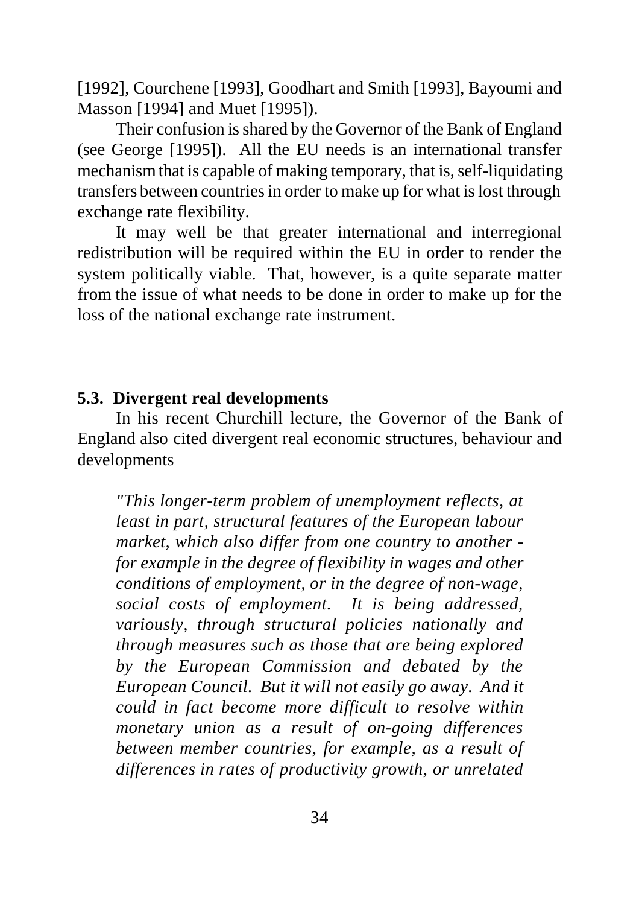[1992], Courchene [1993], Goodhart and Smith [1993], Bayoumi and Masson [1994] and Muet [1995]).

Their confusion is shared by the Governor of the Bank of England (see George [1995]). All the EU needs is an international transfer mechanism that is capable of making temporary, that is, self-liquidating transfers between countries in order to make up for what is lost through exchange rate flexibility.

It may well be that greater international and interregional redistribution will be required within the EU in order to render the system politically viable. That, however, is a quite separate matter from the issue of what needs to be done in order to make up for the loss of the national exchange rate instrument.

#### **5.3. Divergent real developments**

In his recent Churchill lecture, the Governor of the Bank of England also cited divergent real economic structures, behaviour and developments

*"This longer-term problem of unemployment reflects, at least in part, structural features of the European labour market, which also differ from one country to another for example in the degree of flexibility in wages and other conditions of employment, or in the degree of non-wage, social costs of employment. It is being addressed, variously, through structural policies nationally and through measures such as those that are being explored by the European Commission and debated by the European Council. But it will not easily go away. And it could in fact become more difficult to resolve within monetary union as a result of on-going differences between member countries, for example, as a result of differences in rates of productivity growth, or unrelated*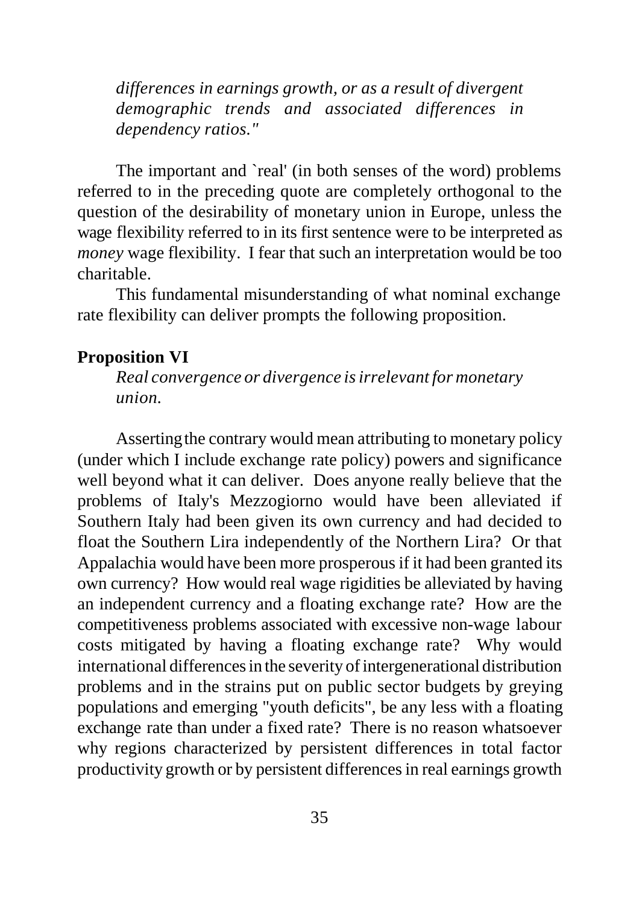*differences in earnings growth, or as a result of divergent demographic trends and associated differences in dependency ratios."* 

The important and 'real' (in both senses of the word) problems referred to in the preceding quote are completely orthogonal to the question of the desirability of monetary union in Europe, unless the wage flexibility referred to in its first sentence were to be interpreted as *money* wage flexibility. I fear that such an interpretation would be too charitable.

This fundamental misunderstanding of what nominal exchange rate flexibility can deliver prompts the following proposition.

#### **Proposition VI**

*Real convergence or divergence is irrelevant for monetary union.*

Asserting the contrary would mean attributing to monetary policy (under which I include exchange rate policy) powers and significance well beyond what it can deliver. Does anyone really believe that the problems of Italy's Mezzogiorno would have been alleviated if Southern Italy had been given its own currency and had decided to float the Southern Lira independently of the Northern Lira? Or that Appalachia would have been more prosperous if it had been granted its own currency? How would real wage rigidities be alleviated by having an independent currency and a floating exchange rate? How are the competitiveness problems associated with excessive non-wage labour costs mitigated by having a floating exchange rate? Why would international differences in the severity of intergenerational distribution problems and in the strains put on public sector budgets by greying populations and emerging "youth deficits", be any less with a floating exchange rate than under a fixed rate? There is no reason whatsoever why regions characterized by persistent differences in total factor productivity growth or by persistent differences in real earnings growth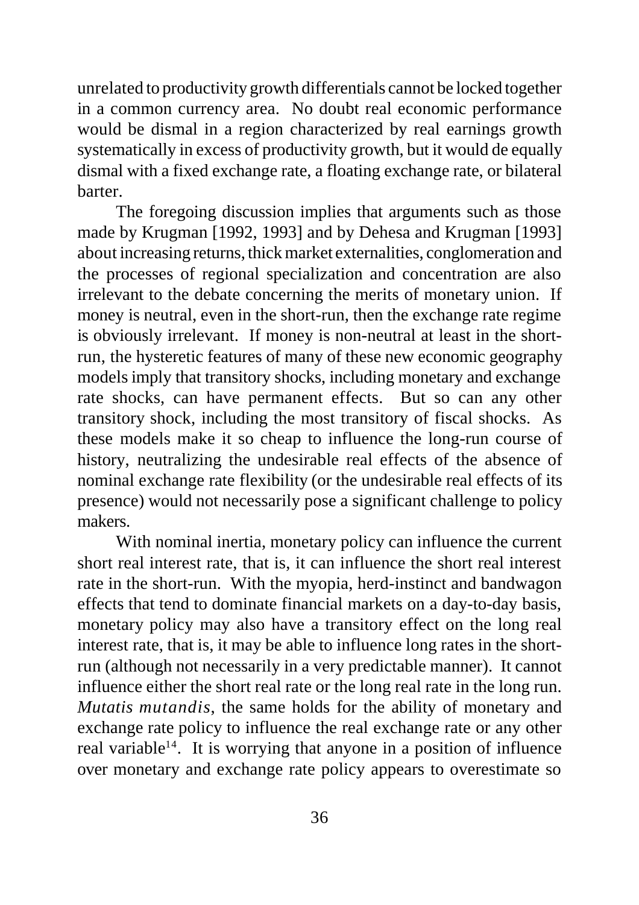unrelated to productivity growth differentials cannot be locked together in a common currency area. No doubt real economic performance would be dismal in a region characterized by real earnings growth systematically in excess of productivity growth, but it would de equally dismal with a fixed exchange rate, a floating exchange rate, or bilateral barter.

The foregoing discussion implies that arguments such as those made by Krugman [1992, 1993] and by Dehesa and Krugman [1993] about increasing returns, thick market externalities, conglomeration and the processes of regional specialization and concentration are also irrelevant to the debate concerning the merits of monetary union. If money is neutral, even in the short-run, then the exchange rate regime is obviously irrelevant. If money is non-neutral at least in the shortrun, the hysteretic features of many of these new economic geography models imply that transitory shocks, including monetary and exchange rate shocks, can have permanent effects. But so can any other transitory shock, including the most transitory of fiscal shocks. As these models make it so cheap to influence the long-run course of history, neutralizing the undesirable real effects of the absence of nominal exchange rate flexibility (or the undesirable real effects of its presence) would not necessarily pose a significant challenge to policy makers.

With nominal inertia, monetary policy can influence the current short real interest rate, that is, it can influence the short real interest rate in the short-run. With the myopia, herd-instinct and bandwagon effects that tend to dominate financial markets on a day-to-day basis, monetary policy may also have a transitory effect on the long real interest rate, that is, it may be able to influence long rates in the shortrun (although not necessarily in a very predictable manner). It cannot influence either the short real rate or the long real rate in the long run. *Mutatis mutandis*, the same holds for the ability of monetary and exchange rate policy to influence the real exchange rate or any other real variable<sup>14</sup>. It is worrying that anyone in a position of influence over monetary and exchange rate policy appears to overestimate so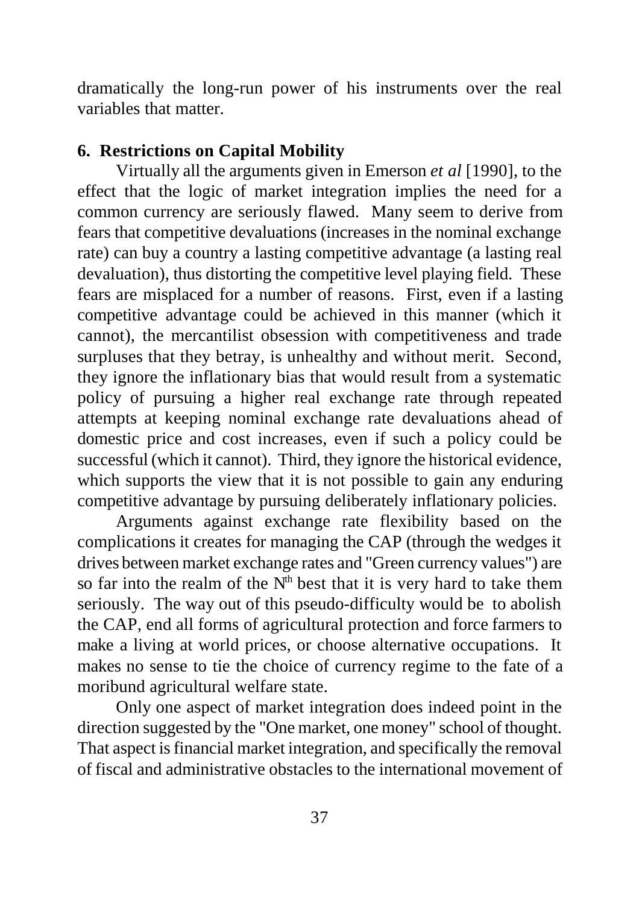dramatically the long-run power of his instruments over the real variables that matter.

### **6. Restrictions on Capital Mobility**

Virtually all the arguments given in Emerson *et al* [1990], to the effect that the logic of market integration implies the need for a common currency are seriously flawed. Many seem to derive from fears that competitive devaluations (increases in the nominal exchange rate) can buy a country a lasting competitive advantage (a lasting real devaluation), thus distorting the competitive level playing field. These fears are misplaced for a number of reasons. First, even if a lasting competitive advantage could be achieved in this manner (which it cannot), the mercantilist obsession with competitiveness and trade surpluses that they betray, is unhealthy and without merit. Second, they ignore the inflationary bias that would result from a systematic policy of pursuing a higher real exchange rate through repeated attempts at keeping nominal exchange rate devaluations ahead of domestic price and cost increases, even if such a policy could be successful (which it cannot). Third, they ignore the historical evidence, which supports the view that it is not possible to gain any enduring competitive advantage by pursuing deliberately inflationary policies.

Arguments against exchange rate flexibility based on the complications it creates for managing the CAP (through the wedges it drives between market exchange rates and "Green currency values") are so far into the realm of the  $N<sup>th</sup>$  best that it is very hard to take them seriously. The way out of this pseudo-difficulty would be to abolish the CAP, end all forms of agricultural protection and force farmers to make a living at world prices, or choose alternative occupations. It makes no sense to tie the choice of currency regime to the fate of a moribund agricultural welfare state.

Only one aspect of market integration does indeed point in the direction suggested by the "One market, one money" school of thought. That aspect is financial market integration, and specifically the removal of fiscal and administrative obstacles to the international movement of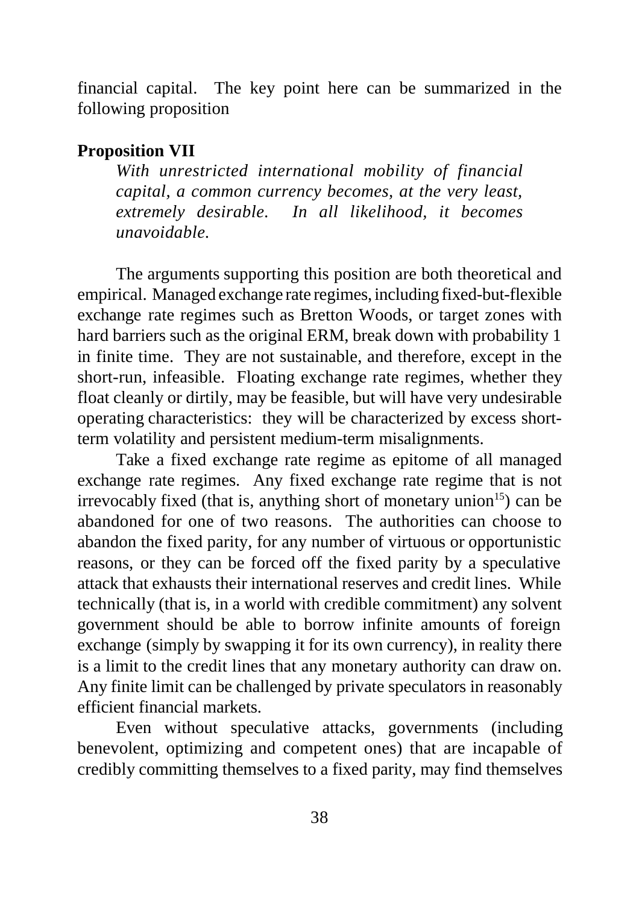financial capital. The key point here can be summarized in the following proposition

### **Proposition VII**

*With unrestricted international mobility of financial capital, a common currency becomes, at the very least, extremely desirable. In all likelihood, it becomes unavoidable.*

The arguments supporting this position are both theoretical and empirical. Managed exchange rate regimes, including fixed-but-flexible exchange rate regimes such as Bretton Woods, or target zones with hard barriers such as the original ERM, break down with probability 1 in finite time. They are not sustainable, and therefore, except in the short-run, infeasible. Floating exchange rate regimes, whether they float cleanly or dirtily, may be feasible, but will have very undesirable operating characteristics: they will be characterized by excess shortterm volatility and persistent medium-term misalignments.

Take a fixed exchange rate regime as epitome of all managed exchange rate regimes. Any fixed exchange rate regime that is not irrevocably fixed (that is, anything short of monetary union<sup>15</sup>) can be abandoned for one of two reasons. The authorities can choose to abandon the fixed parity, for any number of virtuous or opportunistic reasons, or they can be forced off the fixed parity by a speculative attack that exhausts their international reserves and credit lines. While technically (that is, in a world with credible commitment) any solvent government should be able to borrow infinite amounts of foreign exchange (simply by swapping it for its own currency), in reality there is a limit to the credit lines that any monetary authority can draw on. Any finite limit can be challenged by private speculators in reasonably efficient financial markets.

Even without speculative attacks, governments (including benevolent, optimizing and competent ones) that are incapable of credibly committing themselves to a fixed parity, may find themselves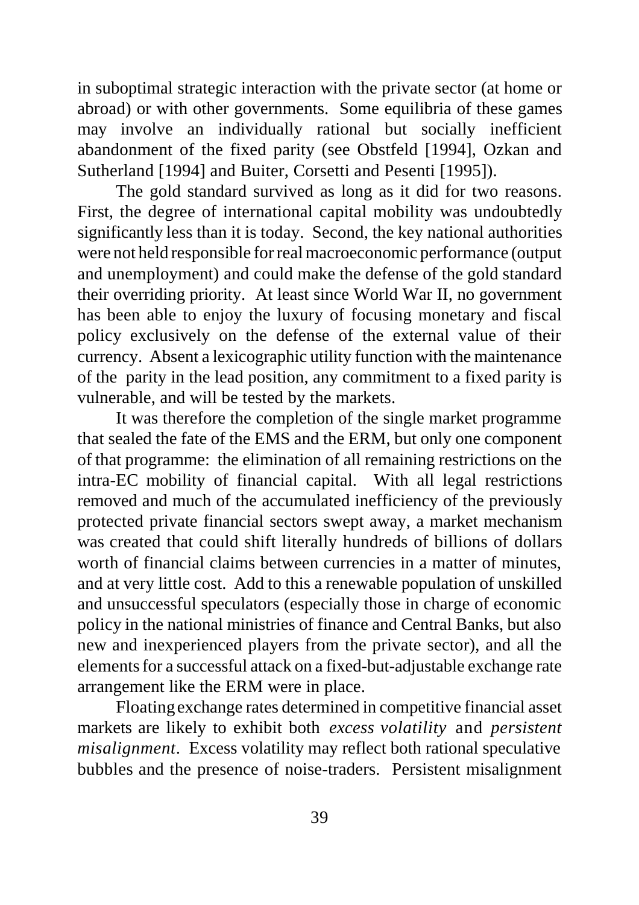in suboptimal strategic interaction with the private sector (at home or abroad) or with other governments. Some equilibria of these games may involve an individually rational but socially inefficient abandonment of the fixed parity (see Obstfeld [1994], Ozkan and Sutherland [1994] and Buiter, Corsetti and Pesenti [1995]).

The gold standard survived as long as it did for two reasons. First, the degree of international capital mobility was undoubtedly significantly less than it is today. Second, the key national authorities were not held responsible for real macroeconomic performance (output and unemployment) and could make the defense of the gold standard their overriding priority. At least since World War II, no government has been able to enjoy the luxury of focusing monetary and fiscal policy exclusively on the defense of the external value of their currency. Absent a lexicographic utility function with the maintenance of the parity in the lead position, any commitment to a fixed parity is vulnerable, and will be tested by the markets.

It was therefore the completion of the single market programme that sealed the fate of the EMS and the ERM, but only one component of that programme: the elimination of all remaining restrictions on the intra-EC mobility of financial capital. With all legal restrictions removed and much of the accumulated inefficiency of the previously protected private financial sectors swept away, a market mechanism was created that could shift literally hundreds of billions of dollars worth of financial claims between currencies in a matter of minutes, and at very little cost. Add to this a renewable population of unskilled and unsuccessful speculators (especially those in charge of economic policy in the national ministries of finance and Central Banks, but also new and inexperienced players from the private sector), and all the elements for a successful attack on a fixed-but-adjustable exchange rate arrangement like the ERM were in place.

Floating exchange rates determined in competitive financial asset markets are likely to exhibit both *excess volatility* and *persistent misalignment*. Excess volatility may reflect both rational speculative bubbles and the presence of noise-traders. Persistent misalignment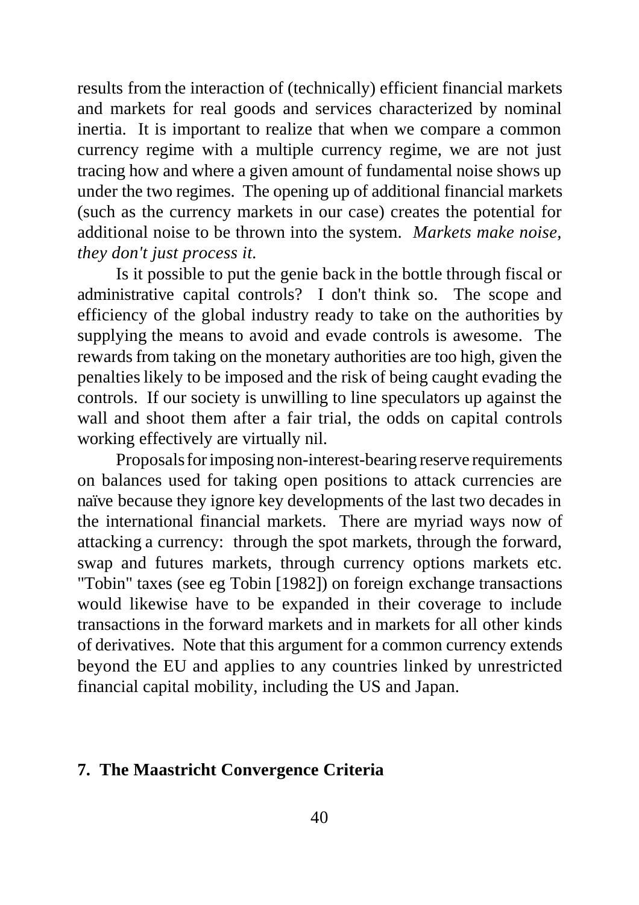results from the interaction of (technically) efficient financial markets and markets for real goods and services characterized by nominal inertia. It is important to realize that when we compare a common currency regime with a multiple currency regime, we are not just tracing how and where a given amount of fundamental noise shows up under the two regimes. The opening up of additional financial markets (such as the currency markets in our case) creates the potential for additional noise to be thrown into the system. *Markets make noise, they don't just process it.*

Is it possible to put the genie back in the bottle through fiscal or administrative capital controls? I don't think so. The scope and efficiency of the global industry ready to take on the authorities by supplying the means to avoid and evade controls is awesome. The rewards from taking on the monetary authorities are too high, given the penalties likely to be imposed and the risk of being caught evading the controls. If our society is unwilling to line speculators up against the wall and shoot them after a fair trial, the odds on capital controls working effectively are virtually nil.

Proposals for imposing non-interest-bearing reserve requirements on balances used for taking open positions to attack currencies are naïve because they ignore key developments of the last two decades in the international financial markets. There are myriad ways now of attacking a currency: through the spot markets, through the forward, swap and futures markets, through currency options markets etc. "Tobin" taxes (see eg Tobin [1982]) on foreign exchange transactions would likewise have to be expanded in their coverage to include transactions in the forward markets and in markets for all other kinds of derivatives. Note that this argument for a common currency extends beyond the EU and applies to any countries linked by unrestricted financial capital mobility, including the US and Japan.

### **7. The Maastricht Convergence Criteria**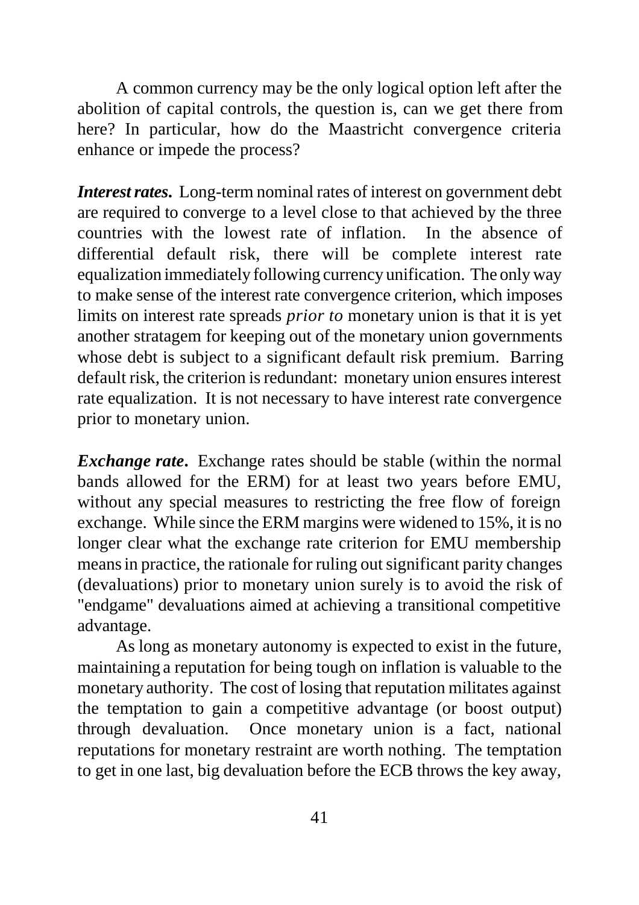A common currency may be the only logical option left after the abolition of capital controls, the question is, can we get there from here? In particular, how do the Maastricht convergence criteria enhance or impede the process?

*Interest rates***.** Long-term nominal rates of interest on government debt are required to converge to a level close to that achieved by the three countries with the lowest rate of inflation. In the absence of differential default risk, there will be complete interest rate equalization immediately following currency unification. The only way to make sense of the interest rate convergence criterion, which imposes limits on interest rate spreads *prior to* monetary union is that it is yet another stratagem for keeping out of the monetary union governments whose debt is subject to a significant default risk premium. Barring default risk, the criterion is redundant: monetary union ensures interest rate equalization. It is not necessary to have interest rate convergence prior to monetary union.

*Exchange rate***.** Exchange rates should be stable (within the normal bands allowed for the ERM) for at least two years before EMU, without any special measures to restricting the free flow of foreign exchange. While since the ERM margins were widened to 15%, it is no longer clear what the exchange rate criterion for EMU membership means in practice, the rationale for ruling out significant parity changes (devaluations) prior to monetary union surely is to avoid the risk of "endgame" devaluations aimed at achieving a transitional competitive advantage.

As long as monetary autonomy is expected to exist in the future, maintaining a reputation for being tough on inflation is valuable to the monetary authority. The cost of losing that reputation militates against the temptation to gain a competitive advantage (or boost output) through devaluation. Once monetary union is a fact, national reputations for monetary restraint are worth nothing. The temptation to get in one last, big devaluation before the ECB throws the key away,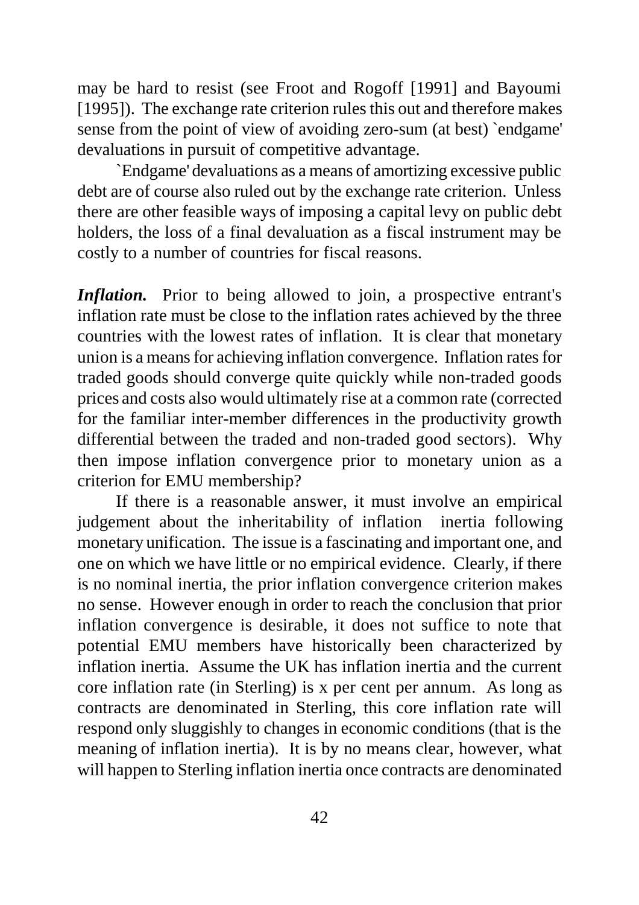may be hard to resist (see Froot and Rogoff [1991] and Bayoumi [1995]). The exchange rate criterion rules this out and therefore makes sense from the point of view of avoiding zero-sum (at best) `endgame' devaluations in pursuit of competitive advantage.

`Endgame' devaluations as a means of amortizing excessive public debt are of course also ruled out by the exchange rate criterion. Unless there are other feasible ways of imposing a capital levy on public debt holders, the loss of a final devaluation as a fiscal instrument may be costly to a number of countries for fiscal reasons.

*Inflation***.** Prior to being allowed to join, a prospective entrant's inflation rate must be close to the inflation rates achieved by the three countries with the lowest rates of inflation. It is clear that monetary union is a means for achieving inflation convergence. Inflation rates for traded goods should converge quite quickly while non-traded goods prices and costs also would ultimately rise at a common rate (corrected for the familiar inter-member differences in the productivity growth differential between the traded and non-traded good sectors). Why then impose inflation convergence prior to monetary union as a criterion for EMU membership?

If there is a reasonable answer, it must involve an empirical judgement about the inheritability of inflation inertia following monetary unification. The issue is a fascinating and important one, and one on which we have little or no empirical evidence. Clearly, if there is no nominal inertia, the prior inflation convergence criterion makes no sense. However enough in order to reach the conclusion that prior inflation convergence is desirable, it does not suffice to note that potential EMU members have historically been characterized by inflation inertia. Assume the UK has inflation inertia and the current core inflation rate (in Sterling) is x per cent per annum. As long as contracts are denominated in Sterling, this core inflation rate will respond only sluggishly to changes in economic conditions (that is the meaning of inflation inertia). It is by no means clear, however, what will happen to Sterling inflation inertia once contracts are denominated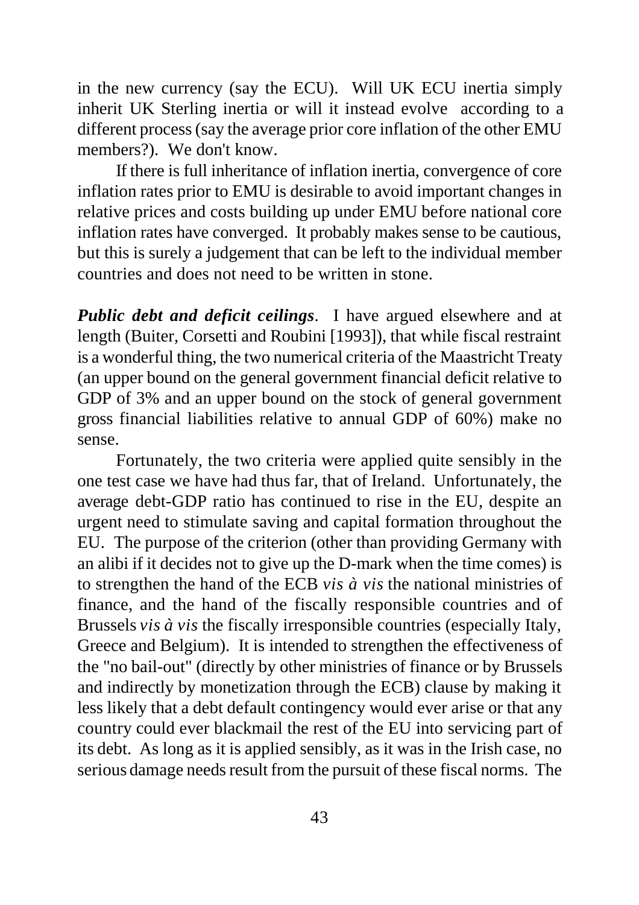in the new currency (say the ECU). Will UK ECU inertia simply inherit UK Sterling inertia or will it instead evolve according to a different process (say the average prior core inflation of the other EMU members?). We don't know.

If there is full inheritance of inflation inertia, convergence of core inflation rates prior to EMU is desirable to avoid important changes in relative prices and costs building up under EMU before national core inflation rates have converged. It probably makes sense to be cautious, but this is surely a judgement that can be left to the individual member countries and does not need to be written in stone.

*Public debt and deficit ceilings*. I have argued elsewhere and at length (Buiter, Corsetti and Roubini [1993]), that while fiscal restraint is a wonderful thing, the two numerical criteria of the Maastricht Treaty (an upper bound on the general government financial deficit relative to GDP of 3% and an upper bound on the stock of general government gross financial liabilities relative to annual GDP of 60%) make no sense.

Fortunately, the two criteria were applied quite sensibly in the one test case we have had thus far, that of Ireland. Unfortunately, the average debt-GDP ratio has continued to rise in the EU, despite an urgent need to stimulate saving and capital formation throughout the EU. The purpose of the criterion (other than providing Germany with an alibi if it decides not to give up the D-mark when the time comes) is to strengthen the hand of the ECB *vis à vis* the national ministries of finance, and the hand of the fiscally responsible countries and of Brussels *vis à vis* the fiscally irresponsible countries (especially Italy, Greece and Belgium). It is intended to strengthen the effectiveness of the "no bail-out" (directly by other ministries of finance or by Brussels and indirectly by monetization through the ECB) clause by making it less likely that a debt default contingency would ever arise or that any country could ever blackmail the rest of the EU into servicing part of its debt. As long as it is applied sensibly, as it was in the Irish case, no serious damage needs result from the pursuit of these fiscal norms. The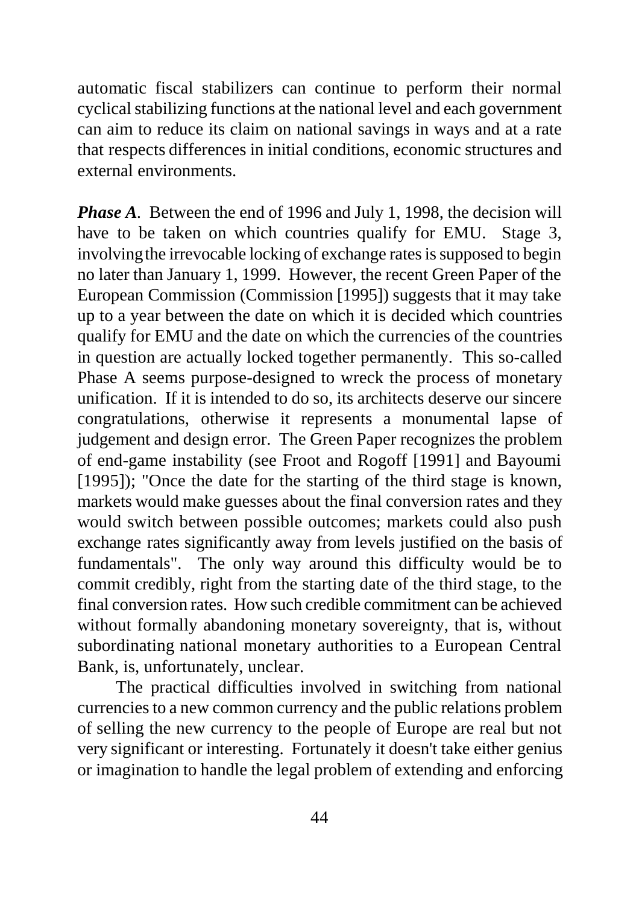automatic fiscal stabilizers can continue to perform their normal cyclical stabilizing functions at the national level and each government can aim to reduce its claim on national savings in ways and at a rate that respects differences in initial conditions, economic structures and external environments.

*Phase A.* Between the end of 1996 and July 1, 1998, the decision will have to be taken on which countries qualify for EMU. Stage 3, involving the irrevocable locking of exchange rates is supposed to begin no later than January 1, 1999. However, the recent Green Paper of the European Commission (Commission [1995]) suggests that it may take up to a year between the date on which it is decided which countries qualify for EMU and the date on which the currencies of the countries in question are actually locked together permanently. This so-called Phase A seems purpose-designed to wreck the process of monetary unification. If it is intended to do so, its architects deserve our sincere congratulations, otherwise it represents a monumental lapse of judgement and design error. The Green Paper recognizes the problem of end-game instability (see Froot and Rogoff [1991] and Bayoumi [1995]); "Once the date for the starting of the third stage is known, markets would make guesses about the final conversion rates and they would switch between possible outcomes; markets could also push exchange rates significantly away from levels justified on the basis of fundamentals". The only way around this difficulty would be to commit credibly, right from the starting date of the third stage, to the final conversion rates. How such credible commitment can be achieved without formally abandoning monetary sovereignty, that is, without subordinating national monetary authorities to a European Central Bank, is, unfortunately, unclear.

The practical difficulties involved in switching from national currencies to a new common currency and the public relations problem of selling the new currency to the people of Europe are real but not very significant or interesting. Fortunately it doesn't take either genius or imagination to handle the legal problem of extending and enforcing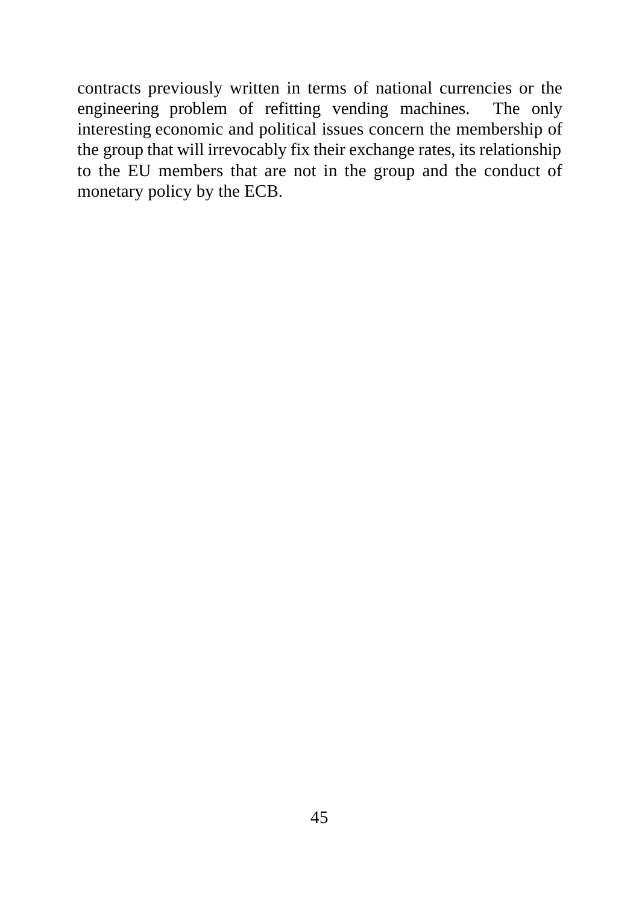contracts previously written in terms of national currencies or the engineering problem of refitting vending machines. The only interesting economic and political issues concern the membership of the group that will irrevocably fix their exchange rates, its relationship to the EU members that are not in the group and the conduct of monetary policy by the ECB.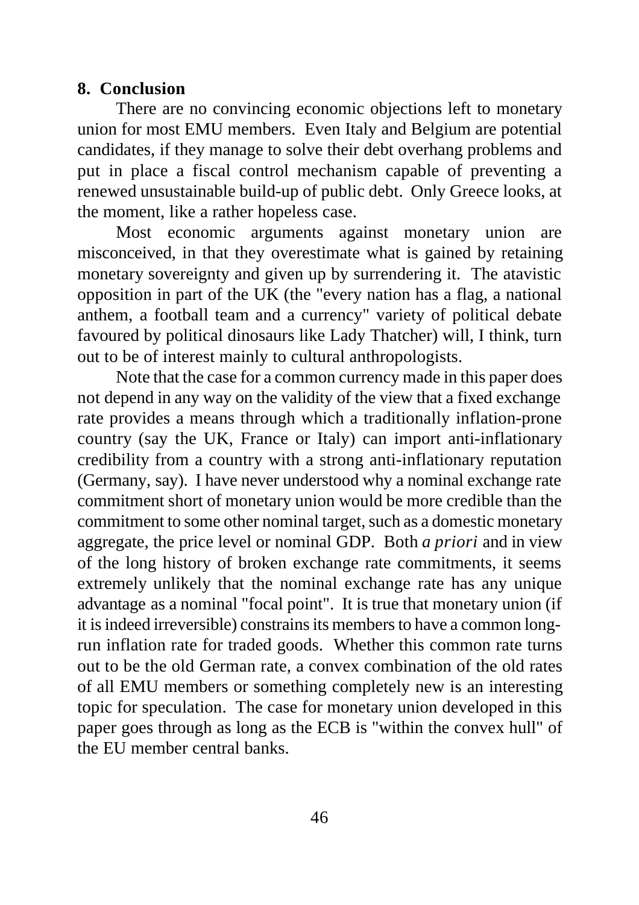#### **8. Conclusion**

There are no convincing economic objections left to monetary union for most EMU members. Even Italy and Belgium are potential candidates, if they manage to solve their debt overhang problems and put in place a fiscal control mechanism capable of preventing a renewed unsustainable build-up of public debt. Only Greece looks, at the moment, like a rather hopeless case.

Most economic arguments against monetary union are misconceived, in that they overestimate what is gained by retaining monetary sovereignty and given up by surrendering it. The atavistic opposition in part of the UK (the "every nation has a flag, a national anthem, a football team and a currency" variety of political debate favoured by political dinosaurs like Lady Thatcher) will, I think, turn out to be of interest mainly to cultural anthropologists.

Note that the case for a common currency made in this paper does not depend in any way on the validity of the view that a fixed exchange rate provides a means through which a traditionally inflation-prone country (say the UK, France or Italy) can import anti-inflationary credibility from a country with a strong anti-inflationary reputation (Germany, say). I have never understood why a nominal exchange rate commitment short of monetary union would be more credible than the commitment to some other nominal target, such as a domestic monetary aggregate, the price level or nominal GDP. Both *a priori* and in view of the long history of broken exchange rate commitments, it seems extremely unlikely that the nominal exchange rate has any unique advantage as a nominal "focal point". It is true that monetary union (if it is indeed irreversible) constrains its members to have a common longrun inflation rate for traded goods. Whether this common rate turns out to be the old German rate, a convex combination of the old rates of all EMU members or something completely new is an interesting topic for speculation. The case for monetary union developed in this paper goes through as long as the ECB is "within the convex hull" of the EU member central banks.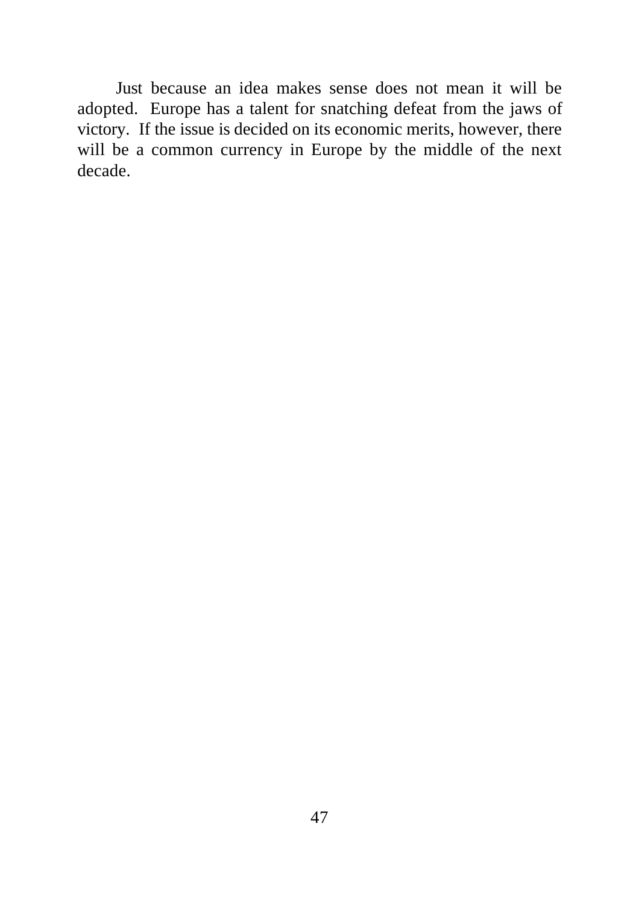Just because an idea makes sense does not mean it will be adopted. Europe has a talent for snatching defeat from the jaws of victory. If the issue is decided on its economic merits, however, there will be a common currency in Europe by the middle of the next decade.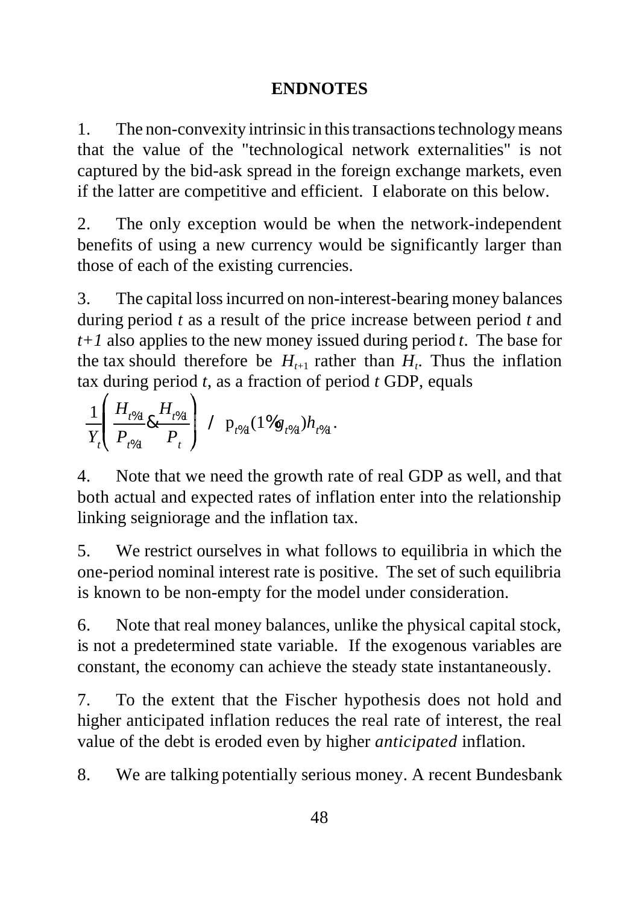### **ENDNOTES**

1. The non-convexity intrinsic in this transactions technology means that the value of the "technological network externalities" is not captured by the bid-ask spread in the foreign exchange markets, even if the latter are competitive and efficient. I elaborate on this below.

2. The only exception would be when the network-independent benefits of using a new currency would be significantly larger than those of each of the existing currencies.

3. The capital loss incurred on non-interest-bearing money balances during period *t* as a result of the price increase between period *t* and *t+1* also applies to the new money issued during period *t*. The base for the tax should therefore be  $H_{t+1}$  rather than  $H_t$ . Thus the inflation tax during period *t*, as a fraction of period *t* GDP, equals

$$
\frac{1}{Y_t} \left( \frac{H_{t\%1}}{P_{t\%1}} \& \frac{H_{t\%1}}{P_t} \right) / p_{t\%1} (1\%g_{t\%1}) h_{t\%1}.
$$

4. Note that we need the growth rate of real GDP as well, and that both actual and expected rates of inflation enter into the relationship linking seigniorage and the inflation tax.

5. We restrict ourselves in what follows to equilibria in which the one-period nominal interest rate is positive. The set of such equilibria is known to be non-empty for the model under consideration.

6. Note that real money balances, unlike the physical capital stock, is not a predetermined state variable. If the exogenous variables are constant, the economy can achieve the steady state instantaneously.

7. To the extent that the Fischer hypothesis does not hold and higher anticipated inflation reduces the real rate of interest, the real value of the debt is eroded even by higher *anticipated* inflation.

8. We are talking potentially serious money. A recent Bundesbank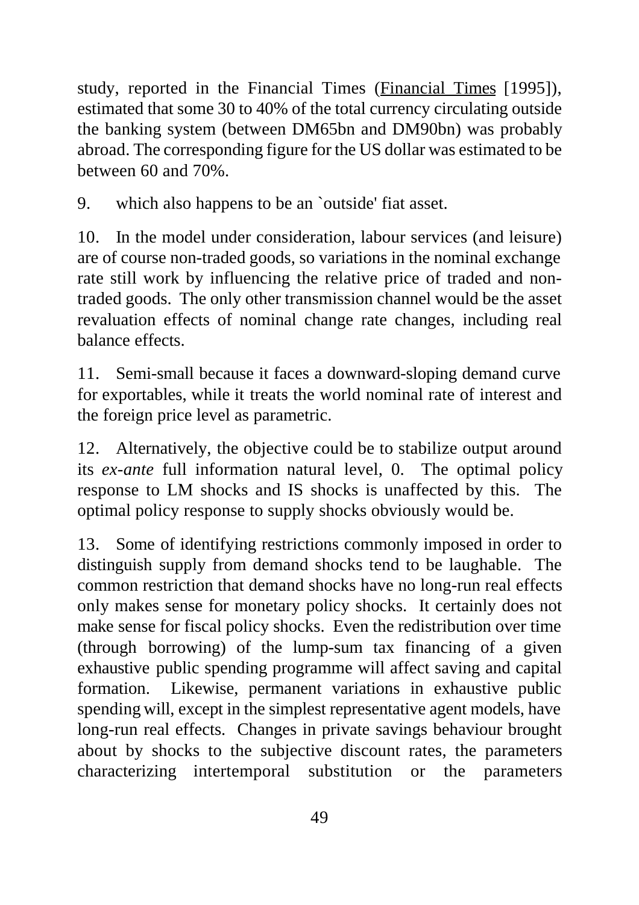study, reported in the Financial Times (Financial Times [1995]), estimated that some 30 to 40% of the total currency circulating outside the banking system (between DM65bn and DM90bn) was probably abroad. The corresponding figure for the US dollar was estimated to be between 60 and 70%.

9. which also happens to be an `outside' fiat asset.

10. In the model under consideration, labour services (and leisure) are of course non-traded goods, so variations in the nominal exchange rate still work by influencing the relative price of traded and nontraded goods. The only other transmission channel would be the asset revaluation effects of nominal change rate changes, including real balance effects.

11. Semi-small because it faces a downward-sloping demand curve for exportables, while it treats the world nominal rate of interest and the foreign price level as parametric.

12. Alternatively, the objective could be to stabilize output around its *ex-ante* full information natural level, 0. The optimal policy response to LM shocks and IS shocks is unaffected by this. The optimal policy response to supply shocks obviously would be.

13. Some of identifying restrictions commonly imposed in order to distinguish supply from demand shocks tend to be laughable. The common restriction that demand shocks have no long-run real effects only makes sense for monetary policy shocks. It certainly does not make sense for fiscal policy shocks. Even the redistribution over time (through borrowing) of the lump-sum tax financing of a given exhaustive public spending programme will affect saving and capital formation. Likewise, permanent variations in exhaustive public spending will, except in the simplest representative agent models, have long-run real effects. Changes in private savings behaviour brought about by shocks to the subjective discount rates, the parameters characterizing intertemporal substitution or the parameters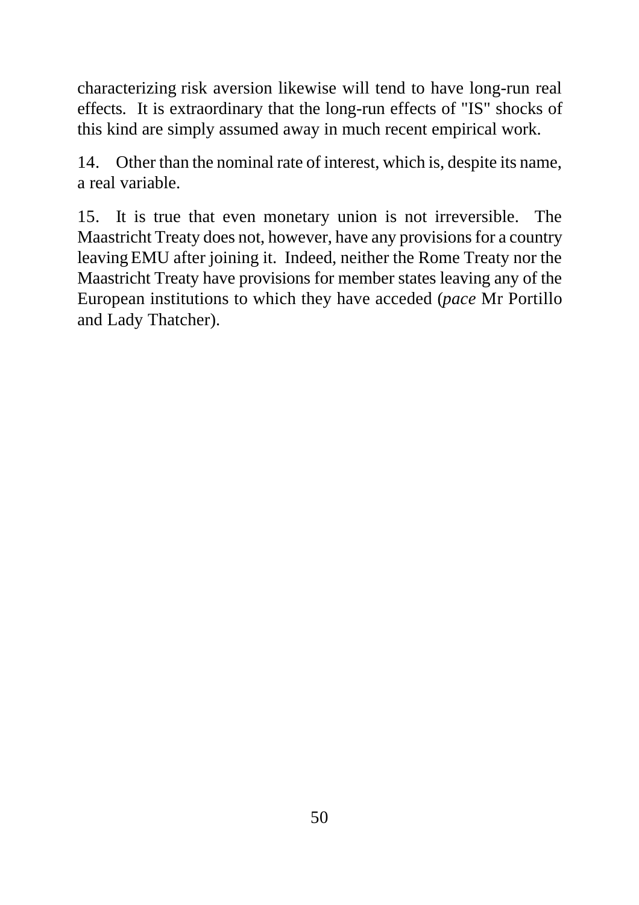characterizing risk aversion likewise will tend to have long-run real effects. It is extraordinary that the long-run effects of "IS" shocks of this kind are simply assumed away in much recent empirical work.

14. Other than the nominal rate of interest, which is, despite its name, a real variable.

15. It is true that even monetary union is not irreversible. The Maastricht Treaty does not, however, have any provisions for a country leaving EMU after joining it. Indeed, neither the Rome Treaty nor the Maastricht Treaty have provisions for member states leaving any of the European institutions to which they have acceded (*pace* Mr Portillo and Lady Thatcher).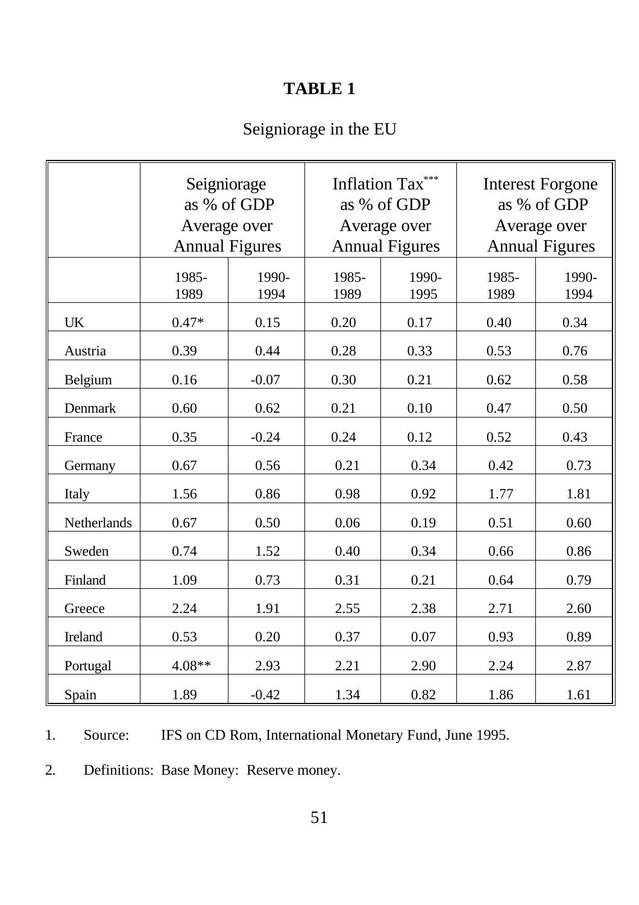## **TABLE 1**

# Seigniorage in the EU

|             | Seigniorage<br>as % of GDP<br>Average over<br><b>Annual Figures</b> |               | Inflation Tax***<br>as % of GDP<br>Average over<br><b>Annual Figures</b> |               | <b>Interest Forgone</b><br>as % of GDP<br>Average over<br><b>Annual Figures</b> |               |
|-------------|---------------------------------------------------------------------|---------------|--------------------------------------------------------------------------|---------------|---------------------------------------------------------------------------------|---------------|
|             | 1985-<br>1989                                                       | 1990-<br>1994 | 1985-<br>1989                                                            | 1990-<br>1995 | 1985-<br>1989                                                                   | 1990-<br>1994 |
| <b>UK</b>   | $0.47*$                                                             | 0.15          | 0.20                                                                     | 0.17          | 0.40                                                                            | 0.34          |
| Austria     | 0.39                                                                | 0.44          | 0.28                                                                     | 0.33          | 0.53                                                                            | 0.76          |
| Belgium     | 0.16                                                                | $-0.07$       | 0.30                                                                     | 0.21          | 0.62                                                                            | 0.58          |
| Denmark     | 0.60                                                                | 0.62          | 0.21                                                                     | 0.10          | 0.47                                                                            | 0.50          |
| France      | 0.35                                                                | $-0.24$       | 0.24                                                                     | 0.12          | 0.52                                                                            | 0.43          |
| Germany     | 0.67                                                                | 0.56          | 0.21                                                                     | 0.34          | 0.42                                                                            | 0.73          |
| Italy       | 1.56                                                                | 0.86          | 0.98                                                                     | 0.92          | 1.77                                                                            | 1.81          |
| Netherlands | 0.67                                                                | 0.50          | 0.06                                                                     | 0.19          | 0.51                                                                            | 0.60          |
| Sweden      | 0.74                                                                | 1.52          | 0.40                                                                     | 0.34          | 0.66                                                                            | 0.86          |
| Finland     | 1.09                                                                | 0.73          | 0.31                                                                     | 0.21          | 0.64                                                                            | 0.79          |
| Greece      | 2.24                                                                | 1.91          | 2.55                                                                     | 2.38          | 2.71                                                                            | 2.60          |
| Ireland     | 0.53                                                                | 0.20          | 0.37                                                                     | 0.07          | 0.93                                                                            | 0.89          |
| Portugal    | 4.08**                                                              | 2.93          | 2.21                                                                     | 2.90          | 2.24                                                                            | 2.87          |
| Spain       | 1.89                                                                | $-0.42$       | 1.34                                                                     | 0.82          | 1.86                                                                            | 1.61          |

1. Source: IFS on CD Rom, International Monetary Fund, June 1995.

2. Definitions: Base Money: Reserve money.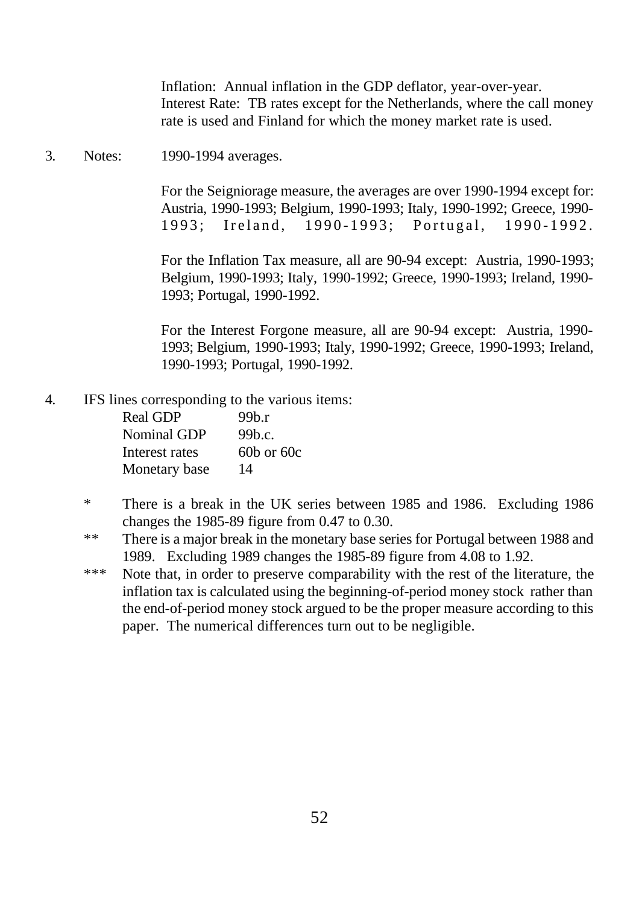Inflation: Annual inflation in the GDP deflator, year-over-year. Interest Rate: TB rates except for the Netherlands, where the call money rate is used and Finland for which the money market rate is used.

3. Notes: 1990-1994 averages.

For the Seigniorage measure, the averages are over 1990-1994 except for: Austria, 1990-1993; Belgium, 1990-1993; Italy, 1990-1992; Greece, 1990- 1993; Ireland, 1990-1993; Portugal, 1990-1992.

For the Inflation Tax measure, all are 90-94 except: Austria, 1990-1993; Belgium, 1990-1993; Italy, 1990-1992; Greece, 1990-1993; Ireland, 1990- 1993; Portugal, 1990-1992.

For the Interest Forgone measure, all are 90-94 except: Austria, 1990- 1993; Belgium, 1990-1993; Italy, 1990-1992; Greece, 1990-1993; Ireland, 1990-1993; Portugal, 1990-1992.

4. IFS lines corresponding to the various items:

| <b>Real GDP</b> | 99b.r          |
|-----------------|----------------|
| Nominal GDP     | 99b.c.         |
| Interest rates  | $60b$ or $60c$ |
| Monetary base   | 14             |

- \* There is a break in the UK series between 1985 and 1986. Excluding 1986 changes the 1985-89 figure from 0.47 to 0.30.
- \*\* There is a major break in the monetary base series for Portugal between 1988 and 1989. Excluding 1989 changes the 1985-89 figure from 4.08 to 1.92.
- \*\*\* Note that, in order to preserve comparability with the rest of the literature, the inflation tax is calculated using the beginning-of-period money stock rather than the end-of-period money stock argued to be the proper measure according to this paper. The numerical differences turn out to be negligible.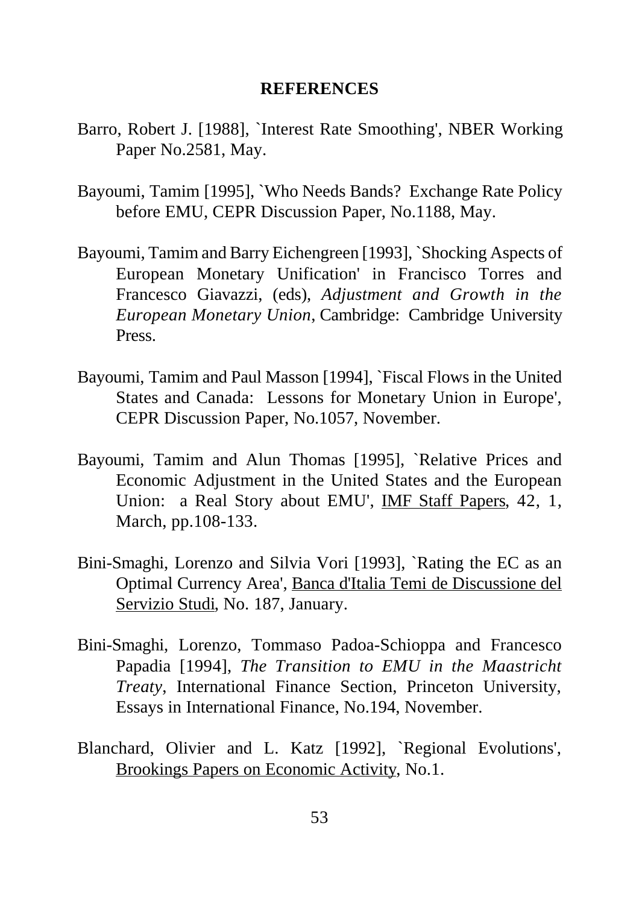#### **REFERENCES**

- Barro, Robert J. [1988], `Interest Rate Smoothing', NBER Working Paper No.2581, May.
- Bayoumi, Tamim [1995], `Who Needs Bands? Exchange Rate Policy before EMU, CEPR Discussion Paper, No.1188, May.
- Bayoumi, Tamim and Barry Eichengreen [1993], `Shocking Aspects of European Monetary Unification' in Francisco Torres and Francesco Giavazzi, (eds), *Adjustment and Growth in the European Monetary Union*, Cambridge: Cambridge University Press.
- Bayoumi, Tamim and Paul Masson [1994], `Fiscal Flows in the United States and Canada: Lessons for Monetary Union in Europe', CEPR Discussion Paper, No.1057, November.
- Bayoumi, Tamim and Alun Thomas [1995], `Relative Prices and Economic Adjustment in the United States and the European Union: a Real Story about EMU', IMF Staff Papers, 42, 1, March, pp.108-133.
- Bini-Smaghi, Lorenzo and Silvia Vori [1993], `Rating the EC as an Optimal Currency Area', Banca d'Italia Temi de Discussione del Servizio Studi, No. 187, January.
- Bini-Smaghi, Lorenzo, Tommaso Padoa-Schioppa and Francesco Papadia [1994], *The Transition to EMU in the Maastricht Treaty*, International Finance Section, Princeton University, Essays in International Finance, No.194, November.
- Blanchard, Olivier and L. Katz [1992], `Regional Evolutions', Brookings Papers on Economic Activity, No.1.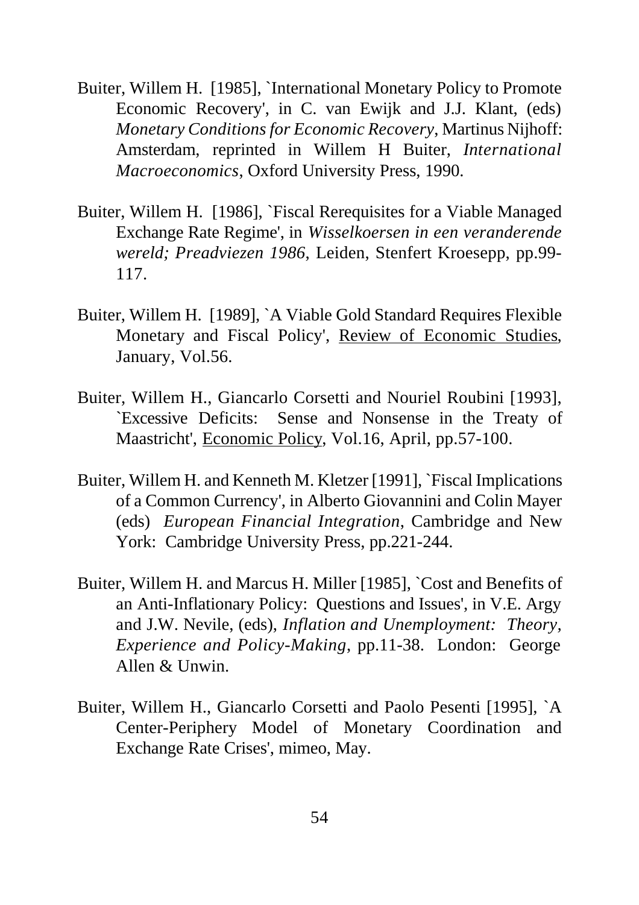- Buiter, Willem H. [1985], `International Monetary Policy to Promote Economic Recovery', in C. van Ewijk and J.J. Klant, (eds) *Monetary Conditions for Economic Recovery*, Martinus Nijhoff: Amsterdam, reprinted in Willem H Buiter, *International Macroeconomics*, Oxford University Press, 1990.
- Buiter, Willem H. [1986], `Fiscal Rerequisites for a Viable Managed Exchange Rate Regime', in *Wisselkoersen in een veranderende wereld; Preadviezen 1986*, Leiden, Stenfert Kroesepp, pp.99- 117.
- Buiter, Willem H. [1989], `A Viable Gold Standard Requires Flexible Monetary and Fiscal Policy', Review of Economic Studies, January, Vol.56.
- Buiter, Willem H., Giancarlo Corsetti and Nouriel Roubini [1993], `Excessive Deficits: Sense and Nonsense in the Treaty of Maastricht', Economic Policy, Vol.16, April, pp.57-100.
- Buiter, Willem H. and Kenneth M. Kletzer [1991], `Fiscal Implications of a Common Currency', in Alberto Giovannini and Colin Mayer (eds) *European Financial Integration*, Cambridge and New York: Cambridge University Press, pp.221-244.
- Buiter, Willem H. and Marcus H. Miller [1985], `Cost and Benefits of an Anti-Inflationary Policy: Questions and Issues', in V.E. Argy and J.W. Nevile, (eds), *Inflation and Unemployment: Theory, Experience and Policy-Making*, pp.11-38. London: George Allen & Unwin.
- Buiter, Willem H., Giancarlo Corsetti and Paolo Pesenti [1995], `A Center-Periphery Model of Monetary Coordination and Exchange Rate Crises', mimeo, May.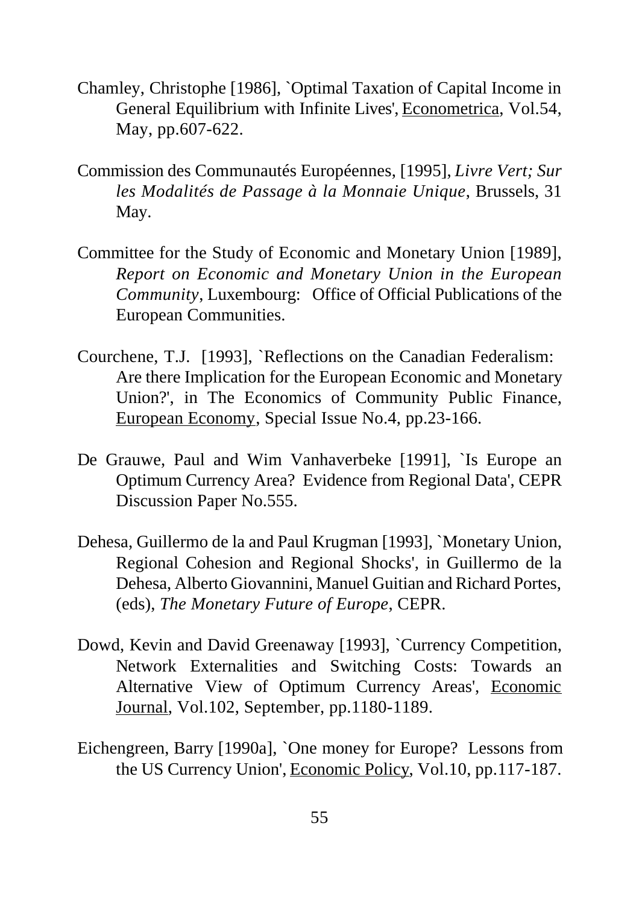- Chamley, Christophe [1986], `Optimal Taxation of Capital Income in General Equilibrium with Infinite Lives', Econometrica, Vol.54, May, pp.607-622.
- Commission des Communautés Européennes, [1995], *Livre Vert; Sur les Modalités de Passage à la Monnaie Unique*, Brussels, 31 May.
- Committee for the Study of Economic and Monetary Union [1989], *Report on Economic and Monetary Union in the European Community*, Luxembourg: Office of Official Publications of the European Communities.
- Courchene, T.J. [1993], `Reflections on the Canadian Federalism: Are there Implication for the European Economic and Monetary Union?', in The Economics of Community Public Finance, European Economy, Special Issue No.4, pp.23-166.
- De Grauwe, Paul and Wim Vanhaverbeke [1991], `Is Europe an Optimum Currency Area? Evidence from Regional Data', CEPR Discussion Paper No.555.
- Dehesa, Guillermo de la and Paul Krugman [1993], `Monetary Union, Regional Cohesion and Regional Shocks', in Guillermo de la Dehesa, Alberto Giovannini, Manuel Guitian and Richard Portes, (eds), *The Monetary Future of Europe*, CEPR.
- Dowd, Kevin and David Greenaway [1993], `Currency Competition, Network Externalities and Switching Costs: Towards an Alternative View of Optimum Currency Areas', Economic Journal, Vol.102, September, pp.1180-1189.
- Eichengreen, Barry [1990a], `One money for Europe? Lessons from the US Currency Union', Economic Policy, Vol.10, pp.117-187.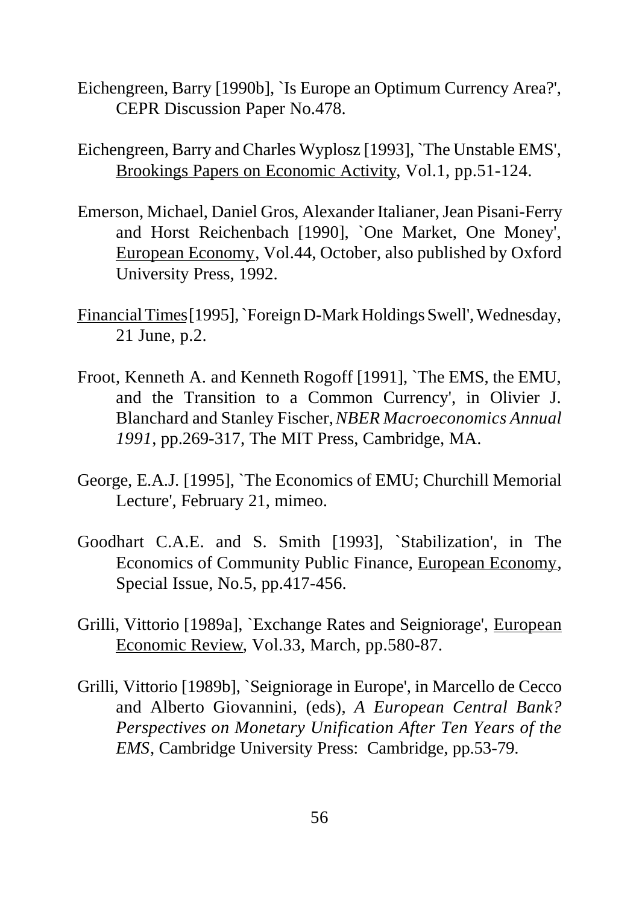- Eichengreen, Barry [1990b], `Is Europe an Optimum Currency Area?', CEPR Discussion Paper No.478.
- Eichengreen, Barry and Charles Wyplosz [1993], `The Unstable EMS', Brookings Papers on Economic Activity, Vol.1, pp.51-124.
- Emerson, Michael, Daniel Gros, Alexander Italianer, Jean Pisani-Ferry and Horst Reichenbach [1990], `One Market, One Money', European Economy, Vol.44, October, also published by Oxford University Press, 1992.
- Financial Times [1995], `Foreign D-Mark Holdings Swell', Wednesday, 21 June, p.2.
- Froot, Kenneth A. and Kenneth Rogoff [1991], `The EMS, the EMU, and the Transition to a Common Currency', in Olivier J. Blanchard and Stanley Fischer, *NBER Macroeconomics Annual 1991*, pp.269-317, The MIT Press, Cambridge, MA.
- George, E.A.J. [1995], `The Economics of EMU; Churchill Memorial Lecture', February 21, mimeo.
- Goodhart C.A.E. and S. Smith [1993], `Stabilization', in The Economics of Community Public Finance, European Economy, Special Issue, No.5, pp.417-456.
- Grilli, Vittorio [1989a], `Exchange Rates and Seigniorage', European Economic Review, Vol.33, March, pp.580-87.
- Grilli, Vittorio [1989b], `Seigniorage in Europe', in Marcello de Cecco and Alberto Giovannini, (eds), *A European Central Bank? Perspectives on Monetary Unification After Ten Years of the EMS*, Cambridge University Press: Cambridge, pp.53-79.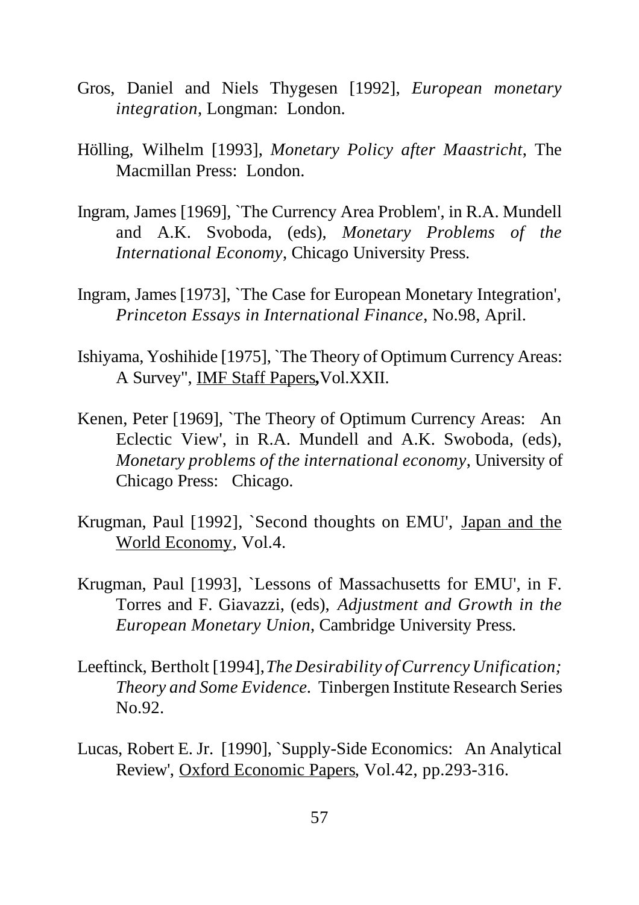- Gros, Daniel and Niels Thygesen [1992], *European monetary integration*, Longman: London.
- Hölling, Wilhelm [1993], *Monetary Policy after Maastricht*, The Macmillan Press: London.
- Ingram, James [1969], `The Currency Area Problem', in R.A. Mundell and A.K. Svoboda, (eds), *Monetary Problems of the International Economy*, Chicago University Press.
- Ingram, James [1973], `The Case for European Monetary Integration', *Princeton Essays in International Finance*, No.98, April.
- Ishiyama, Yoshihide [1975], `The Theory of Optimum Currency Areas: A Survey", IMF Staff Papers**,**Vol.XXII.
- Kenen, Peter [1969], `The Theory of Optimum Currency Areas: An Eclectic View', in R.A. Mundell and A.K. Swoboda, (eds), *Monetary problems of the international economy*, University of Chicago Press: Chicago.
- Krugman, Paul [1992], `Second thoughts on EMU', Japan and the World Economy, Vol.4.
- Krugman, Paul [1993], `Lessons of Massachusetts for EMU', in F. Torres and F. Giavazzi, (eds), *Adjustment and Growth in the European Monetary Union*, Cambridge University Press.
- Leeftinck, Bertholt [1994], *The Desirability of Currency Unification; Theory and Some Evidence.* Tinbergen Institute Research Series No.92.
- Lucas, Robert E. Jr. [1990], `Supply-Side Economics: An Analytical Review', Oxford Economic Papers, Vol.42, pp.293-316.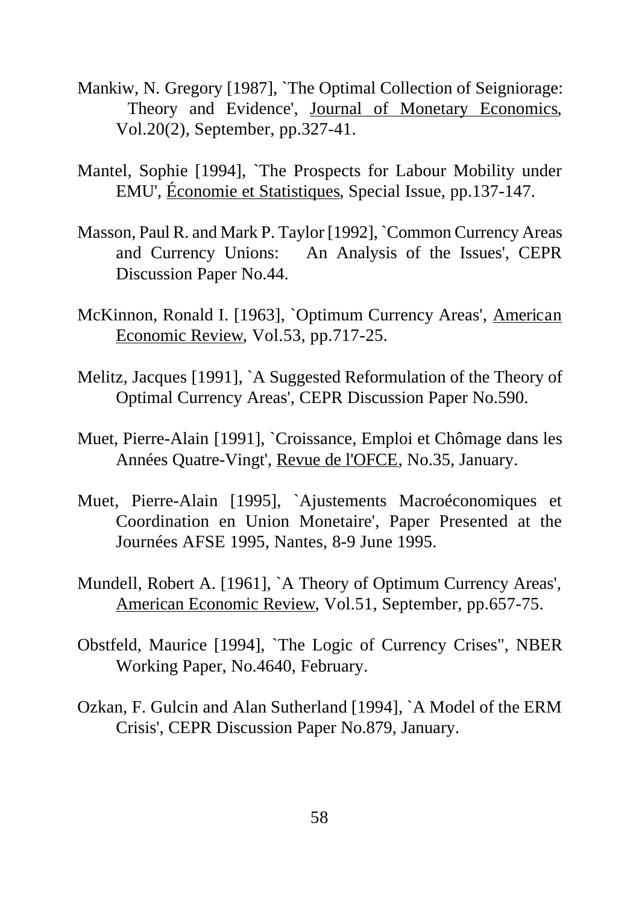- Mankiw, N. Gregory [1987], `The Optimal Collection of Seigniorage: Theory and Evidence', Journal of Monetary Economics, Vol.20(2), September, pp.327-41.
- Mantel, Sophie [1994], `The Prospects for Labour Mobility under EMU', Économie et Statistiques, Special Issue, pp.137-147.
- Masson, Paul R. and Mark P. Taylor [1992], `Common Currency Areas and Currency Unions: An Analysis of the Issues', CEPR Discussion Paper No.44.
- McKinnon, Ronald I. [1963], `Optimum Currency Areas', American Economic Review, Vol.53, pp.717-25.
- Melitz, Jacques [1991], `A Suggested Reformulation of the Theory of Optimal Currency Areas', CEPR Discussion Paper No.590.
- Muet, Pierre-Alain [1991], `Croissance, Emploi et Chômage dans les Années Quatre-Vingt', Revue de l'OFCE, No.35, January.
- Muet, Pierre-Alain [1995], `Ajustements Macroéconomiques et Coordination en Union Monetaire', Paper Presented at the Journées AFSE 1995, Nantes, 8-9 June 1995.
- Mundell, Robert A. [1961], `A Theory of Optimum Currency Areas', American Economic Review, Vol.51, September, pp.657-75.
- Obstfeld, Maurice [1994], `The Logic of Currency Crises", NBER Working Paper, No.4640, February.
- Ozkan, F. Gulcin and Alan Sutherland [1994], `A Model of the ERM Crisis', CEPR Discussion Paper No.879, January.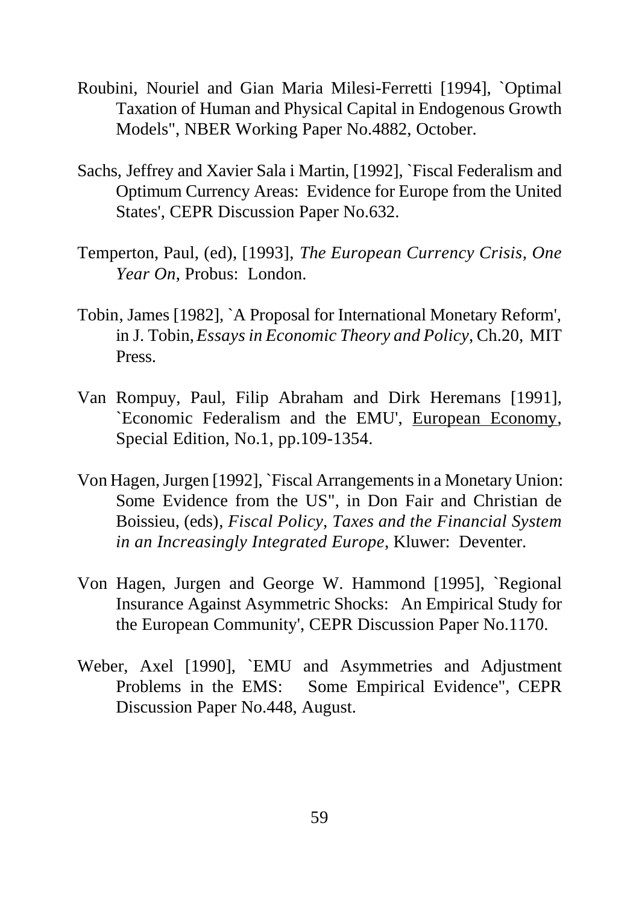- Roubini, Nouriel and Gian Maria Milesi-Ferretti [1994], `Optimal Taxation of Human and Physical Capital in Endogenous Growth Models", NBER Working Paper No.4882, October.
- Sachs, Jeffrey and Xavier Sala i Martin, [1992], `Fiscal Federalism and Optimum Currency Areas: Evidence for Europe from the United States', CEPR Discussion Paper No.632.
- Temperton, Paul, (ed), [1993], *The European Currency Crisis, One Year On*, Probus: London.
- Tobin, James [1982], `A Proposal for International Monetary Reform', in J. Tobin, *Essays in Economic Theory and Policy*, Ch.20, MIT Press.
- Van Rompuy, Paul, Filip Abraham and Dirk Heremans [1991], `Economic Federalism and the EMU', European Economy, Special Edition, No.1, pp.109-1354.
- Von Hagen, Jurgen [1992], `Fiscal Arrangements in a Monetary Union: Some Evidence from the US", in Don Fair and Christian de Boissieu, (eds)*, Fiscal Policy, Taxes and the Financial System in an Increasingly Integrated Europe*, Kluwer: Deventer.
- Von Hagen, Jurgen and George W. Hammond [1995], `Regional Insurance Against Asymmetric Shocks: An Empirical Study for the European Community', CEPR Discussion Paper No.1170.
- Weber, Axel [1990], `EMU and Asymmetries and Adjustment Problems in the EMS: Some Empirical Evidence", CEPR Discussion Paper No.448, August.